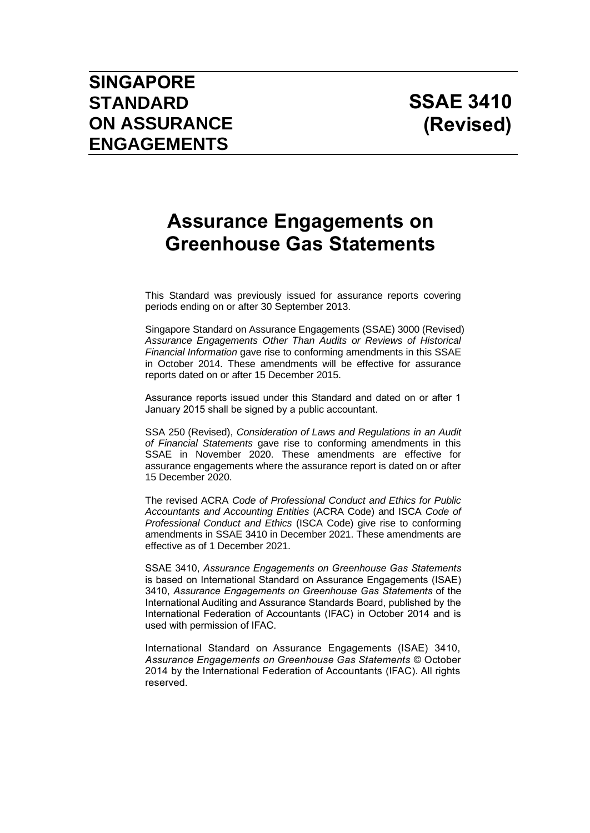# **Assurance Engagements on Greenhouse Gas Statements**

This Standard was previously issued for assurance reports covering periods ending on or after 30 September 2013.

Singapore Standard on Assurance Engagements (SSAE) 3000 (Revised) *Assurance Engagements Other Than Audits or Reviews of Historical Financial Information* gave rise to conforming amendments in this SSAE in October 2014. These amendments will be effective for assurance reports dated on or after 15 December 2015.

Assurance reports issued under this Standard and dated on or after 1 January 2015 shall be signed by a public accountant.

SSA 250 (Revised), *Consideration of Laws and Regulations in an Audit of Financial Statements* gave rise to conforming amendments in this SSAE in November 2020. These amendments are effective for assurance engagements where the assurance report is dated on or after 15 December 2020.

The revised ACRA *Code of Professional Conduct and Ethics for Public Accountants and Accounting Entities* (ACRA Code) and ISCA *Code of Professional Conduct and Ethics* (ISCA Code) give rise to conforming amendments in SSAE 3410 in December 2021. These amendments are effective as of 1 December 2021.

SSAE 3410, *Assurance Engagements on Greenhouse Gas Statements* is based on International Standard on Assurance Engagements (ISAE) 3410, *Assurance Engagements on Greenhouse Gas Statements* of the International Auditing and Assurance Standards Board, published by the International Federation of Accountants (IFAC) in October 2014 and is used with permission of IFAC.

International Standard on Assurance Engagements (ISAE) 3410, *Assurance Engagements on Greenhouse Gas Statements* © October 2014 by the International Federation of Accountants (IFAC). All rights reserved.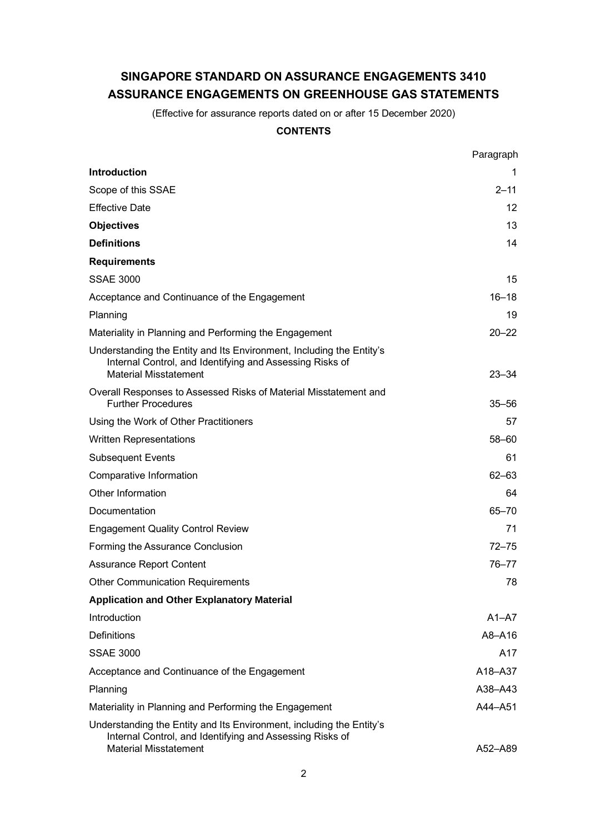# **SINGAPORE STANDARD ON ASSURANCE ENGAGEMENTS 3410 ASSURANCE ENGAGEMENTS ON GREENHOUSE GAS STATEMENTS**

(Effective for assurance reports dated on or after 15 December 2020)

# **CONTENTS**

|                                                                                                                                                                  | Paragraph         |
|------------------------------------------------------------------------------------------------------------------------------------------------------------------|-------------------|
| Introduction                                                                                                                                                     | 1                 |
| Scope of this SSAE                                                                                                                                               | $2 - 11$          |
| <b>Effective Date</b>                                                                                                                                            | $12 \overline{ }$ |
| <b>Objectives</b>                                                                                                                                                | 13                |
| <b>Definitions</b>                                                                                                                                               | 14                |
| <b>Requirements</b>                                                                                                                                              |                   |
| <b>SSAE 3000</b>                                                                                                                                                 | 15                |
| Acceptance and Continuance of the Engagement                                                                                                                     | $16 - 18$         |
| Planning                                                                                                                                                         | 19                |
| Materiality in Planning and Performing the Engagement                                                                                                            | $20 - 22$         |
| Understanding the Entity and Its Environment, Including the Entity's<br>Internal Control, and Identifying and Assessing Risks of<br><b>Material Misstatement</b> | $23 - 34$         |
| Overall Responses to Assessed Risks of Material Misstatement and                                                                                                 |                   |
| <b>Further Procedures</b>                                                                                                                                        | $35 - 56$         |
| Using the Work of Other Practitioners                                                                                                                            | 57                |
| <b>Written Representations</b>                                                                                                                                   | $58 - 60$         |
| <b>Subsequent Events</b>                                                                                                                                         | 61                |
| Comparative Information                                                                                                                                          | $62 - 63$         |
| Other Information                                                                                                                                                | 64                |
| Documentation                                                                                                                                                    | 65-70             |
| <b>Engagement Quality Control Review</b>                                                                                                                         | 71                |
| Forming the Assurance Conclusion                                                                                                                                 | $72 - 75$         |
| <b>Assurance Report Content</b>                                                                                                                                  | 76-77             |
| <b>Other Communication Requirements</b>                                                                                                                          | 78                |
| <b>Application and Other Explanatory Material</b>                                                                                                                |                   |
| Introduction                                                                                                                                                     | $A1 - A7$         |
| <b>Definitions</b>                                                                                                                                               | A8-A16            |
| <b>SSAE 3000</b>                                                                                                                                                 | A17               |
| Acceptance and Continuance of the Engagement                                                                                                                     | A18-A37           |
| Planning                                                                                                                                                         | A38-A43           |
| Materiality in Planning and Performing the Engagement                                                                                                            | A44-A51           |
| Understanding the Entity and Its Environment, including the Entity's<br>Internal Control, and Identifying and Assessing Risks of<br><b>Material Misstatement</b> | A52-A89           |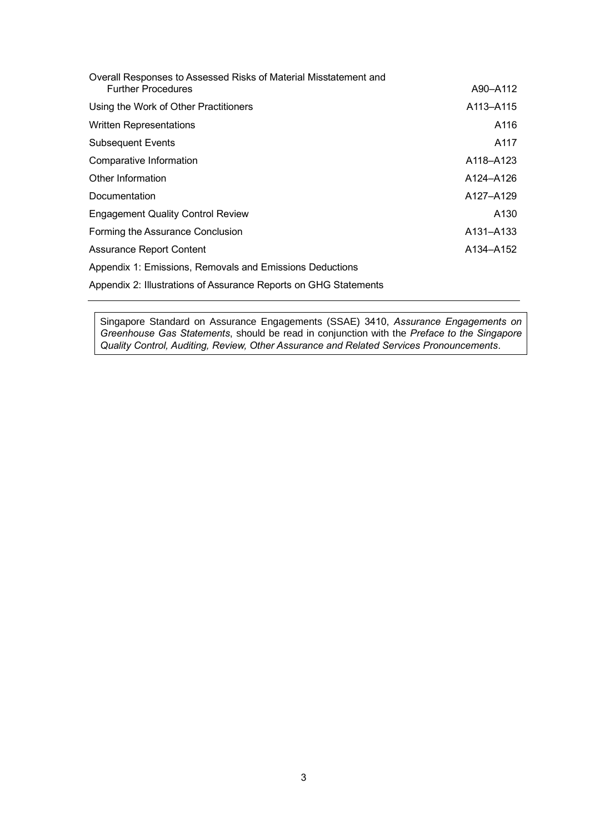| Overall Responses to Assessed Risks of Material Misstatement and |           |
|------------------------------------------------------------------|-----------|
| <b>Further Procedures</b>                                        | A90-A112  |
| Using the Work of Other Practitioners                            | A113-A115 |
| <b>Written Representations</b>                                   | A116      |
| <b>Subsequent Events</b>                                         | A117      |
| Comparative Information                                          | A118-A123 |
| Other Information                                                | A124-A126 |
| Documentation                                                    | A127-A129 |
| <b>Engagement Quality Control Review</b>                         | A130      |
| Forming the Assurance Conclusion                                 | A131-A133 |
| <b>Assurance Report Content</b>                                  | A134-A152 |
| Appendix 1: Emissions, Removals and Emissions Deductions         |           |
| Appendix 2: Illustrations of Assurance Reports on GHG Statements |           |
|                                                                  |           |

Singapore Standard on Assurance Engagements (SSAE) 3410, *Assurance Engagements on Greenhouse Gas Statements*, should be read in conjunction with the *Preface to the Singapore Quality Control, Auditing, Review, Other Assurance and Related Services Pronouncements*.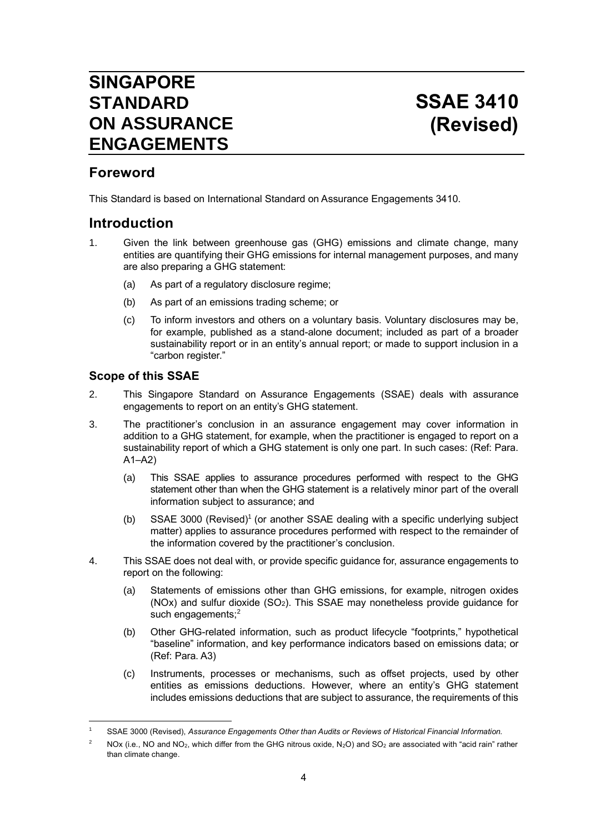# **SINGAPORE STANDARD ON ASSURANCE ENGAGEMENTS**

# **Foreword**

This Standard is based on International Standard on Assurance Engagements 3410.

# **Introduction**

- 1. Given the link between greenhouse gas (GHG) emissions and climate change, many entities are quantifying their GHG emissions for internal management purposes, and many are also preparing a GHG statement:
	- (a) As part of a regulatory disclosure regime;
	- (b) As part of an emissions trading scheme; or
	- (c) To inform investors and others on a voluntary basis. Voluntary disclosures may be, for example, published as a stand-alone document; included as part of a broader sustainability report or in an entity's annual report; or made to support inclusion in a "carbon register."

# **Scope of this SSAE**

- 2. This Singapore Standard on Assurance Engagements (SSAE) deals with assurance engagements to report on an entity's GHG statement.
- 3. The practitioner's conclusion in an assurance engagement may cover information in addition to a GHG statement, for example, when the practitioner is engaged to report on a sustainability report of which a GHG statement is only one part. In such cases: (Ref: Para. A1–A2)
	- (a) This SSAE applies to assurance procedures performed with respect to the GHG statement other than when the GHG statement is a relatively minor part of the overall information subject to assurance; and
	- $(b)$  SSAE 3000 (Revised)<sup>1</sup> (or another SSAE dealing with a specific underlying subject matter) applies to assurance procedures performed with respect to the remainder of the information covered by the practitioner's conclusion.
- 4. This SSAE does not deal with, or provide specific guidance for, assurance engagements to report on the following:
	- (a) Statements of emissions other than GHG emissions, for example, nitrogen oxides  $(NOx)$  and sulfur dioxide  $(SO<sub>2</sub>)$ . This SSAE may nonetheless provide guidance for such engagements;<sup>2</sup>
	- (b) Other GHG-related information, such as product lifecycle "footprints," hypothetical "baseline" information, and key performance indicators based on emissions data; or (Ref: Para. A3)
	- (c) Instruments, processes or mechanisms, such as offset projects, used by other entities as emissions deductions. However, where an entity's GHG statement includes emissions deductions that are subject to assurance, the requirements of this

<sup>1</sup> SSAE 3000 (Revised), *Assurance Engagements Other than Audits or Reviews of Historical Financial Information.* 

<sup>&</sup>lt;sup>2</sup> NOx (i.e., NO and NO<sub>2</sub>, which differ from the GHG nitrous oxide, N<sub>2</sub>O) and SO<sub>2</sub> are associated with "acid rain" rather than climate change.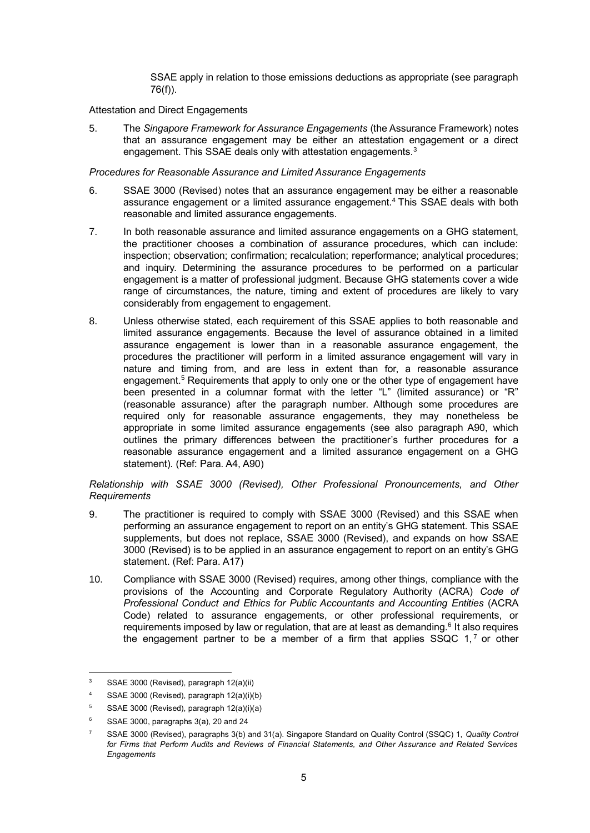SSAE apply in relation to those emissions deductions as appropriate (see paragraph 76(f)).

## Attestation and Direct Engagements

5. The *Singapore Framework for Assurance Engagements* (the Assurance Framework) notes that an assurance engagement may be either an attestation engagement or a direct engagement. This SSAE deals only with attestation engagements.<sup>3</sup>

## *Procedures for Reasonable Assurance and Limited Assurance Engagements*

- 6. SSAE 3000 (Revised) notes that an assurance engagement may be either a reasonable assurance engagement or a limited assurance engagement.<sup>4</sup> This SSAE deals with both reasonable and limited assurance engagements.
- 7. In both reasonable assurance and limited assurance engagements on a GHG statement, the practitioner chooses a combination of assurance procedures, which can include: inspection; observation; confirmation; recalculation; reperformance; analytical procedures; and inquiry. Determining the assurance procedures to be performed on a particular engagement is a matter of professional judgment. Because GHG statements cover a wide range of circumstances, the nature, timing and extent of procedures are likely to vary considerably from engagement to engagement.
- 8. Unless otherwise stated, each requirement of this SSAE applies to both reasonable and limited assurance engagements. Because the level of assurance obtained in a limited assurance engagement is lower than in a reasonable assurance engagement, the procedures the practitioner will perform in a limited assurance engagement will vary in nature and timing from, and are less in extent than for, a reasonable assurance engagement.<sup>5</sup> Requirements that apply to only one or the other type of engagement have been presented in a columnar format with the letter "L" (limited assurance) or "R" (reasonable assurance) after the paragraph number. Although some procedures are required only for reasonable assurance engagements, they may nonetheless be appropriate in some limited assurance engagements (see also paragraph A90, which outlines the primary differences between the practitioner's further procedures for a reasonable assurance engagement and a limited assurance engagement on a GHG statement). (Ref: Para. A4, A90)

*Relationship with SSAE 3000 (Revised), Other Professional Pronouncements, and Other Requirements*

- 9. The practitioner is required to comply with SSAE 3000 (Revised) and this SSAE when performing an assurance engagement to report on an entity's GHG statement. This SSAE supplements, but does not replace, SSAE 3000 (Revised), and expands on how SSAE 3000 (Revised) is to be applied in an assurance engagement to report on an entity's GHG statement. (Ref: Para. A17)
- 10. Compliance with SSAE 3000 (Revised) requires, among other things, compliance with the provisions of the Accounting and Corporate Regulatory Authority (ACRA) *Code of Professional Conduct and Ethics for Public Accountants and Accounting Entities* (ACRA Code) related to assurance engagements, or other professional requirements, or requirements imposed by law or regulation, that are at least as demanding. $<sup>6</sup>$  It also requires</sup> the engagement partner to be a member of a firm that applies  $SSQC 1, 7$  or other

<sup>3</sup> SSAE 3000 (Revised), paragraph 12(a)(ii)

<sup>4</sup> SSAE 3000 (Revised), paragraph 12(a)(i)(b)

 $5$  SSAE 3000 (Revised), paragraph 12(a)(i)(a)

 $6$  SSAE 3000, paragraphs 3(a), 20 and 24

<sup>7</sup> SSAE 3000 (Revised), paragraphs 3(b) and 31(a). Singapore Standard on Quality Control (SSQC) 1, *Quality Control for Firms that Perform Audits and Reviews of Financial Statements, and Other Assurance and Related Services Engagements*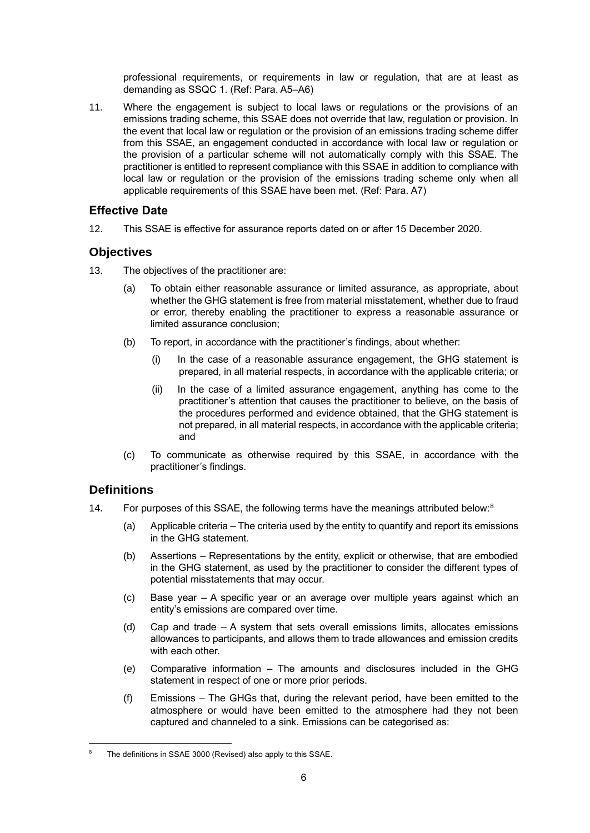professional requirements, or requirements in law or regulation, that are at least as demanding as SSQC 1. (Ref: Para. A5–A6)

11. Where the engagement is subject to local laws or regulations or the provisions of an emissions trading scheme, this SSAE does not override that law, regulation or provision. In the event that local law or regulation or the provision of an emissions trading scheme differ from this SSAE, an engagement conducted in accordance with local law or regulation or the provision of a particular scheme will not automatically comply with this SSAE. The practitioner is entitled to represent compliance with this SSAE in addition to compliance with local law or regulation or the provision of the emissions trading scheme only when all applicable requirements of this SSAE have been met. (Ref: Para. A7)

# **Effective Date**

12. This SSAE is effective for assurance reports dated on or after 15 December 2020.

# **Objectives**

- 13. The objectives of the practitioner are:
	- (a) To obtain either reasonable assurance or limited assurance, as appropriate, about whether the GHG statement is free from material misstatement, whether due to fraud or error, thereby enabling the practitioner to express a reasonable assurance or limited assurance conclusion;
	- (b) To report, in accordance with the practitioner's findings, about whether:
		- (i) In the case of a reasonable assurance engagement, the GHG statement is prepared, in all material respects, in accordance with the applicable criteria; or
		- (ii) In the case of a limited assurance engagement, anything has come to the practitioner's attention that causes the practitioner to believe, on the basis of the procedures performed and evidence obtained, that the GHG statement is not prepared, in all material respects, in accordance with the applicable criteria; and
	- (c) To communicate as otherwise required by this SSAE, in accordance with the practitioner's findings.

# **Definitions**

- 14. For purposes of this SSAE, the following terms have the meanings attributed below: $8$ 
	- (a) Applicable criteria The criteria used by the entity to quantify and report its emissions in the GHG statement.
	- (b) Assertions Representations by the entity, explicit or otherwise, that are embodied in the GHG statement, as used by the practitioner to consider the different types of potential misstatements that may occur.
	- (c) Base year A specific year or an average over multiple years against which an entity's emissions are compared over time.
	- (d) Cap and trade A system that sets overall emissions limits, allocates emissions allowances to participants, and allows them to trade allowances and emission credits with each other.
	- (e) Comparative information The amounts and disclosures included in the GHG statement in respect of one or more prior periods.
	- (f) Emissions The GHGs that, during the relevant period, have been emitted to the atmosphere or would have been emitted to the atmosphere had they not been captured and channeled to a sink. Emissions can be categorised as:

The definitions in SSAE 3000 (Revised) also apply to this SSAE.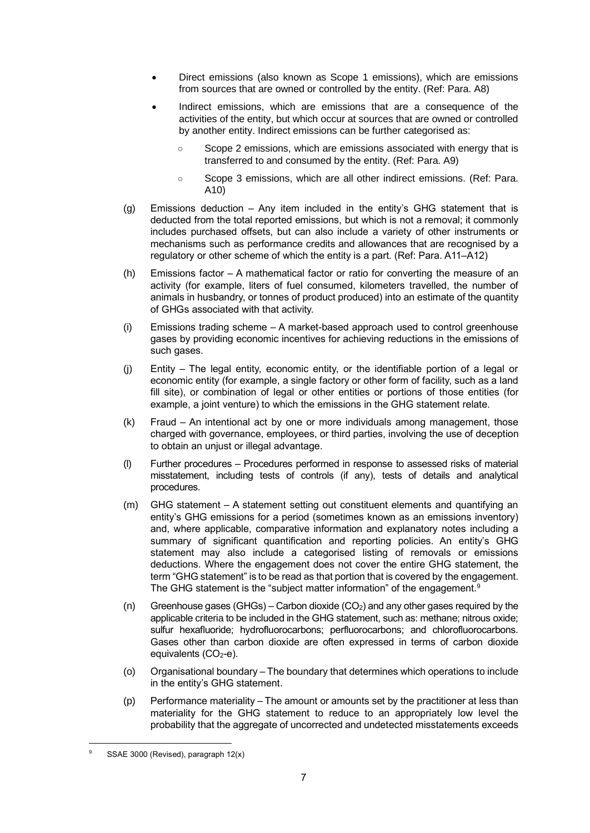- Direct emissions (also known as Scope 1 emissions), which are emissions from sources that are owned or controlled by the entity. (Ref: Para. A8)
- Indirect emissions, which are emissions that are a consequence of the activities of the entity, but which occur at sources that are owned or controlled by another entity. Indirect emissions can be further categorised as:
	- Scope 2 emissions, which are emissions associated with energy that is transferred to and consumed by the entity. (Ref: Para. A9)
	- Scope 3 emissions, which are all other indirect emissions. (Ref: Para. A10)
- (g) Emissions deduction Any item included in the entity's GHG statement that is deducted from the total reported emissions, but which is not a removal; it commonly includes purchased offsets, but can also include a variety of other instruments or mechanisms such as performance credits and allowances that are recognised by a regulatory or other scheme of which the entity is a part. (Ref: Para. A11–A12)
- (h) Emissions factor A mathematical factor or ratio for converting the measure of an activity (for example, liters of fuel consumed, kilometers travelled, the number of animals in husbandry, or tonnes of product produced) into an estimate of the quantity of GHGs associated with that activity.
- (i) Emissions trading scheme A market-based approach used to control [greenhouse](http://en.wikipedia.org/wiki/Pollution) gases by providing [economic](http://en.wikipedia.org/wiki/Economics) [incentives](http://en.wikipedia.org/wiki/Incentive) for achieving reductions in the emissions of [such](http://en.wikipedia.org/wiki/Pollutant) gases.
- (j) Entity The legal entity, economic entity, or the identifiable portion of a legal or economic entity (for example, a single factory or other form of facility, such as a land fill site), or combination of legal or other entities or portions of those entities (for example, a joint venture) to which the emissions in the GHG statement relate.
- (k) Fraud An intentional act by one or more individuals among management, those charged with governance, employees, or third parties, involving the use of deception to obtain an unjust or illegal advantage.
- (l) Further procedures Procedures performed in response to assessed risks of material misstatement, including tests of controls (if any), tests of details and analytical procedures.
- (m) GHG statement A statement setting out constituent elements and quantifying an entity's GHG emissions for a period (sometimes known as an emissions inventory) and, where applicable, comparative information and explanatory notes including a summary of significant quantification and reporting policies. An entity's GHG statement may also include a categorised listing of removals or emissions deductions. Where the engagement does not cover the entire GHG statement, the term "GHG statement" is to be read as that portion that is covered by the engagement. The GHG statement is the "subject matter information" of the engagement.<sup>9</sup>
- (n) Greenhouse gases (GHGs) Carbon dioxide  $(CO<sub>2</sub>)$  and any other gases required by the applicable criteria to be included in the GHG statement, such as: methane; nitrous oxide; sulfur hexafluoride; hydrofluorocarbons; perfluorocarbons; and chlorofluorocarbons. Gases other than carbon dioxide are often expressed in terms of carbon dioxide equivalents (CO<sub>2-e</sub>).
- (o) Organisational boundary The boundary that determines which operations to include in the entity's GHG statement.
- (p) Performance materiality The amount or amounts set by the practitioner at less than materiality for the GHG statement to reduce to an appropriately low level the probability that the aggregate of uncorrected and undetected misstatements exceeds

SSAE 3000 (Revised), paragraph 12(x)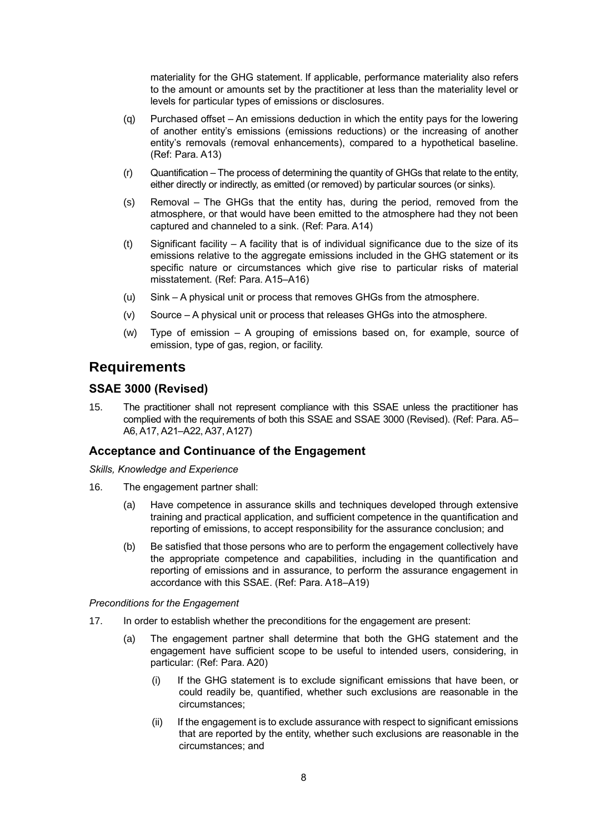materiality for the GHG statement. If applicable, performance materiality also refers to the amount or amounts set by the practitioner at less than the materiality level or levels for particular types of emissions or disclosures.

- (q) Purchased offset An emissions deduction in which the entity pays for the lowering of another entity's emissions (emissions reductions) or the increasing of another entity's removals (removal enhancements), compared to a hypothetical baseline. (Ref: Para. A13)
- (r) Quantification The process of determining the quantity of GHGs that relate to the entity, either directly or indirectly, as emitted (or removed) by particular sources (or sinks).
- (s) Removal The GHGs that the entity has, during the period, removed from the atmosphere, or that would have been emitted to the atmosphere had they not been captured and channeled to a sink. (Ref: Para. A14)
- (t) Significant facility A facility that is of individual significance due to the size of its emissions relative to the aggregate emissions included in the GHG statement or its specific nature or circumstances which give rise to particular risks of material misstatement. (Ref: Para. A15–A16)
- (u) Sink A physical unit or process that removes GHGs from the atmosphere.
- (v) Source A physical unit or process that releases GHGs into the atmosphere.
- (w) Type of emission A grouping of emissions based on, for example, source of emission, type of gas, region, or facility.

# **Requirements**

# **SSAE 3000 (Revised)**

15. The practitioner shall not represent compliance with this SSAE unless the practitioner has complied with the requirements of both this SSAE and SSAE 3000 (Revised). (Ref: Para. A5– A6, A17, A21–A22, A37, A127)

# **Acceptance and Continuance of the Engagement**

*Skills, Knowledge and Experience*

- 16. The engagement partner shall:
	- (a) Have competence in assurance skills and techniques developed through extensive training and practical application, and sufficient competence in the quantification and reporting of emissions, to accept responsibility for the assurance conclusion; and
	- (b) Be satisfied that those persons who are to perform the engagement collectively have the appropriate competence and capabilities, including in the quantification and reporting of emissions and in assurance, to perform the assurance engagement in accordance with this SSAE. (Ref: Para. A18–A19)

*Preconditions for the Engagement*

- 17. In order to establish whether the preconditions for the engagement are present:
	- (a) The engagement partner shall determine that both the GHG statement and the engagement have sufficient scope to be useful to intended users, considering, in particular: (Ref: Para. A20)
		- (i) If the GHG statement is to exclude significant emissions that have been, or could readily be, quantified, whether such exclusions are reasonable in the circumstances;
		- (ii) If the engagement is to exclude assurance with respect to significant emissions that are reported by the entity, whether such exclusions are reasonable in the circumstances; and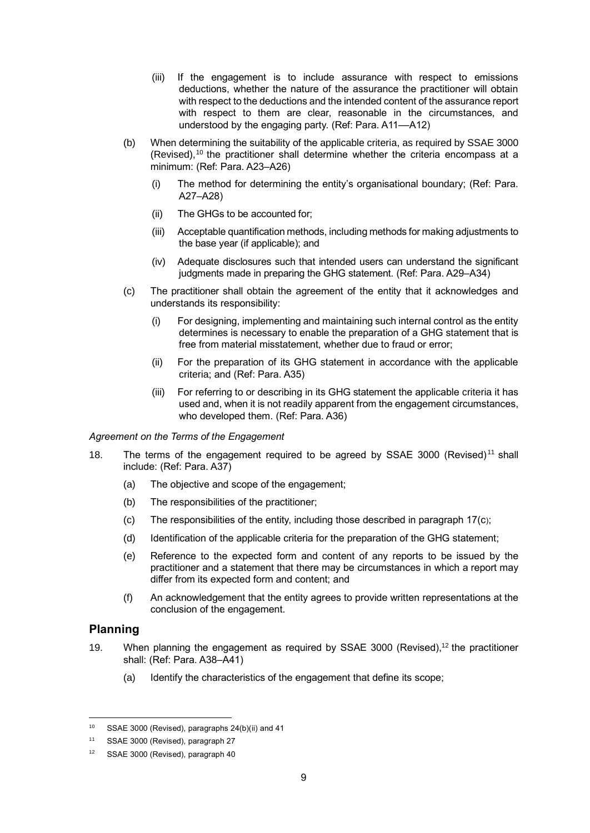- (iii) If the engagement is to include assurance with respect to emissions deductions, whether the nature of the assurance the practitioner will obtain with respect to the deductions and the intended content of the assurance report with respect to them are clear, reasonable in the circumstances, and understood by the engaging party. (Ref: Para. A11––A12)
- (b) When determining the suitability of the applicable criteria, as required by SSAE 3000  $(Revised)$ , <sup>10</sup> the practitioner shall determine whether the criteria encompass at a minimum: (Ref: Para. A23–A26)
	- (i) The method for determining the entity's organisational boundary; (Ref: Para. A27–A28)
	- (ii) The GHGs to be accounted for;
	- (iii) Acceptable quantification methods, including methods for making adjustments to the base year (if applicable); and
	- (iv) Adequate disclosures such that intended users can understand the significant judgments made in preparing the GHG statement. (Ref: Para. A29–A34)
- (c) The practitioner shall obtain the agreement of the entity that it acknowledges and understands its responsibility:
	- (i) For designing, implementing and maintaining such internal control as the entity determines is necessary to enable the preparation of a GHG statement that is free from material misstatement, whether due to fraud or error;
	- (ii) For the preparation of its GHG statement in accordance with the applicable criteria; and (Ref: Para. A35)
	- (iii) For referring to or describing in its GHG statement the applicable criteria it has used and, when it is not readily apparent from the engagement circumstances, who developed them. (Ref: Para. A36)

## *Agreement on the Terms of the Engagement*

- 18. The terms of the engagement required to be agreed by SSAE 3000 (Revised)<sup>11</sup> shall include: (Ref: Para. A37)
	- (a) The objective and scope of the engagement;
	- (b) The responsibilities of the practitioner;
	- (c) The responsibilities of the entity, including those described in paragraph 17(c);
	- (d) Identification of the applicable criteria for the preparation of the GHG statement;
	- (e) Reference to the expected form and content of any reports to be issued by the practitioner and a statement that there may be circumstances in which a report may differ from its expected form and content; and
	- (f) An acknowledgement that the entity agrees to provide written representations at the conclusion of the engagement.

# **Planning**

- 19. When planning the engagement as required by SSAE 3000 (Revised),<sup>12</sup> the practitioner shall: (Ref: Para. A38–A41)
	- (a) Identify the characteristics of the engagement that define its scope;

<sup>10</sup> SSAE 3000 (Revised), paragraphs 24(b)(ii) and 41

<sup>11</sup> SSAE 3000 (Revised), paragraph 27

<sup>12</sup> SSAE 3000 (Revised), paragraph 40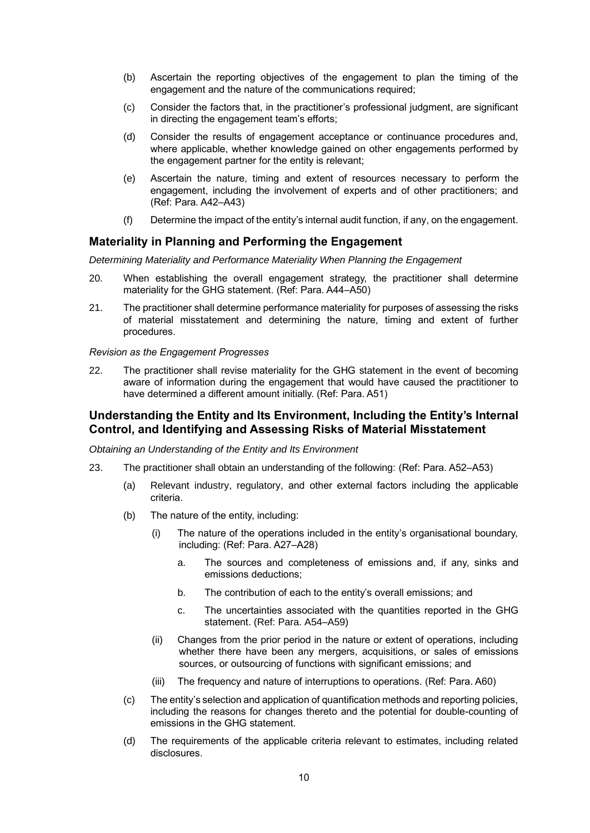- (b) Ascertain the reporting objectives of the engagement to plan the timing of the engagement and the nature of the communications required;
- (c) Consider the factors that, in the practitioner's professional judgment, are significant in directing the engagement team's efforts;
- (d) Consider the results of engagement acceptance or continuance procedures and, where applicable, whether knowledge gained on other engagements performed by the engagement partner for the entity is relevant;
- (e) Ascertain the nature, timing and extent of resources necessary to perform the engagement, including the involvement of experts and of other practitioners; and (Ref: Para. A42*–*A43)
- (f) Determine the impact of the entity's internal audit function, if any, on the engagement.

## **Materiality in Planning and Performing the Engagement**

*Determining Materiality and Performance Materiality When Planning the Engagement* 

- 20. When establishing the overall engagement strategy, the practitioner shall determine materiality for the GHG statement. (Ref: Para. A44–A50)
- 21. The practitioner shall determine performance materiality for purposes of assessing the risks of material misstatement and determining the nature, timing and extent of further procedures.

#### *Revision as the Engagement Progresses*

22. The practitioner shall revise materiality for the GHG statement in the event of becoming aware of information during the engagement that would have caused the practitioner to have determined a different amount initially. (Ref: Para. A51)

## **Understanding the Entity and Its Environment, Including the Entity's Internal Control, and Identifying and Assessing Risks of Material Misstatement**

*Obtaining an Understanding of the Entity and Its Environment*

- 23. The practitioner shall obtain an understanding of the following: (Ref: Para. A52*–*A53)
	- (a) Relevant industry, regulatory, and other external factors including the applicable criteria.
	- (b) The nature of the entity, including:
		- (i) The nature of the operations included in the entity's organisational boundary, including: (Ref: Para. A27–A28)
			- a. The sources and completeness of emissions and, if any, sinks and emissions deductions;
			- b. The contribution of each to the entity's overall emissions; and
			- c. The uncertainties associated with the quantities reported in the GHG statement. (Ref: Para. A54–A59)
		- (ii) Changes from the prior period in the nature or extent of operations, including whether there have been any mergers, acquisitions, or sales of emissions sources, or outsourcing of functions with significant emissions; and
		- (iii) The frequency and nature of interruptions to operations. (Ref: Para. A60)
	- (c) The entity's selection and application of quantification methods and reporting policies, including the reasons for changes thereto and the potential for double-counting of emissions in the GHG statement.
	- (d) The requirements of the applicable criteria relevant to estimates, including related disclosures.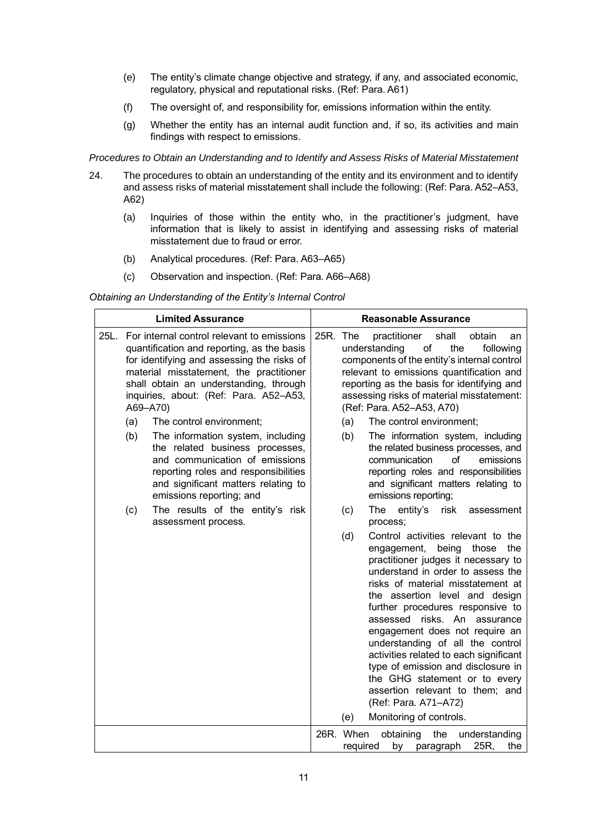- (e) The entity's climate change objective and strategy, if any, and associated economic, regulatory, physical and reputational risks. (Ref: Para. A61)
- (f) The oversight of, and responsibility for, emissions information within the entity.
- (g) Whether the entity has an internal audit function and, if so, its activities and main findings with respect to emissions.

*Procedures to Obtain an Understanding and to Identify and Assess Risks of Material Misstatement*

- 24. The procedures to obtain an understanding of the entity and its environment and to identify and assess risks of material misstatement shall include the following: (Ref: Para. A52*–*A53, A62)
	- (a) Inquiries of those within the entity who, in the practitioner's judgment, have information that is likely to assist in identifying and assessing risks of material misstatement due to fraud or error.
	- (b) Analytical procedures. (Ref: Para. A63–A65)
	- (c) Observation and inspection. (Ref: Para. A66–A68)

*Obtaining an Understanding of the Entity's Internal Control*

|            | <b>Limited Assurance</b>                                                                                                                                                                                                                                                                                                                                                                                                     | <b>Reasonable Assurance</b> |                       |                                                                                                                                                                                                                                                                                                                                                                                                                                                                                                                                                        |
|------------|------------------------------------------------------------------------------------------------------------------------------------------------------------------------------------------------------------------------------------------------------------------------------------------------------------------------------------------------------------------------------------------------------------------------------|-----------------------------|-----------------------|--------------------------------------------------------------------------------------------------------------------------------------------------------------------------------------------------------------------------------------------------------------------------------------------------------------------------------------------------------------------------------------------------------------------------------------------------------------------------------------------------------------------------------------------------------|
| (a)<br>(b) | 25L. For internal control relevant to emissions<br>quantification and reporting, as the basis<br>for identifying and assessing the risks of<br>material misstatement, the practitioner<br>shall obtain an understanding, through<br>inquiries, about: (Ref: Para. A52-A53,<br>A69-A70)<br>The control environment;<br>The information system, including<br>the related business processes,<br>and communication of emissions | 25R. The                    | (a)<br>(b)            | practitioner<br>shall<br>obtain<br>an<br>understanding<br>of<br>the<br>following<br>components of the entity's internal control<br>relevant to emissions quantification and<br>reporting as the basis for identifying and<br>assessing risks of material misstatement:<br>(Ref: Para. A52-A53, A70)<br>The control environment;<br>The information system, including<br>the related business processes, and<br>communication<br>emissions<br>οf                                                                                                        |
| (c)        | reporting roles and responsibilities<br>and significant matters relating to<br>emissions reporting; and<br>The results of the entity's risk<br>assessment process.                                                                                                                                                                                                                                                           |                             | (c)                   | reporting roles and responsibilities<br>and significant matters relating to<br>emissions reporting;<br>entity's<br>The<br>risk<br>assessment<br>process;                                                                                                                                                                                                                                                                                                                                                                                               |
|            |                                                                                                                                                                                                                                                                                                                                                                                                                              |                             | (d)                   | Control activities relevant to the<br>being<br>those<br>the<br>engagement,<br>practitioner judges it necessary to<br>understand in order to assess the<br>risks of material misstatement at<br>the assertion level and design<br>further procedures responsive to<br>risks. An assurance<br>assessed<br>engagement does not require an<br>understanding of all the control<br>activities related to each significant<br>type of emission and disclosure in<br>the GHG statement or to every<br>assertion relevant to them; and<br>(Ref: Para. A71-A72) |
|            |                                                                                                                                                                                                                                                                                                                                                                                                                              |                             | (e)                   | Monitoring of controls.                                                                                                                                                                                                                                                                                                                                                                                                                                                                                                                                |
|            |                                                                                                                                                                                                                                                                                                                                                                                                                              |                             | 26R. When<br>required | obtaining<br>the<br>understanding<br>25R.<br>the<br>by<br>paragraph                                                                                                                                                                                                                                                                                                                                                                                                                                                                                    |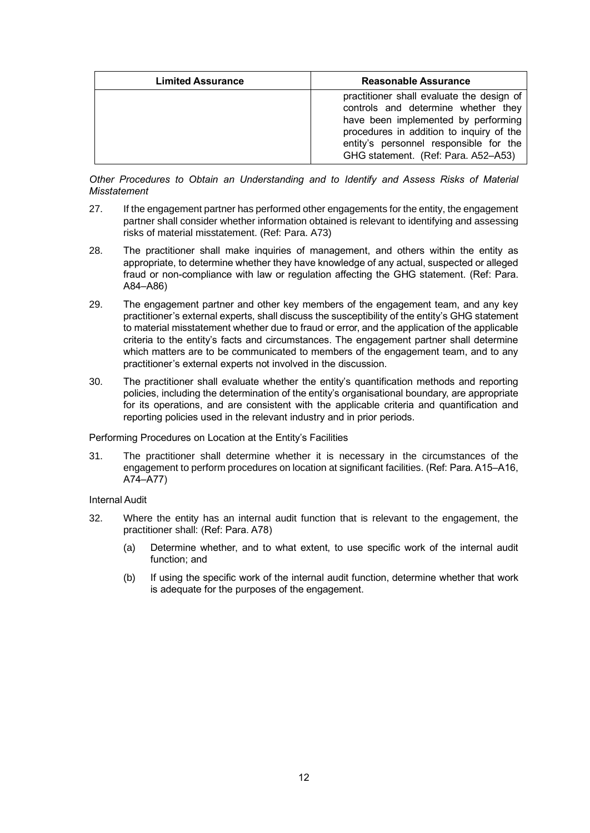| <b>Limited Assurance</b> | <b>Reasonable Assurance</b>                                                                                                                                                                                                                          |
|--------------------------|------------------------------------------------------------------------------------------------------------------------------------------------------------------------------------------------------------------------------------------------------|
|                          | practitioner shall evaluate the design of<br>controls and determine whether they<br>have been implemented by performing<br>procedures in addition to inquiry of the<br>entity's personnel responsible for the<br>GHG statement. (Ref: Para. A52-A53) |

*Other Procedures to Obtain an Understanding and to Identify and Assess Risks of Material Misstatement* 

- 27. If the engagement partner has performed other engagements for the entity, the engagement partner shall consider whether information obtained is relevant to identifying and assessing risks of material misstatement. (Ref: Para. A73)
- 28. The practitioner shall make inquiries of management, and others within the entity as appropriate, to determine whether they have knowledge of any actual, suspected or alleged fraud or non-compliance with law or regulation affecting the GHG statement. (Ref: Para. A84*–*A86)
- 29. The engagement partner and other key members of the engagement team, and any key practitioner's external experts, shall discuss the susceptibility of the entity's GHG statement to material misstatement whether due to fraud or error, and the application of the applicable criteria to the entity's facts and circumstances. The engagement partner shall determine which matters are to be communicated to members of the engagement team, and to any practitioner's external experts not involved in the discussion.
- 30. The practitioner shall evaluate whether the entity's quantification methods and reporting policies, including the determination of the entity's organisational boundary, are appropriate for its operations, and are consistent with the applicable criteria and quantification and reporting policies used in the relevant industry and in prior periods.

Performing Procedures on Location at the Entity's Facilities

31. The practitioner shall determine whether it is necessary in the circumstances of the engagement to perform procedures on location at significant facilities. (Ref: Para. A15–A16, A74–A77)

Internal Audit

- 32. Where the entity has an internal audit function that is relevant to the engagement, the practitioner shall: (Ref: Para. A78)
	- (a) Determine whether, and to what extent, to use specific work of the internal audit function; and
	- (b) If using the specific work of the internal audit function, determine whether that work is adequate for the purposes of the engagement.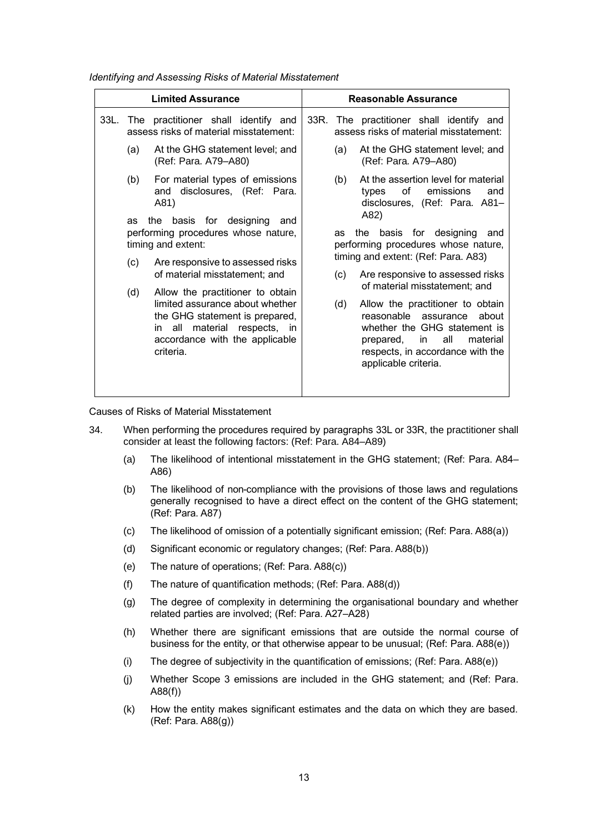|      |            | <b>Limited Assurance</b>                                                                                                                                                                                                                                                                                                                                    | Reasonable Assurance |            |                                                                                                                                                                                                                                                                                                                                          |
|------|------------|-------------------------------------------------------------------------------------------------------------------------------------------------------------------------------------------------------------------------------------------------------------------------------------------------------------------------------------------------------------|----------------------|------------|------------------------------------------------------------------------------------------------------------------------------------------------------------------------------------------------------------------------------------------------------------------------------------------------------------------------------------------|
| 33L. |            | The practitioner shall identify and<br>assess risks of material misstatement:                                                                                                                                                                                                                                                                               |                      |            | 33R. The practitioner shall identify and<br>assess risks of material misstatement:                                                                                                                                                                                                                                                       |
|      | (a)        | At the GHG statement level; and<br>(Ref: Para. A79-A80)                                                                                                                                                                                                                                                                                                     |                      | (a)        | At the GHG statement level; and<br>(Ref: Para. A79-A80)                                                                                                                                                                                                                                                                                  |
|      | (b)        | For material types of emissions<br>disclosures, (Ref: Para.<br>and<br>A81)                                                                                                                                                                                                                                                                                  |                      | (b)        | At the assertion level for material<br>of<br>emissions<br>and<br>types<br>disclosures, (Ref: Para. A81-                                                                                                                                                                                                                                  |
|      | (c)<br>(d) | as the basis for designing<br>and<br>performing procedures whose nature,<br>timing and extent:<br>Are responsive to assessed risks<br>of material misstatement; and<br>Allow the practitioner to obtain<br>limited assurance about whether<br>the GHG statement is prepared,<br>in all material respects, in<br>accordance with the applicable<br>criteria. |                      | (c)<br>(d) | A82)<br>as the basis for designing<br>and<br>performing procedures whose nature,<br>timing and extent: (Ref: Para. A83)<br>Are responsive to assessed risks<br>of material misstatement; and<br>Allow the practitioner to obtain<br>reasonable assurance<br>about<br>whether the GHG statement is<br>all<br>in.<br>material<br>prepared, |
|      |            |                                                                                                                                                                                                                                                                                                                                                             |                      |            | respects, in accordance with the<br>applicable criteria.                                                                                                                                                                                                                                                                                 |

*Identifying and Assessing Risks of Material Misstatement*

Causes of Risks of Material Misstatement

- 34. When performing the procedures required by paragraphs 33L or 33R, the practitioner shall consider at least the following factors: (Ref: Para. A84–A89)
	- (a) The likelihood of intentional misstatement in the GHG statement; (Ref: Para. A84– A86)
	- (b) The likelihood of non-compliance with the provisions of those laws and regulations generally recognised to have a direct effect on the content of the GHG statement; (Ref: Para. A87)
	- (c) The likelihood of omission of a potentially significant emission; (Ref: Para. A88(a))
	- (d) Significant economic or regulatory changes; (Ref: Para. A88(b))
	- (e) The nature of operations; (Ref: Para. A88(c))
	- (f) The nature of quantification methods; (Ref: Para. A88(d))
	- (g) The degree of complexity in determining the organisational boundary and whether related parties are involved; (Ref: Para. A27–A28)
	- (h) Whether there are significant emissions that are outside the normal course of business for the entity, or that otherwise appear to be unusual; (Ref: Para. A88(e))
	- (i) The degree of subjectivity in the quantification of emissions; (Ref: Para. A88(e))
	- (j) Whether Scope 3 emissions are included in the GHG statement; and (Ref: Para. A88(f))
	- (k) How the entity makes significant estimates and the data on which they are based. (Ref: Para. A88(g))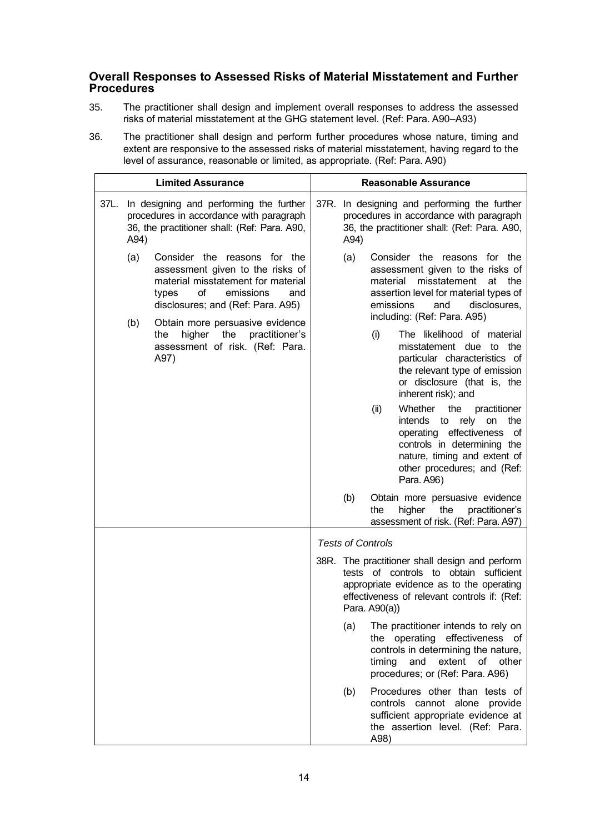# **Overall Responses to Assessed Risks of Material Misstatement and Further Procedures**

- 35. The practitioner shall design and implement overall responses to address the assessed risks of material misstatement at the GHG statement level. (Ref: Para. A90–A93)
- 36. The practitioner shall design and perform further procedures whose nature, timing and extent are responsive to the assessed risks of material misstatement, having regard to the level of assurance, reasonable or limited, as appropriate. (Ref: Para. A90)

|      |            | <b>Limited Assurance</b>                                                                                                                                                                                          |      |      | <b>Reasonable Assurance</b>                                                                                                                                                                                           |
|------|------------|-------------------------------------------------------------------------------------------------------------------------------------------------------------------------------------------------------------------|------|------|-----------------------------------------------------------------------------------------------------------------------------------------------------------------------------------------------------------------------|
| 37L. | A94)       | In designing and performing the further<br>procedures in accordance with paragraph<br>36, the practitioner shall: (Ref: Para. A90,                                                                                | 37R. | A94) | In designing and performing the further<br>procedures in accordance with paragraph<br>36, the practitioner shall: (Ref: Para. A90,                                                                                    |
|      | (a)<br>(b) | Consider the reasons for the<br>assessment given to the risks of<br>material misstatement for material<br>of<br>types<br>emissions<br>and<br>disclosures; and (Ref: Para. A95)<br>Obtain more persuasive evidence |      | (a)  | Consider the reasons for the<br>assessment given to the risks of<br>material<br>misstatement<br>the<br>at<br>assertion level for material types of<br>emissions<br>disclosures,<br>and<br>including: (Ref: Para. A95) |
|      |            | higher the<br>practitioner's<br>the<br>assessment of risk. (Ref: Para.<br>A97)                                                                                                                                    |      |      | The likelihood of material<br>(i)<br>misstatement due to the<br>particular characteristics of<br>the relevant type of emission<br>or disclosure (that is, the<br>inherent risk); and                                  |
|      |            |                                                                                                                                                                                                                   |      |      | the<br>(ii)<br>Whether<br>practitioner<br>rely<br>intends to<br>on<br>the<br>operating effectiveness of<br>controls in determining the<br>nature, timing and extent of<br>other procedures; and (Ref:<br>Para. A96)   |
|      |            |                                                                                                                                                                                                                   |      | (b)  | Obtain more persuasive evidence<br>higher<br>the<br>practitioner's<br>the<br>assessment of risk. (Ref: Para. A97)                                                                                                     |
|      |            |                                                                                                                                                                                                                   |      |      | <b>Tests of Controls</b>                                                                                                                                                                                              |
|      |            |                                                                                                                                                                                                                   |      |      | 38R. The practitioner shall design and perform<br>tests of controls to obtain sufficient<br>appropriate evidence as to the operating<br>effectiveness of relevant controls if: (Ref:<br>Para. A90(a))                 |
|      |            |                                                                                                                                                                                                                   |      | (a)  | The practitioner intends to rely on<br>the operating effectiveness of<br>controls in determining the nature,<br>and<br>extent of other<br>timing<br>procedures; or (Ref: Para. A96)                                   |
|      |            |                                                                                                                                                                                                                   |      | (b)  | Procedures other than tests of<br>controls cannot alone provide<br>sufficient appropriate evidence at<br>the assertion level. (Ref: Para.<br>A98)                                                                     |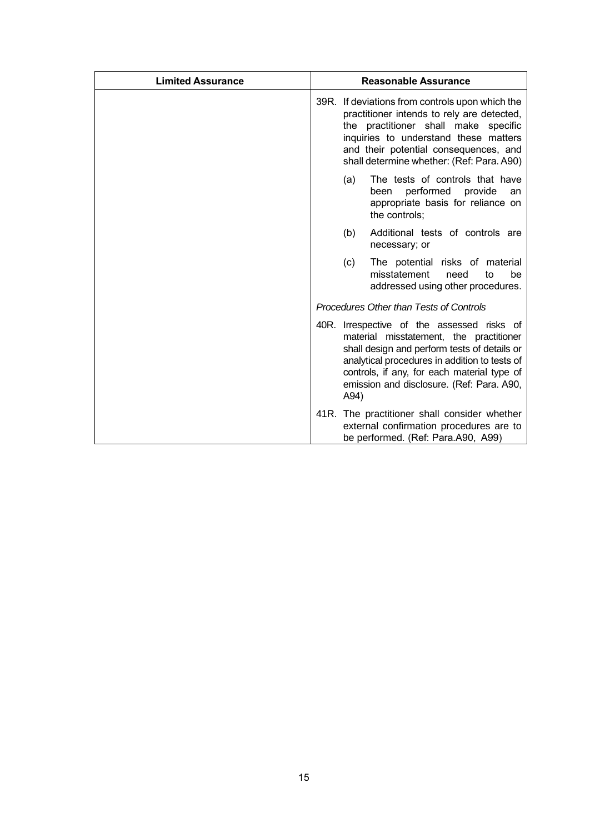| <b>Limited Assurance</b> | <b>Reasonable Assurance</b>                                                                                                                                                                                                                                                                |
|--------------------------|--------------------------------------------------------------------------------------------------------------------------------------------------------------------------------------------------------------------------------------------------------------------------------------------|
|                          | 39R. If deviations from controls upon which the<br>practitioner intends to rely are detected,<br>the practitioner shall make specific<br>inquiries to understand these matters<br>and their potential consequences, and<br>shall determine whether: (Ref: Para. A90)                       |
|                          | The tests of controls that have<br>(a)<br>performed provide<br>been<br>an<br>appropriate basis for reliance on<br>the controls;                                                                                                                                                            |
|                          | Additional tests of controls are<br>(b)<br>necessary; or                                                                                                                                                                                                                                   |
|                          | The potential risks of material<br>(c)<br>misstatement<br>need<br>be<br>to<br>addressed using other procedures.                                                                                                                                                                            |
|                          | Procedures Other than Tests of Controls                                                                                                                                                                                                                                                    |
|                          | 40R. Irrespective of the assessed risks of<br>material misstatement, the practitioner<br>shall design and perform tests of details or<br>analytical procedures in addition to tests of<br>controls, if any, for each material type of<br>emission and disclosure. (Ref: Para. A90,<br>A94) |
|                          | 41R. The practitioner shall consider whether<br>external confirmation procedures are to<br>be performed. (Ref: Para.A90, A99)                                                                                                                                                              |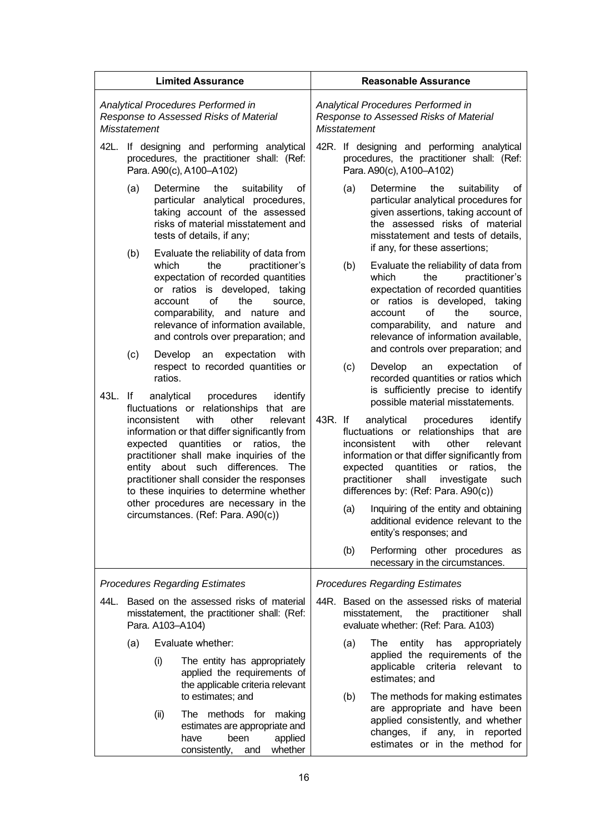|         |                                                                                                     |                                  | <b>Limited Assurance</b>                                                                                                                                                                                                                                                                                                                                                                                            | <b>Reasonable Assurance</b>                                                                         |     |                                                                                                                                                                                                                                                                                                                                                                                              |
|---------|-----------------------------------------------------------------------------------------------------|----------------------------------|---------------------------------------------------------------------------------------------------------------------------------------------------------------------------------------------------------------------------------------------------------------------------------------------------------------------------------------------------------------------------------------------------------------------|-----------------------------------------------------------------------------------------------------|-----|----------------------------------------------------------------------------------------------------------------------------------------------------------------------------------------------------------------------------------------------------------------------------------------------------------------------------------------------------------------------------------------------|
|         | Analytical Procedures Performed in<br>Response to Assessed Risks of Material<br><b>Misstatement</b> |                                  |                                                                                                                                                                                                                                                                                                                                                                                                                     | Analytical Procedures Performed in<br>Response to Assessed Risks of Material<br><b>Misstatement</b> |     |                                                                                                                                                                                                                                                                                                                                                                                              |
| 42L.    |                                                                                                     |                                  | If designing and performing analytical<br>procedures, the practitioner shall: (Ref:<br>Para. A90(c), A100-A102)                                                                                                                                                                                                                                                                                                     |                                                                                                     |     | 42R. If designing and performing analytical<br>procedures, the practitioner shall: (Ref:<br>Para. A90(c), A100-A102)                                                                                                                                                                                                                                                                         |
|         | (a)                                                                                                 |                                  | Determine<br>the<br>suitability<br>of<br>particular analytical procedures,<br>taking account of the assessed<br>risks of material misstatement and<br>tests of details, if any;                                                                                                                                                                                                                                     |                                                                                                     | (a) | Determine<br>the<br>suitability<br>of<br>particular analytical procedures for<br>given assertions, taking account of<br>the assessed risks of material<br>misstatement and tests of details,<br>if any, for these assertions;                                                                                                                                                                |
|         | (b)                                                                                                 | which<br>account                 | Evaluate the reliability of data from<br>the<br>practitioner's<br>expectation of recorded quantities<br>or ratios is developed, taking<br>of<br>the<br>source,<br>comparability, and nature and<br>relevance of information available,<br>and controls over preparation; and                                                                                                                                        |                                                                                                     | (b) | Evaluate the reliability of data from<br>the<br>which<br>practitioner's<br>expectation of recorded quantities<br>or ratios is developed, taking<br>of<br>the<br>account<br>source,<br>comparability,<br>and nature and<br>relevance of information available,<br>and controls over preparation; and                                                                                          |
| 43L. If | (c)                                                                                                 | Develop<br>ratios.<br>analytical | expectation with<br>an<br>respect to recorded quantities or<br>procedures<br>identify                                                                                                                                                                                                                                                                                                                               |                                                                                                     | (c) | expectation<br>Develop<br>an<br>οf<br>recorded quantities or ratios which<br>is sufficiently precise to identify<br>possible material misstatements.                                                                                                                                                                                                                                         |
|         |                                                                                                     | inconsistent                     | fluctuations or relationships that are<br>with<br>other<br>relevant<br>information or that differ significantly from<br>expected quantities or ratios, the<br>practitioner shall make inquiries of the<br>entity about such differences. The<br>practitioner shall consider the responses<br>to these inquiries to determine whether<br>other procedures are necessary in the<br>circumstances. (Ref: Para. A90(c)) | 43R. If                                                                                             | (a) | analytical<br>procedures<br>identify<br>fluctuations or relationships that are<br>with<br>other<br>inconsistent<br>relevant<br>information or that differ significantly from<br>expected quantities or ratios,<br>the<br>practitioner<br>shall<br>investigate<br>such<br>differences by: (Ref: Para. A90(c))<br>Inquiring of the entity and obtaining<br>additional evidence relevant to the |
|         |                                                                                                     |                                  |                                                                                                                                                                                                                                                                                                                                                                                                                     |                                                                                                     | (b) | entity's responses; and<br>Performing other procedures as                                                                                                                                                                                                                                                                                                                                    |
|         |                                                                                                     |                                  |                                                                                                                                                                                                                                                                                                                                                                                                                     |                                                                                                     |     | necessary in the circumstances.                                                                                                                                                                                                                                                                                                                                                              |
|         |                                                                                                     |                                  | <b>Procedures Regarding Estimates</b>                                                                                                                                                                                                                                                                                                                                                                               |                                                                                                     |     | <b>Procedures Regarding Estimates</b>                                                                                                                                                                                                                                                                                                                                                        |
| 44L.    |                                                                                                     |                                  | Based on the assessed risks of material<br>misstatement, the practitioner shall: (Ref:<br>Para. A103-A104)                                                                                                                                                                                                                                                                                                          |                                                                                                     |     | 44R. Based on the assessed risks of material<br>misstatement,<br>the<br>practitioner<br>shall<br>evaluate whether: (Ref: Para. A103)                                                                                                                                                                                                                                                         |
|         | (a)                                                                                                 |                                  | Evaluate whether:                                                                                                                                                                                                                                                                                                                                                                                                   |                                                                                                     | (a) | entity<br>has<br><b>The</b><br>appropriately                                                                                                                                                                                                                                                                                                                                                 |
|         |                                                                                                     | (i)                              | The entity has appropriately<br>applied the requirements of<br>the applicable criteria relevant                                                                                                                                                                                                                                                                                                                     |                                                                                                     |     | applied the requirements of the<br>applicable criteria<br>relevant to<br>estimates; and                                                                                                                                                                                                                                                                                                      |
|         |                                                                                                     | (ii)                             | to estimates; and<br>The methods for<br>making<br>estimates are appropriate and<br>been<br>have<br>applied<br>consistently,<br>whether<br>and                                                                                                                                                                                                                                                                       |                                                                                                     | (b) | The methods for making estimates<br>are appropriate and have been<br>applied consistently, and whether<br>changes, if any, in<br>reported<br>estimates or in the method for                                                                                                                                                                                                                  |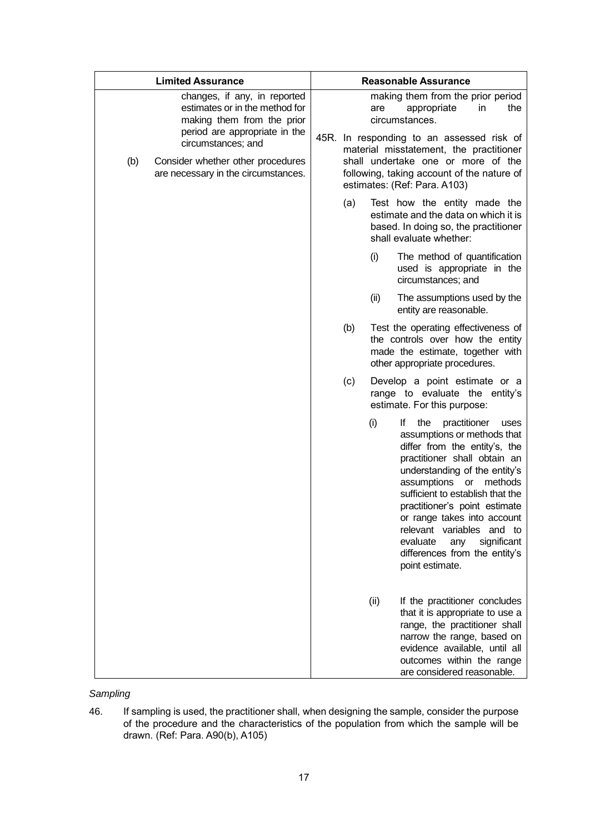| <b>Limited Assurance</b>                                                                                                               | Reasonable Assurance                                                                                                                                                                                                                                                                                                                                                                                                           |
|----------------------------------------------------------------------------------------------------------------------------------------|--------------------------------------------------------------------------------------------------------------------------------------------------------------------------------------------------------------------------------------------------------------------------------------------------------------------------------------------------------------------------------------------------------------------------------|
| changes, if any, in reported<br>estimates or in the method for<br>making them from the prior                                           | making them from the prior period<br>appropriate<br>in<br>the<br>are<br>circumstances.                                                                                                                                                                                                                                                                                                                                         |
| period are appropriate in the<br>circumstances; and<br>(b)<br>Consider whether other procedures<br>are necessary in the circumstances. | 45R. In responding to an assessed risk of<br>material misstatement, the practitioner<br>shall undertake one or more of the<br>following, taking account of the nature of<br>estimates: (Ref: Para. A103)                                                                                                                                                                                                                       |
|                                                                                                                                        | Test how the entity made the<br>(a)<br>estimate and the data on which it is<br>based. In doing so, the practitioner<br>shall evaluate whether:                                                                                                                                                                                                                                                                                 |
|                                                                                                                                        | (i)<br>The method of quantification<br>used is appropriate in the<br>circumstances; and                                                                                                                                                                                                                                                                                                                                        |
|                                                                                                                                        | The assumptions used by the<br>(ii)<br>entity are reasonable.                                                                                                                                                                                                                                                                                                                                                                  |
|                                                                                                                                        | Test the operating effectiveness of<br>(b)<br>the controls over how the entity<br>made the estimate, together with<br>other appropriate procedures.                                                                                                                                                                                                                                                                            |
|                                                                                                                                        | (c)<br>Develop a point estimate or a<br>range to evaluate the entity's<br>estimate. For this purpose:                                                                                                                                                                                                                                                                                                                          |
|                                                                                                                                        | (i)<br>the<br>practitioner<br>lf.<br>uses<br>assumptions or methods that<br>differ from the entity's, the<br>practitioner shall obtain an<br>understanding of the entity's<br>assumptions or<br>methods<br>sufficient to establish that the<br>practitioner's point estimate<br>or range takes into account<br>relevant variables and to<br>significant<br>evaluate<br>any<br>differences from the entity's<br>point estimate. |
|                                                                                                                                        | (ii)<br>If the practitioner concludes<br>that it is appropriate to use a<br>range, the practitioner shall<br>narrow the range, based on<br>evidence available, until all<br>outcomes within the range<br>are considered reasonable.                                                                                                                                                                                            |

*Sampling*

<sup>46.</sup> If sampling is used, the practitioner shall, when designing the sample, consider the purpose of the procedure and the characteristics of the population from which the sample will be drawn. (Ref: Para. A90(b), A105)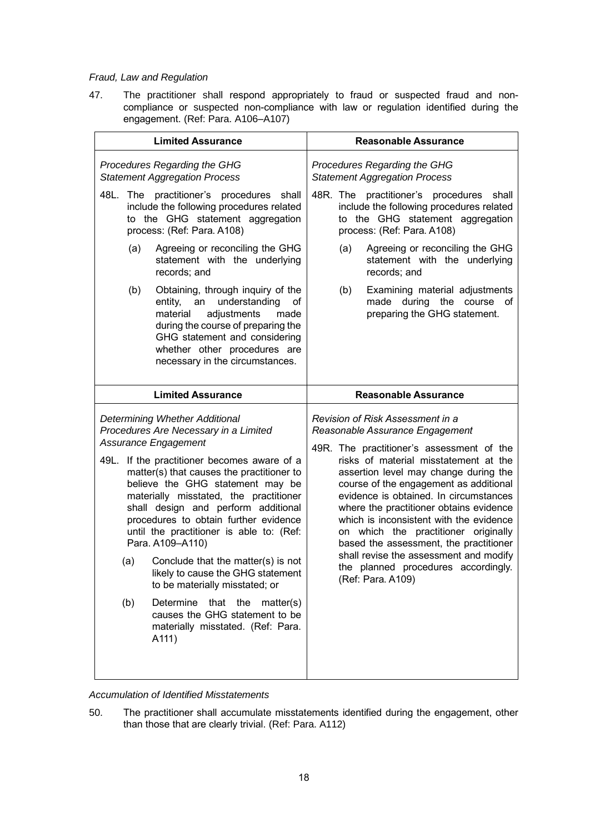*Fraud, Law and Regulation*

47. The practitioner shall respond appropriately to fraud or suspected fraud and noncompliance or suspected non-compliance with law or regulation identified during the engagement. (Ref: Para. A106–A107)

|                    | <b>Limited Assurance</b>                                                                                                                                                                                                                                                                                                                                                                                                                                                                                                                                                                                                                                   | <b>Reasonable Assurance</b>                                                                                                                                                                                                                                                                                                                                                                                                                                                                                                                                          |               |
|--------------------|------------------------------------------------------------------------------------------------------------------------------------------------------------------------------------------------------------------------------------------------------------------------------------------------------------------------------------------------------------------------------------------------------------------------------------------------------------------------------------------------------------------------------------------------------------------------------------------------------------------------------------------------------------|----------------------------------------------------------------------------------------------------------------------------------------------------------------------------------------------------------------------------------------------------------------------------------------------------------------------------------------------------------------------------------------------------------------------------------------------------------------------------------------------------------------------------------------------------------------------|---------------|
|                    | Procedures Regarding the GHG<br><b>Statement Aggregation Process</b>                                                                                                                                                                                                                                                                                                                                                                                                                                                                                                                                                                                       | Procedures Regarding the GHG<br><b>Statement Aggregation Process</b>                                                                                                                                                                                                                                                                                                                                                                                                                                                                                                 |               |
| 48L.<br>The        | practitioner's procedures<br>shall<br>include the following procedures related<br>to the GHG statement aggregation<br>process: (Ref: Para. A108)                                                                                                                                                                                                                                                                                                                                                                                                                                                                                                           | 48R. The<br>practitioner's<br>procedures<br>shall<br>include the following procedures related<br>to the GHG statement aggregation<br>process: (Ref: Para. A108)                                                                                                                                                                                                                                                                                                                                                                                                      |               |
| (a)                | Agreeing or reconciling the GHG<br>statement with the underlying<br>records; and                                                                                                                                                                                                                                                                                                                                                                                                                                                                                                                                                                           | Agreeing or reconciling the GHG<br>(a)<br>statement with the underlying<br>records; and                                                                                                                                                                                                                                                                                                                                                                                                                                                                              |               |
| (b)                | Obtaining, through inquiry of the<br>understanding<br>entity,<br>an<br>οf<br>adjustments<br>material<br>made<br>during the course of preparing the<br>GHG statement and considering<br>whether other procedures are<br>necessary in the circumstances.                                                                                                                                                                                                                                                                                                                                                                                                     | (b)<br>Examining material adjustments<br>made<br>during<br>preparing the GHG statement.                                                                                                                                                                                                                                                                                                                                                                                                                                                                              | the course of |
|                    | <b>Limited Assurance</b>                                                                                                                                                                                                                                                                                                                                                                                                                                                                                                                                                                                                                                   | <b>Reasonable Assurance</b>                                                                                                                                                                                                                                                                                                                                                                                                                                                                                                                                          |               |
|                    |                                                                                                                                                                                                                                                                                                                                                                                                                                                                                                                                                                                                                                                            |                                                                                                                                                                                                                                                                                                                                                                                                                                                                                                                                                                      |               |
| 49L.<br>(a)<br>(b) | Determining Whether Additional<br>Procedures Are Necessary in a Limited<br>Assurance Engagement<br>If the practitioner becomes aware of a<br>matter(s) that causes the practitioner to<br>believe the GHG statement may be<br>materially misstated, the practitioner<br>shall design and perform additional<br>procedures to obtain further evidence<br>until the practitioner is able to: (Ref:<br>Para. A109-A110)<br>Conclude that the matter(s) is not<br>likely to cause the GHG statement<br>to be materially misstated; or<br>Determine<br>that<br>the<br>matter(s)<br>causes the GHG statement to be<br>materially misstated. (Ref: Para.<br>A111) | Revision of Risk Assessment in a<br>Reasonable Assurance Engagement<br>49R. The practitioner's assessment of the<br>risks of material misstatement at the<br>assertion level may change during the<br>course of the engagement as additional<br>evidence is obtained. In circumstances<br>where the practitioner obtains evidence<br>which is inconsistent with the evidence<br>on which the practitioner originally<br>based the assessment, the practitioner<br>shall revise the assessment and modify<br>the planned procedures accordingly.<br>(Ref: Para. A109) |               |

*Accumulation of Identified Misstatements*

50. The practitioner shall accumulate misstatements identified during the engagement, other than those that are clearly trivial. (Ref: Para. A112)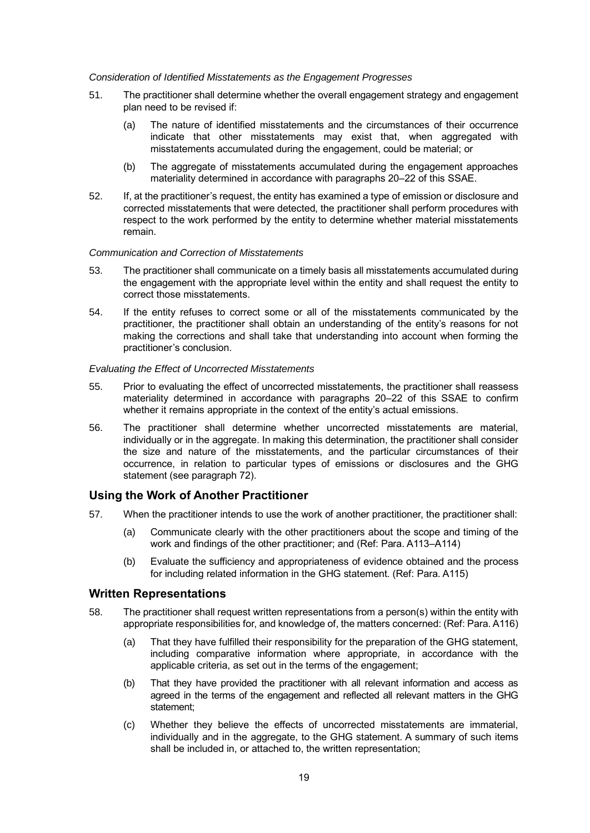*Consideration of Identified Misstatements as the Engagement Progresses*

- 51. The practitioner shall determine whether the overall engagement strategy and engagement plan need to be revised if:
	- (a) The nature of identified misstatements and the circumstances of their occurrence indicate that other misstatements may exist that, when aggregated with misstatements accumulated during the engagement, could be material; or
	- (b) The aggregate of misstatements accumulated during the engagement approaches materiality determined in accordance with paragraphs 20–22 of this SSAE.
- 52. If, at the practitioner's request, the entity has examined a type of emission or disclosure and corrected misstatements that were detected, the practitioner shall perform procedures with respect to the work performed by the entity to determine whether material misstatements remain.

#### *Communication and Correction of Misstatements*

- 53. The practitioner shall communicate on a timely basis all misstatements accumulated during the engagement with the appropriate level within the entity and shall request the entity to correct those misstatements.
- 54. If the entity refuses to correct some or all of the misstatements communicated by the practitioner, the practitioner shall obtain an understanding of the entity's reasons for not making the corrections and shall take that understanding into account when forming the practitioner's conclusion.

#### *Evaluating the Effect of Uncorrected Misstatements*

- 55. Prior to evaluating the effect of uncorrected misstatements, the practitioner shall reassess materiality determined in accordance with paragraphs 20–22 of this SSAE to confirm whether it remains appropriate in the context of the entity's actual emissions.
- 56. The practitioner shall determine whether uncorrected misstatements are material, individually or in the aggregate. In making this determination, the practitioner shall consider the size and nature of the misstatements, and the particular circumstances of their occurrence, in relation to particular types of emissions or disclosures and the GHG statement (see paragraph 72).

## **Using the Work of Another Practitioner**

- 57. When the practitioner intends to use the work of another practitioner, the practitioner shall:
	- (a) Communicate clearly with the other practitioners about the scope and timing of the work and findings of the other practitioner; and (Ref: Para. A113–A114)
	- (b) Evaluate the sufficiency and appropriateness of evidence obtained and the process for including related information in the GHG statement. (Ref: Para. A115)

### **Written Representations**

- 58. The practitioner shall request written representations from a person(s) within the entity with appropriate responsibilities for, and knowledge of, the matters concerned: (Ref: Para. A116)
	- (a) That they have fulfilled their responsibility for the preparation of the GHG statement, including comparative information where appropriate, in accordance with the applicable criteria, as set out in the terms of the engagement;
	- (b) That they have provided the practitioner with all relevant information and access as agreed in the terms of the engagement and reflected all relevant matters in the GHG statement;
	- (c) Whether they believe the effects of uncorrected misstatements are immaterial, individually and in the aggregate, to the GHG statement. A summary of such items shall be included in, or attached to, the written representation;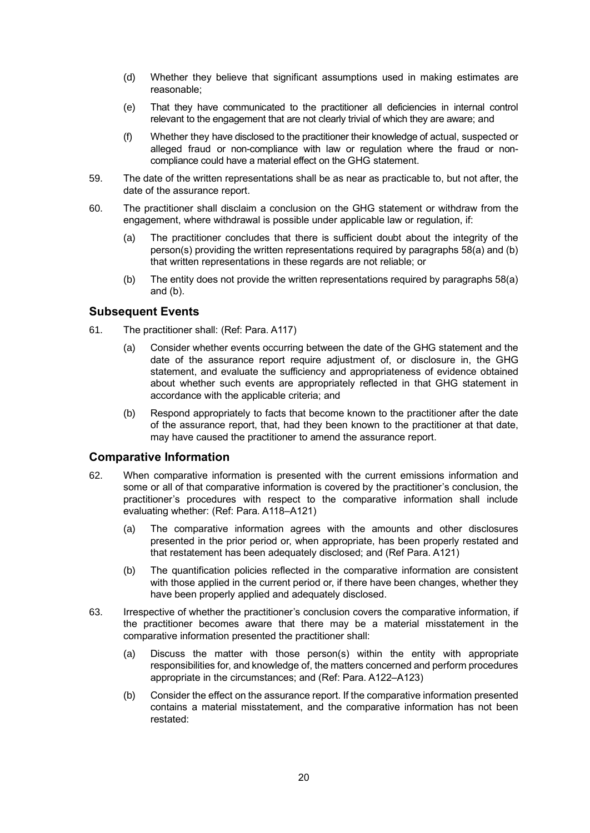- (d) Whether they believe that significant assumptions used in making estimates are reasonable;
- (e) That they have communicated to the practitioner all deficiencies in internal control relevant to the engagement that are not clearly trivial of which they are aware; and
- (f) Whether they have disclosed to the practitioner their knowledge of actual, suspected or alleged fraud or non-compliance with law or regulation where the fraud or noncompliance could have a material effect on the GHG statement.
- 59. The date of the written representations shall be as near as practicable to, but not after, the date of the assurance report.
- 60. The practitioner shall disclaim a conclusion on the GHG statement or withdraw from the engagement, where withdrawal is possible under applicable law or regulation, if:
	- (a) The practitioner concludes that there is sufficient doubt about the integrity of the person(s) providing the written representations required by paragraphs 58(a) and (b) that written representations in these regards are not reliable; or
	- (b) The entity does not provide the written representations required by paragraphs 58(a) and (b).

## **Subsequent Events**

- 61. The practitioner shall: (Ref: Para. A117)
	- (a) Consider whether events occurring between the date of the GHG statement and the date of the assurance report require adjustment of, or disclosure in, the GHG statement, and evaluate the sufficiency and appropriateness of evidence obtained about whether such events are appropriately reflected in that GHG statement in accordance with the applicable criteria; and
	- (b) Respond appropriately to facts that become known to the practitioner after the date of the assurance report, that, had they been known to the practitioner at that date, may have caused the practitioner to amend the assurance report.

#### **Comparative Information**

- 62. When comparative information is presented with the current emissions information and some or all of that comparative information is covered by the practitioner's conclusion, the practitioner's procedures with respect to the comparative information shall include evaluating whether: (Ref: Para. A118–A121)
	- (a) The comparative information agrees with the amounts and other disclosures presented in the prior period or, when appropriate, has been properly restated and that restatement has been adequately disclosed; and (Ref Para. A121)
	- (b) The quantification policies reflected in the comparative information are consistent with those applied in the current period or, if there have been changes, whether they have been properly applied and adequately disclosed.
- 63. Irrespective of whether the practitioner's conclusion covers the comparative information, if the practitioner becomes aware that there may be a material misstatement in the comparative information presented the practitioner shall:
	- (a) Discuss the matter with those person(s) within the entity with appropriate responsibilities for, and knowledge of, the matters concerned and perform procedures appropriate in the circumstances; and (Ref: Para. A122–A123)
	- (b) Consider the effect on the assurance report. If the comparative information presented contains a material misstatement, and the comparative information has not been restated: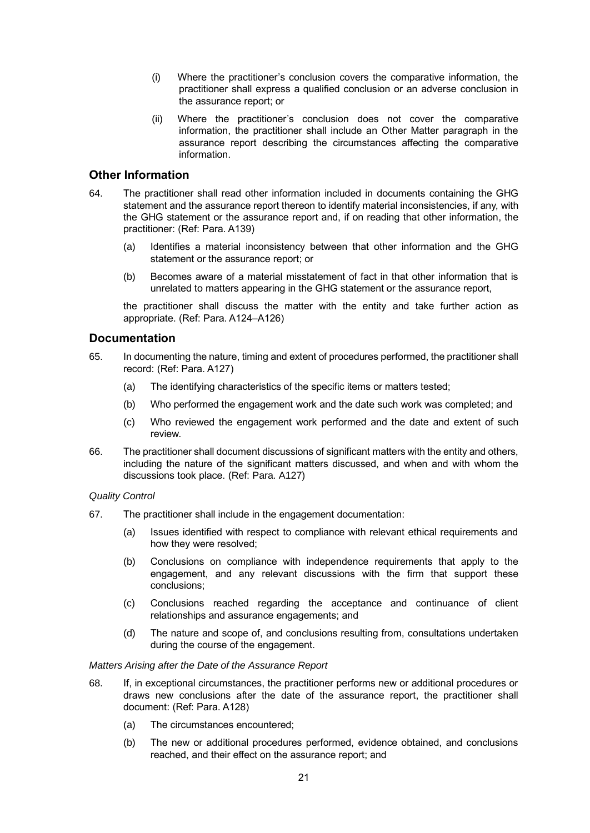- (i) Where the practitioner's conclusion covers the comparative information, the practitioner shall express a qualified conclusion or an adverse conclusion in the assurance report; or
- (ii) Where the practitioner's conclusion does not cover the comparative information, the practitioner shall include an Other Matter paragraph in the assurance report describing the circumstances affecting the comparative information.

# **Other Information**

- 64. The practitioner shall read other information included in documents containing the GHG statement and the assurance report thereon to identify material inconsistencies, if any, with the GHG statement or the assurance report and, if on reading that other information, the practitioner: (Ref: Para. A139)
	- (a) Identifies a material inconsistency between that other information and the GHG statement or the assurance report; or
	- (b) Becomes aware of a material misstatement of fact in that other information that is unrelated to matters appearing in the GHG statement or the assurance report,

the practitioner shall discuss the matter with the entity and take further action as appropriate. (Ref: Para. A124*–*A126)

## **Documentation**

- 65. In documenting the nature, timing and extent of procedures performed, the practitioner shall record: (Ref: Para. A127)
	- (a) The identifying characteristics of the specific items or matters tested;
	- (b) Who performed the engagement work and the date such work was completed; and
	- (c) Who reviewed the engagement work performed and the date and extent of such review.
- 66. The practitioner shall document discussions of significant matters with the entity and others, including the nature of the significant matters discussed, and when and with whom the discussions took place. (Ref: Para. A127)

## *Quality Control*

- 67. The practitioner shall include in the engagement documentation:
	- (a) Issues identified with respect to compliance with relevant ethical requirements and how they were resolved;
	- (b) Conclusions on compliance with independence requirements that apply to the engagement, and any relevant discussions with the firm that support these conclusions;
	- (c) Conclusions reached regarding the acceptance and continuance of client relationships and assurance engagements; and
	- (d) The nature and scope of, and conclusions resulting from, consultations undertaken during the course of the engagement.

#### *Matters Arising after the Date of the Assurance Report*

- 68. If, in exceptional circumstances, the practitioner performs new or additional procedures or draws new conclusions after the date of the assurance report, the practitioner shall document: (Ref: Para. A128)
	- (a) The circumstances encountered;
	- (b) The new or additional procedures performed, evidence obtained, and conclusions reached, and their effect on the assurance report; and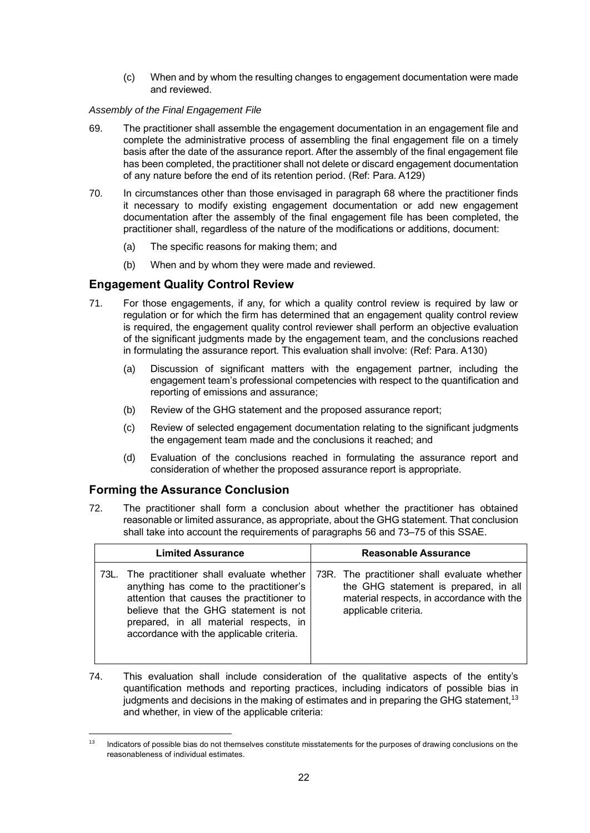(c) When and by whom the resulting changes to engagement documentation were made and reviewed.

## *Assembly of the Final Engagement File*

- 69. The practitioner shall assemble the engagement documentation in an engagement file and complete the administrative process of assembling the final engagement file on a timely basis after the date of the assurance report. After the assembly of the final engagement file has been completed, the practitioner shall not delete or discard engagement documentation of any nature before the end of its retention period. (Ref: Para. A129)
- 70. In circumstances other than those envisaged in paragraph 68 where the practitioner finds it necessary to modify existing engagement documentation or add new engagement documentation after the assembly of the final engagement file has been completed, the practitioner shall, regardless of the nature of the modifications or additions, document:
	- (a) The specific reasons for making them; and
	- (b) When and by whom they were made and reviewed.

# **Engagement Quality Control Review**

- 71. For those engagements, if any, for which a quality control review is required by law or regulation or for which the firm has determined that an engagement quality control review is required, the engagement quality control reviewer shall perform an objective evaluation of the significant judgments made by the engagement team, and the conclusions reached in formulating the assurance report. This evaluation shall involve: (Ref: Para. A130)
	- (a) Discussion of significant matters with the engagement partner, including the engagement team's professional competencies with respect to the quantification and reporting of emissions and assurance;
	- (b) Review of the GHG statement and the proposed assurance report;
	- (c) Review of selected engagement documentation relating to the significant judgments the engagement team made and the conclusions it reached; and
	- (d) Evaluation of the conclusions reached in formulating the assurance report and consideration of whether the proposed assurance report is appropriate.

# **Forming the Assurance Conclusion**

72. The practitioner shall form a conclusion about whether the practitioner has obtained reasonable or limited assurance, as appropriate, about the GHG statement. That conclusion shall take into account the requirements of paragraphs 56 and 73–75 of this SSAE.

| <b>Limited Assurance</b>                                                                                                                                                                                                                                            | <b>Reasonable Assurance</b>                                                                                                                                |
|---------------------------------------------------------------------------------------------------------------------------------------------------------------------------------------------------------------------------------------------------------------------|------------------------------------------------------------------------------------------------------------------------------------------------------------|
| 73L. The practitioner shall evaluate whether<br>anything has come to the practitioner's<br>attention that causes the practitioner to<br>believe that the GHG statement is not<br>prepared, in all material respects, in<br>accordance with the applicable criteria. | 73R. The practitioner shall evaluate whether<br>the GHG statement is prepared, in all<br>material respects, in accordance with the<br>applicable criteria. |

74. This evaluation shall include consideration of the qualitative aspects of the entity's quantification methods and reporting practices, including indicators of possible bias in judgments and decisions in the making of estimates and in preparing the GHG statement,  $13$ and whether, in view of the applicable criteria:

<sup>&</sup>lt;sup>13</sup> Indicators of possible bias do not themselves constitute misstatements for the purposes of drawing conclusions on the reasonableness of individual estimates.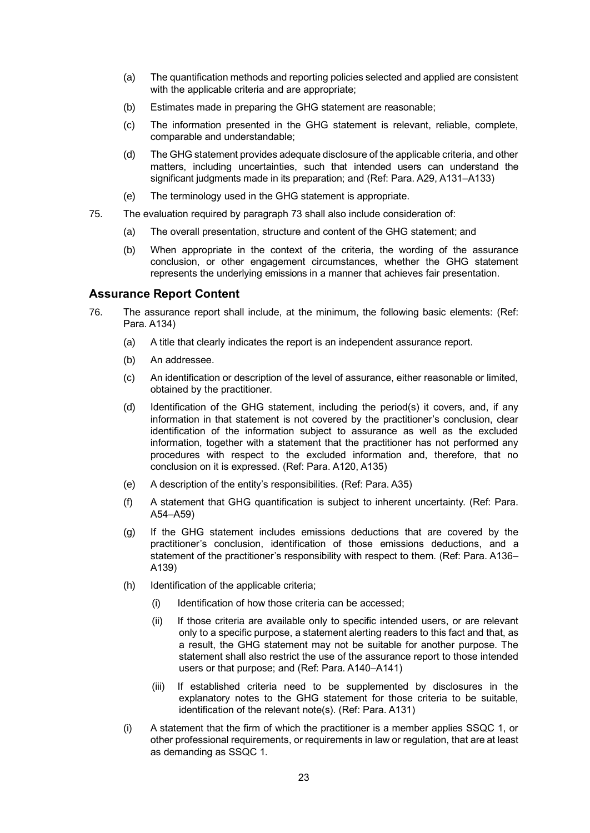- (a) The quantification methods and reporting policies selected and applied are consistent with the applicable criteria and are appropriate;
- (b) Estimates made in preparing the GHG statement are reasonable;
- (c) The information presented in the GHG statement is relevant, reliable, complete, comparable and understandable;
- (d) The GHG statement provides adequate disclosure of the applicable criteria, and other matters, including uncertainties, such that intended users can understand the significant judgments made in its preparation; and (Ref: Para. A29, A131–A133)
- (e) The terminology used in the GHG statement is appropriate.
- 75. The evaluation required by paragraph 73 shall also include consideration of:
	- (a) The overall presentation, structure and content of the GHG statement; and
	- (b) When appropriate in the context of the criteria, the wording of the assurance conclusion, or other engagement circumstances, whether the GHG statement represents the underlying emissions in a manner that achieves fair presentation.

## **Assurance Report Content**

- 76. The assurance report shall include, at the minimum, the following basic elements: (Ref: Para. A134)
	- (a) A title that clearly indicates the report is an independent assurance report.
	- (b) An addressee.
	- (c) An identification or description of the level of assurance, either reasonable or limited, obtained by the practitioner.
	- (d) Identification of the GHG statement, including the period(s) it covers, and, if any information in that statement is not covered by the practitioner's conclusion, clear identification of the information subject to assurance as well as the excluded information, together with a statement that the practitioner has not performed any procedures with respect to the excluded information and, therefore, that no conclusion on it is expressed. (Ref: Para. A120, A135)
	- (e) A description of the entity's responsibilities. (Ref: Para. A35)
	- (f) A statement that GHG quantification is subject to inherent uncertainty. (Ref: Para. A54–A59)
	- (g) If the GHG statement includes emissions deductions that are covered by the practitioner's conclusion, identification of those emissions deductions, and a statement of the practitioner's responsibility with respect to them. (Ref: Para. A136– A139)
	- (h) Identification of the applicable criteria;
		- (i) Identification of how those criteria can be accessed;
		- (ii) If those criteria are available only to specific intended users, or are relevant only to a specific purpose, a statement alerting readers to this fact and that, as a result, the GHG statement may not be suitable for another purpose. The statement shall also restrict the use of the assurance report to those intended users or that purpose; and (Ref: Para. A140–A141)
		- (iii) If established criteria need to be supplemented by disclosures in the explanatory notes to the GHG statement for those criteria to be suitable, identification of the relevant note(s). (Ref: Para. A131)
	- (i) A statement that the firm of which the practitioner is a member applies SSQC 1, or other professional requirements, or requirements in law or regulation, that are at least as demanding as SSQC 1.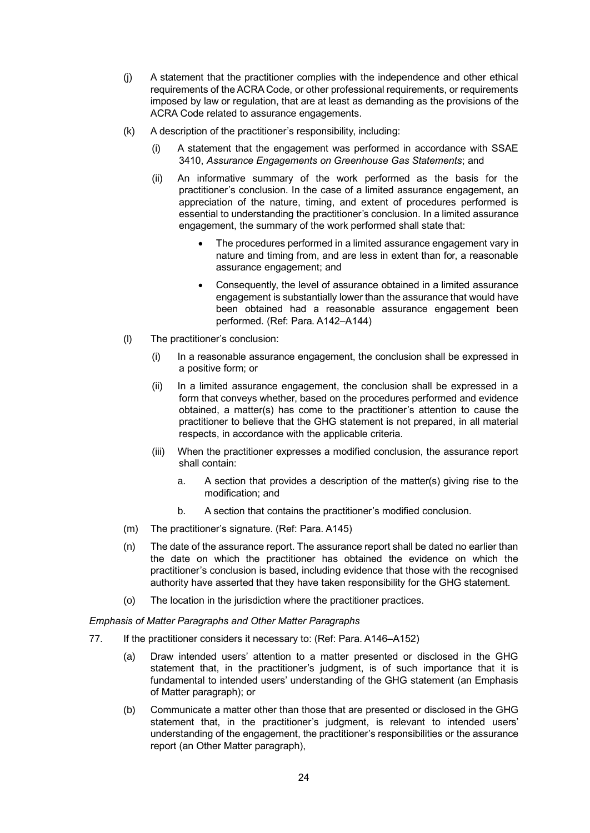- (j) A statement that the practitioner complies with the independence and other ethical requirements of the ACRA Code, or other professional requirements, or requirements imposed by law or regulation, that are at least as demanding as the provisions of the ACRA Code related to assurance engagements.
- (k) A description of the practitioner's responsibility, including:
	- (i) A statement that the engagement was performed in accordance with SSAE 3410, *Assurance Engagements on Greenhouse Gas Statements*; and
	- (ii) An informative summary of the work performed as the basis for the practitioner's conclusion. In the case of a limited assurance engagement, an appreciation of the nature, timing, and extent of procedures performed is essential to understanding the practitioner's conclusion. In a limited assurance engagement, the summary of the work performed shall state that:
		- The procedures performed in a limited assurance engagement vary in nature and timing from, and are less in extent than for, a reasonable assurance engagement; and
		- Consequently, the level of assurance obtained in a limited assurance engagement is substantially lower than the assurance that would have been obtained had a reasonable assurance engagement been performed. (Ref: Para. A142*–*A144)
- (l) The practitioner's conclusion:
	- (i) In a reasonable assurance engagement, the conclusion shall be expressed in a positive form; or
	- (ii) In a limited assurance engagement, the conclusion shall be expressed in a form that conveys whether, based on the procedures performed and evidence obtained, a matter(s) has come to the practitioner's attention to cause the practitioner to believe that the GHG statement is not prepared, in all material respects, in accordance with the applicable criteria.
	- (iii) When the practitioner expresses a modified conclusion, the assurance report shall contain:
		- a. A section that provides a description of the matter(s) giving rise to the modification; and
		- b. A section that contains the practitioner's modified conclusion.
- (m) The practitioner's signature. (Ref: Para. A145)
- (n) The date of the assurance report. The assurance report shall be dated no earlier than the date on which the practitioner has obtained the evidence on which the practitioner's conclusion is based, including evidence that those with the recognised authority have asserted that they have taken responsibility for the GHG statement.
- (o) The location in the jurisdiction where the practitioner practices.

## *Emphasis of Matter Paragraphs and Other Matter Paragraphs*

- 77. If the practitioner considers it necessary to: (Ref: Para. A146–A152)
	- (a) Draw intended users' attention to a matter presented or disclosed in the GHG statement that, in the practitioner's judgment, is of such importance that it is fundamental to intended users' understanding of the GHG statement (an Emphasis of Matter paragraph); or
	- (b) Communicate a matter other than those that are presented or disclosed in the GHG statement that, in the practitioner's judgment, is relevant to intended users' understanding of the engagement, the practitioner's responsibilities or the assurance report (an Other Matter paragraph),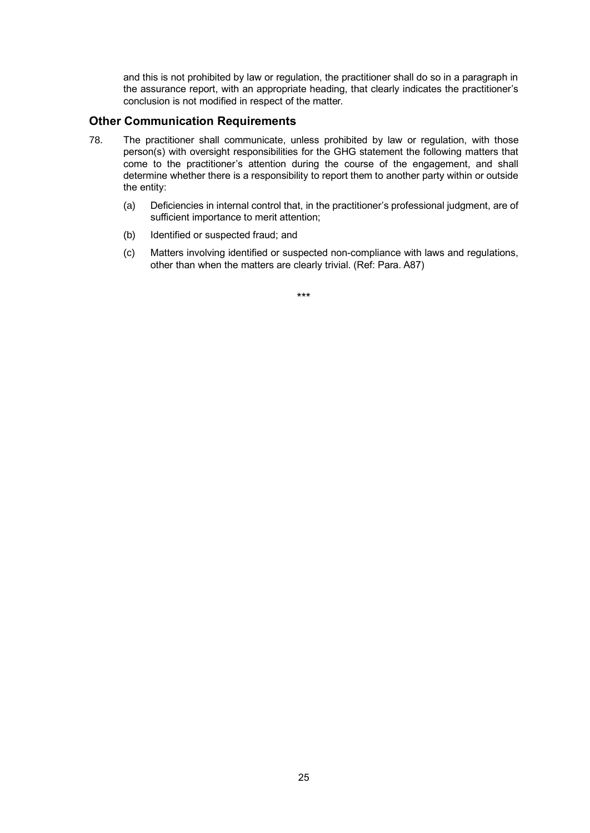and this is not prohibited by law or regulation, the practitioner shall do so in a paragraph in the assurance report, with an appropriate heading, that clearly indicates the practitioner's conclusion is not modified in respect of the matter.

# **Other Communication Requirements**

- 78. The practitioner shall communicate, unless prohibited by law or regulation, with those person(s) with oversight responsibilities for the GHG statement the following matters that come to the practitioner's attention during the course of the engagement, and shall determine whether there is a responsibility to report them to another party within or outside the entity:
	- (a) Deficiencies in internal control that, in the practitioner's professional judgment, are of sufficient importance to merit attention;
	- (b) Identified or suspected fraud; and
	- (c) Matters involving identified or suspected non-compliance with laws and regulations, other than when the matters are clearly trivial. (Ref: Para. A87)

\*\*\*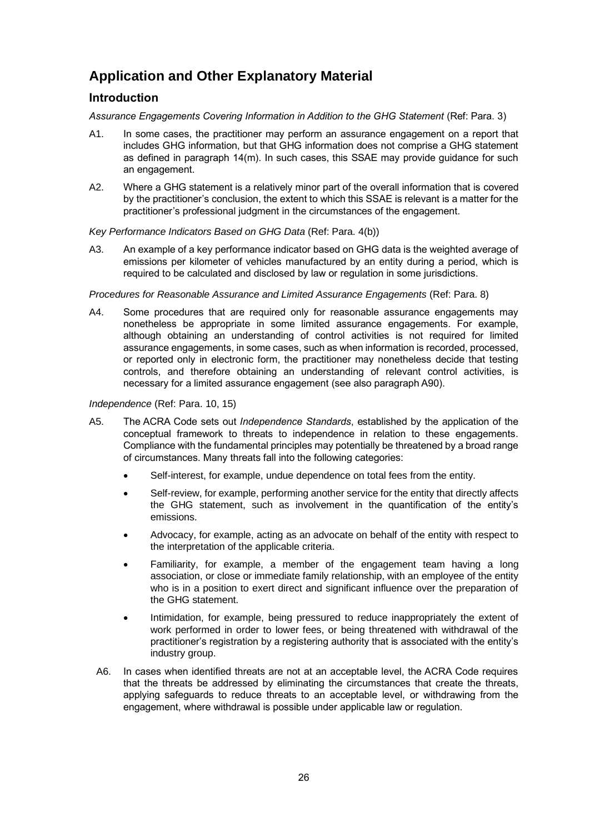# **Application and Other Explanatory Material**

# **Introduction**

*Assurance Engagements Covering Information in Addition to the GHG Statement (Ref: Para. 3)* 

- A1. In some cases, the practitioner may perform an assurance engagement on a report that includes GHG information, but that GHG information does not comprise a GHG statement as defined in paragraph 14(m). In such cases, this SSAE may provide guidance for such an engagement.
- A2. Where a GHG statement is a relatively minor part of the overall information that is covered by the practitioner's conclusion, the extent to which this SSAE is relevant is a matter for the practitioner's professional judgment in the circumstances of the engagement.

### *Key Performance Indicators Based on GHG Data* (Ref: Para. 4(b))

A3. An example of a key performance indicator based on GHG data is the weighted average of emissions per kilometer of vehicles manufactured by an entity during a period, which is required to be calculated and disclosed by law or regulation in some jurisdictions.

#### *Procedures for Reasonable Assurance and Limited Assurance Engagements* (Ref: Para. 8)

A4. Some procedures that are required only for reasonable assurance engagements may nonetheless be appropriate in some limited assurance engagements. For example, although obtaining an understanding of control activities is not required for limited assurance engagements, in some cases, such as when information is recorded, processed, or reported only in electronic form, the practitioner may nonetheless decide that testing controls, and therefore obtaining an understanding of relevant control activities, is necessary for a limited assurance engagement (see also paragraph A90).

#### *Independence* (Ref: Para. 10, 15)

- A5. The ACRA Code sets out *Independence Standards*, established by the application of the conceptual framework to threats to independence in relation to these engagements. Compliance with the fundamental principles may potentially be threatened by a broad range of circumstances. Many threats fall into the following categories:
	- Self-interest, for example, undue dependence on total fees from the entity.
	- Self-review, for example, performing another service for the entity that directly affects the GHG statement, such as involvement in the quantification of the entity's emissions.
	- Advocacy, for example, acting as an advocate on behalf of the entity with respect to the interpretation of the applicable criteria.
	- Familiarity, for example, a member of the engagement team having a long association, or close or immediate family relationship, with an employee of the entity who is in a position to exert direct and significant influence over the preparation of the GHG statement.
	- Intimidation, for example, being pressured to reduce inappropriately the extent of work performed in order to lower fees, or being threatened with withdrawal of the practitioner's registration by a registering authority that is associated with the entity's industry group.
	- A6. In cases when identified threats are not at an acceptable level, the ACRA Code requires that the threats be addressed by eliminating the circumstances that create the threats, applying safeguards to reduce threats to an acceptable level, or withdrawing from the engagement, where withdrawal is possible under applicable law or regulation.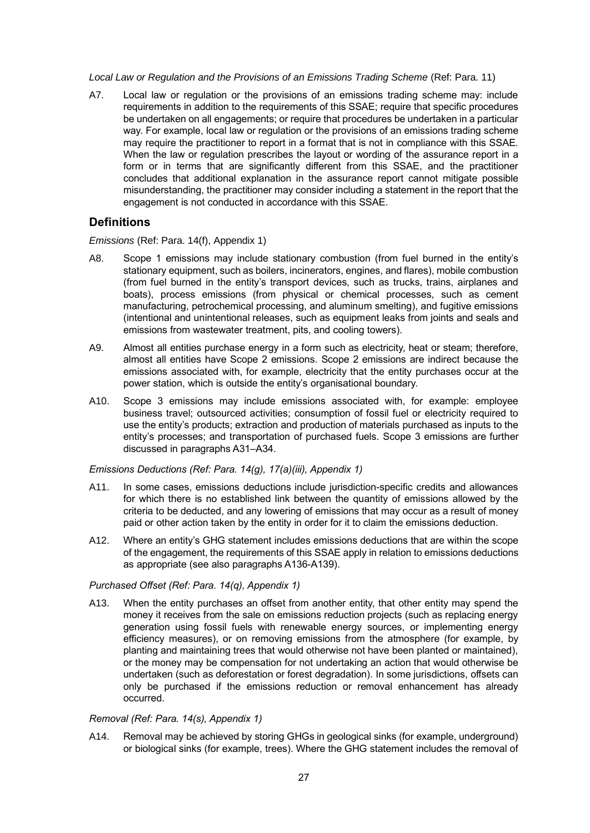*Local Law or Regulation and the Provisions of an Emissions Trading Scheme* (Ref: Para. 11)

A7. Local law or regulation or the provisions of an emissions trading scheme may: include requirements in addition to the requirements of this SSAE; require that specific procedures be undertaken on all engagements; or require that procedures be undertaken in a particular way. For example, local law or regulation or the provisions of an emissions trading scheme may require the practitioner to report in a format that is not in compliance with this SSAE. When the law or regulation prescribes the layout or wording of the assurance report in a form or in terms that are significantly different from this SSAE, and the practitioner concludes that additional explanation in the assurance report cannot mitigate possible misunderstanding, the practitioner may consider including a statement in the report that the engagement is not conducted in accordance with this SSAE.

# **Definitions**

*Emissions* (Ref: Para. 14(f), Appendix 1)

- A8. Scope 1 emissions may include stationary combustion (from fuel burned in the entity's stationary equipment, such as boilers, incinerators, engines, and flares), mobile combustion (from fuel burned in the entity's transport devices, such as trucks, trains, airplanes and boats), process emissions (from physical or chemical processes, such as cement manufacturing, petrochemical processing, and aluminum smelting), and fugitive emissions (intentional and unintentional releases, such as equipment leaks from joints and seals and emissions from wastewater treatment, pits, and cooling towers).
- A9. Almost all entities purchase energy in a form such as electricity, heat or steam; therefore, almost all entities have Scope 2 emissions. Scope 2 emissions are indirect because the emissions associated with, for example, electricity that the entity purchases occur at the power station, which is outside the entity's organisational boundary.
- A10. Scope 3 emissions may include emissions associated with, for example: employee business travel; outsourced activities; consumption of fossil fuel or electricity required to use the entity's products; extraction and production of materials purchased as inputs to the entity's processes; and transportation of purchased fuels. Scope 3 emissions are further discussed in paragraphs A31–A34.

## *Emissions Deductions (Ref: Para. 14(g), 17(a)(iii), Appendix 1)*

- A11. In some cases, emissions deductions include jurisdiction-specific credits and allowances for which there is no established link between the quantity of emissions allowed by the criteria to be deducted, and any lowering of emissions that may occur as a result of money paid or other action taken by the entity in order for it to claim the emissions deduction.
- A12. Where an entity's GHG statement includes emissions deductions that are within the scope of the engagement, the requirements of this SSAE apply in relation to emissions deductions as appropriate (see also paragraphs A136-A139).

## *Purchased Offset (Ref: Para. 14(q), Appendix 1)*

A13. When the entity purchases an offset from another entity, that other entity may spend the money it receives from the sale on emissions reduction projects (such as replacing energy generation using fossil fuels with renewable energy sources, or implementing energy efficiency measures), or on removing emissions from the atmosphere (for example, by planting and maintaining trees that would otherwise not have been planted or maintained), or the money may be compensation for not undertaking an action that would otherwise be undertaken (such as deforestation or forest degradation). In some jurisdictions, offsets can only be purchased if the emissions reduction or removal enhancement has already occurred.

## *Removal (Ref: Para. 14(s), Appendix 1)*

A14. Removal may be achieved by storing GHGs in geological sinks (for example, underground) or biological sinks (for example, trees). Where the GHG statement includes the removal of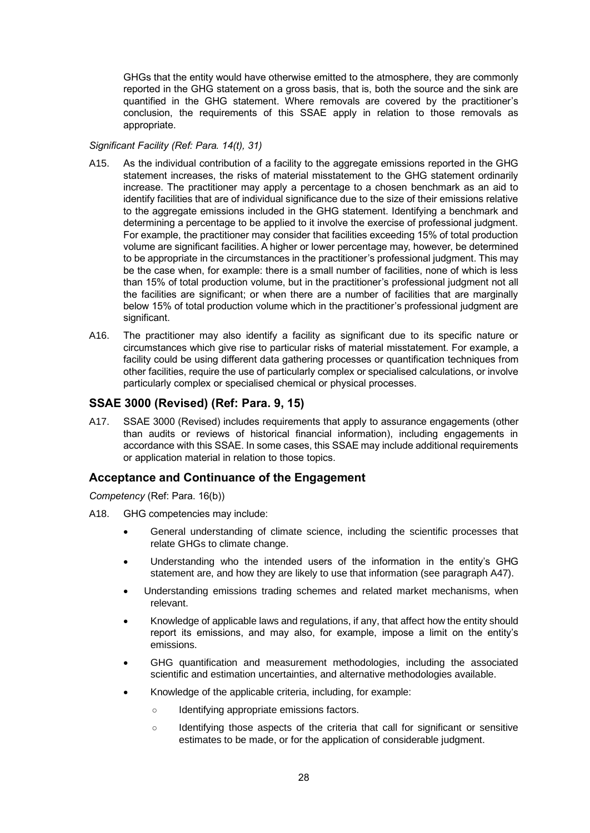GHGs that the entity would have otherwise emitted to the atmosphere, they are commonly reported in the GHG statement on a gross basis, that is, both the source and the sink are quantified in the GHG statement. Where removals are covered by the practitioner's conclusion, the requirements of this SSAE apply in relation to those removals as appropriate.

### *Significant Facility (Ref: Para. 14(t), 31)*

- A15. As the individual contribution of a facility to the aggregate emissions reported in the GHG statement increases, the risks of material misstatement to the GHG statement ordinarily increase. The practitioner may apply a percentage to a chosen benchmark as an aid to identify facilities that are of individual significance due to the size of their emissions relative to the aggregate emissions included in the GHG statement. Identifying a benchmark and determining a percentage to be applied to it involve the exercise of professional judgment. For example, the practitioner may consider that facilities exceeding 15% of total production volume are significant facilities. A higher or lower percentage may, however, be determined to be appropriate in the circumstances in the practitioner's professional judgment. This may be the case when, for example: there is a small number of facilities, none of which is less than 15% of total production volume, but in the practitioner's professional judgment not all the facilities are significant; or when there are a number of facilities that are marginally below 15% of total production volume which in the practitioner's professional judgment are significant.
- A16. The practitioner may also identify a facility as significant due to its specific nature or circumstances which give rise to particular risks of material misstatement. For example, a facility could be using different data gathering processes or quantification techniques from other facilities, require the use of particularly complex or specialised calculations, or involve particularly complex or specialised chemical or physical processes.

# **SSAE 3000 (Revised) (Ref: Para. 9, 15)**

A17. SSAE 3000 (Revised) includes requirements that apply to assurance engagements (other than audits or reviews of historical financial information), including engagements in accordance with this SSAE. In some cases, this SSAE may include additional requirements or application material in relation to those topics.

# **Acceptance and Continuance of the Engagement**

*Competency* (Ref: Para. 16(b))

- A18. GHG competencies may include:
	- General understanding of climate science, including the scientific processes that relate GHGs to climate change.
	- Understanding who the intended users of the information in the entity's GHG statement are, and how they are likely to use that information (see paragraph A47).
	- Understanding emissions trading schemes and related market mechanisms, when relevant.
	- Knowledge of applicable laws and regulations, if any, that affect how the entity should report its emissions, and may also, for example, impose a limit on the entity's emissions.
	- GHG quantification and measurement methodologies, including the associated scientific and estimation uncertainties, and alternative methodologies available.
	- Knowledge of the applicable criteria, including, for example:
		- Identifying appropriate emissions factors.
		- Identifying those aspects of the criteria that call for significant or sensitive estimates to be made, or for the application of considerable judgment.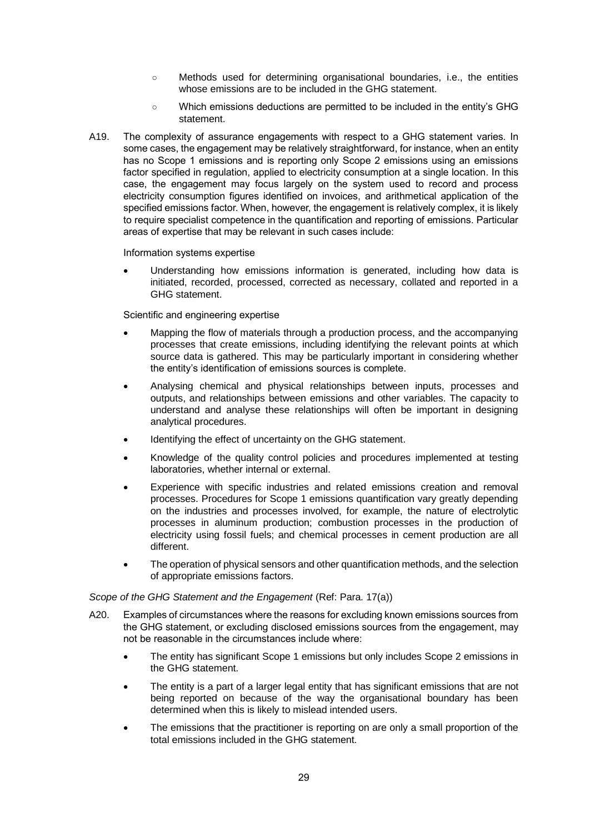- Methods used for determining organisational boundaries, i.e., the entities whose emissions are to be included in the GHG statement.
- Which emissions deductions are permitted to be included in the entity's GHG statement.
- A19. The complexity of assurance engagements with respect to a GHG statement varies. In some cases, the engagement may be relatively straightforward, for instance, when an entity has no Scope 1 emissions and is reporting only Scope 2 emissions using an emissions factor specified in regulation, applied to electricity consumption at a single location. In this case, the engagement may focus largely on the system used to record and process electricity consumption figures identified on invoices, and arithmetical application of the specified emissions factor. When, however, the engagement is relatively complex, it is likely to require specialist competence in the quantification and reporting of emissions. Particular areas of expertise that may be relevant in such cases include:

Information systems expertise

• Understanding how emissions information is generated, including how data is initiated, recorded, processed, corrected as necessary, collated and reported in a GHG statement.

Scientific and engineering expertise

- Mapping the flow of materials through a production process, and the accompanying processes that create emissions, including identifying the relevant points at which source data is gathered. This may be particularly important in considering whether the entity's identification of emissions sources is complete.
- Analysing chemical and physical relationships between inputs, processes and outputs, and relationships between emissions and other variables. The capacity to understand and analyse these relationships will often be important in designing analytical procedures.
- Identifying the effect of uncertainty on the GHG statement.
- Knowledge of the quality control policies and procedures implemented at testing laboratories, whether internal or external.
- Experience with specific industries and related emissions creation and removal processes. Procedures for Scope 1 emissions quantification vary greatly depending on the industries and processes involved, for example, the nature of electrolytic processes in aluminum production; combustion processes in the production of electricity using fossil fuels; and chemical processes in cement production are all different.
- The operation of physical sensors and other quantification methods, and the selection of appropriate emissions factors.

## *Scope of the GHG Statement and the Engagement* (Ref: Para. 17(a))

- A20. Examples of circumstances where the reasons for excluding known emissions sources from the GHG statement, or excluding disclosed emissions sources from the engagement, may not be reasonable in the circumstances include where:
	- The entity has significant Scope 1 emissions but only includes Scope 2 emissions in the GHG statement.
	- The entity is a part of a larger legal entity that has significant emissions that are not being reported on because of the way the organisational boundary has been determined when this is likely to mislead intended users.
	- The emissions that the practitioner is reporting on are only a small proportion of the total emissions included in the GHG statement.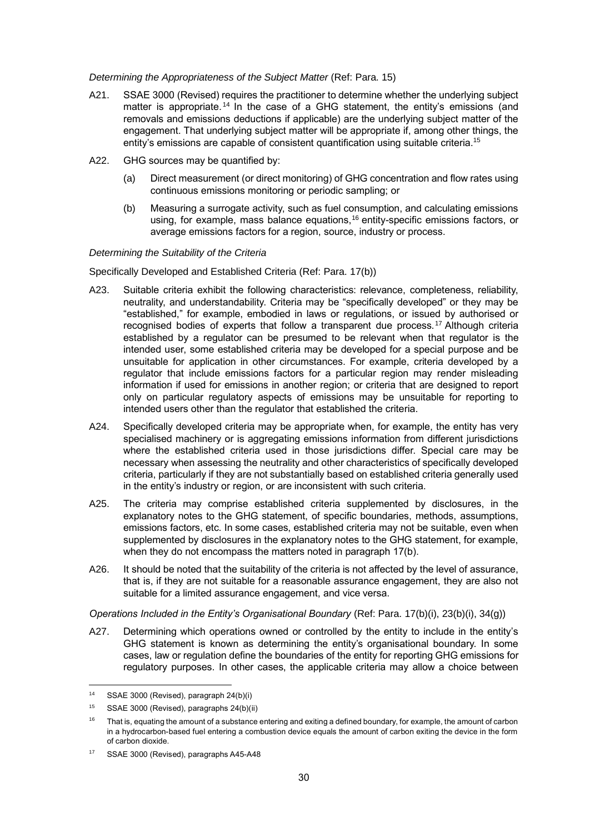#### *Determining the Appropriateness of the Subject Matter (Ref: Para. 15)*

- A21. SSAE 3000 (Revised) requires the practitioner to determine whether the underlying subject matter is appropriate.<sup>14</sup> In the case of a GHG statement, the entity's emissions (and removals and emissions deductions if applicable) are the underlying subject matter of the engagement. That underlying subject matter will be appropriate if, among other things, the entity's emissions are capable of consistent quantification using suitable criteria.<sup>15</sup>
- A22. GHG sources may be quantified by:
	- (a) Direct measurement (or direct monitoring) of GHG concentration and flow rates using continuous emissions monitoring or periodic sampling; or
	- (b) Measuring a surrogate activity, such as fuel consumption, and calculating emissions using, for example, mass balance equations,<sup>16</sup> entity-specific emissions factors, or average emissions factors for a region, source, industry or process.

### *Determining the Suitability of the Criteria*

Specifically Developed and Established Criteria (Ref: Para. 17(b))

- A23. Suitable criteria exhibit the following characteristics: relevance, completeness, reliability, neutrality, and understandability. Criteria may be "specifically developed" or they may be "established," for example, embodied in laws or regulations, or issued by authorised or recognised bodies of experts that follow a transparent due process.<sup>17</sup> Although criteria established by a regulator can be presumed to be relevant when that regulator is the intended user, some established criteria may be developed for a special purpose and be unsuitable for application in other circumstances. For example, criteria developed by a regulator that include emissions factors for a particular region may render misleading information if used for emissions in another region; or criteria that are designed to report only on particular regulatory aspects of emissions may be unsuitable for reporting to intended users other than the regulator that established the criteria.
- A24. Specifically developed criteria may be appropriate when, for example, the entity has very specialised machinery or is aggregating emissions information from different jurisdictions where the established criteria used in those jurisdictions differ. Special care may be necessary when assessing the neutrality and other characteristics of specifically developed criteria, particularly if they are not substantially based on established criteria generally used in the entity's industry or region, or are inconsistent with such criteria.
- A25. The criteria may comprise established criteria supplemented by disclosures, in the explanatory notes to the GHG statement, of specific boundaries, methods, assumptions, emissions factors, etc. In some cases, established criteria may not be suitable, even when supplemented by disclosures in the explanatory notes to the GHG statement, for example, when they do not encompass the matters noted in paragraph 17(b).
- A26. It should be noted that the suitability of the criteria is not affected by the level of assurance, that is, if they are not suitable for a reasonable assurance engagement, they are also not suitable for a limited assurance engagement, and vice versa.

## *Operations Included in the Entity's Organisational Boundary* (Ref: Para. 17(b)(i), 23(b)(i), 34(g))

A27. Determining which operations owned or controlled by the entity to include in the entity's GHG statement is known as determining the entity's organisational boundary. In some cases, law or regulation define the boundaries of the entity for reporting GHG emissions for regulatory purposes. In other cases, the applicable criteria may allow a choice between

<sup>14</sup> SSAE 3000 (Revised), paragraph 24(b)(i)

<sup>15</sup> SSAE 3000 (Revised), paragraphs 24(b)(ii)

<sup>&</sup>lt;sup>16</sup> That is, equating the amount of a substance entering and exiting a defined boundary, for example, the amount of carbon in a hydrocarbon-based fuel entering a combustion device equals the amount of carbon exiting the device in the form of carbon dioxide.

<sup>17</sup> SSAE 3000 (Revised), paragraphs A45-A48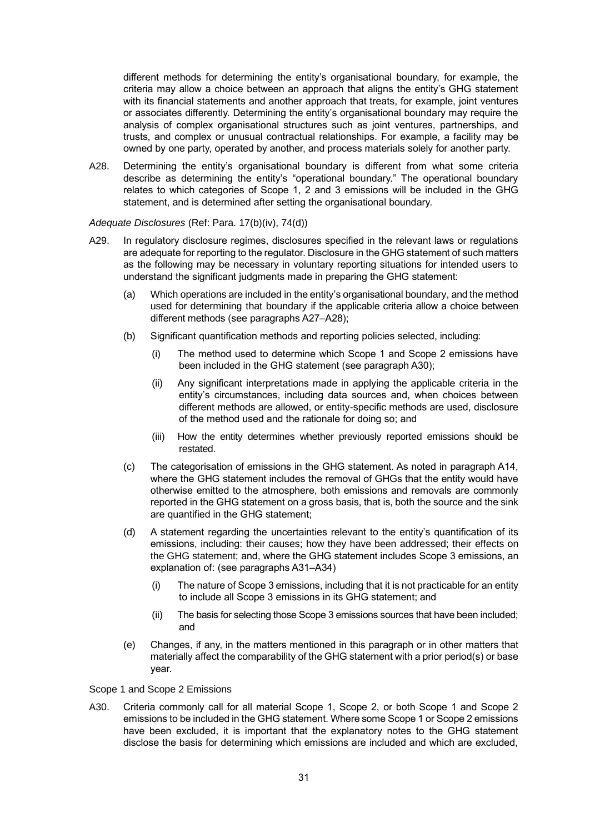different methods for determining the entity's organisational boundary, for example, the criteria may allow a choice between an approach that aligns the entity's GHG statement with its financial statements and another approach that treats, for example, joint ventures or associates differently. Determining the entity's organisational boundary may require the analysis of complex organisational structures such as joint ventures, partnerships, and trusts, and complex or unusual contractual relationships. For example, a facility may be owned by one party, operated by another, and process materials solely for another party.

A28. Determining the entity's organisational boundary is different from what some criteria describe as determining the entity's "operational boundary." The operational boundary relates to which categories of Scope 1, 2 and 3 emissions will be included in the GHG statement, and is determined after setting the organisational boundary.

*Adequate Disclosures* (Ref: Para. 17(b)(iv), 74(d))

- A29. In regulatory disclosure regimes, disclosures specified in the relevant laws or regulations are adequate for reporting to the regulator. Disclosure in the GHG statement of such matters as the following may be necessary in voluntary reporting situations for intended users to understand the significant judgments made in preparing the GHG statement:
	- (a) Which operations are included in the entity's organisational boundary, and the method used for determining that boundary if the applicable criteria allow a choice between different methods (see paragraphs A27–A28);
	- (b) Significant quantification methods and reporting policies selected, including:
		- (i) The method used to determine which Scope 1 and Scope 2 emissions have been included in the GHG statement (see paragraph A30);
		- (ii) Any significant interpretations made in applying the applicable criteria in the entity's circumstances, including data sources and, when choices between different methods are allowed, or entity-specific methods are used, disclosure of the method used and the rationale for doing so; and
		- (iii) How the entity determines whether previously reported emissions should be restated.
	- (c) The categorisation of emissions in the GHG statement. As noted in paragraph A14, where the GHG statement includes the removal of GHGs that the entity would have otherwise emitted to the atmosphere, both emissions and removals are commonly reported in the GHG statement on a gross basis, that is, both the source and the sink are quantified in the GHG statement;
	- (d) A statement regarding the uncertainties relevant to the entity's quantification of its emissions, including: their causes; how they have been addressed; their effects on the GHG statement; and, where the GHG statement includes Scope 3 emissions, an explanation of: (see paragraphs A31–A34)
		- (i) The nature of Scope 3 emissions, including that it is not practicable for an entity to include all Scope 3 emissions in its GHG statement; and
		- (ii) The basis for selecting those Scope 3 emissions sources that have been included; and
	- (e) Changes, if any, in the matters mentioned in this paragraph or in other matters that materially affect the comparability of the GHG statement with a prior period(s) or base year.

## Scope 1 and Scope 2 Emissions

A30. Criteria commonly call for all material Scope 1, Scope 2, or both Scope 1 and Scope 2 emissions to be included in the GHG statement. Where some Scope 1 or Scope 2 emissions have been excluded, it is important that the explanatory notes to the GHG statement disclose the basis for determining which emissions are included and which are excluded,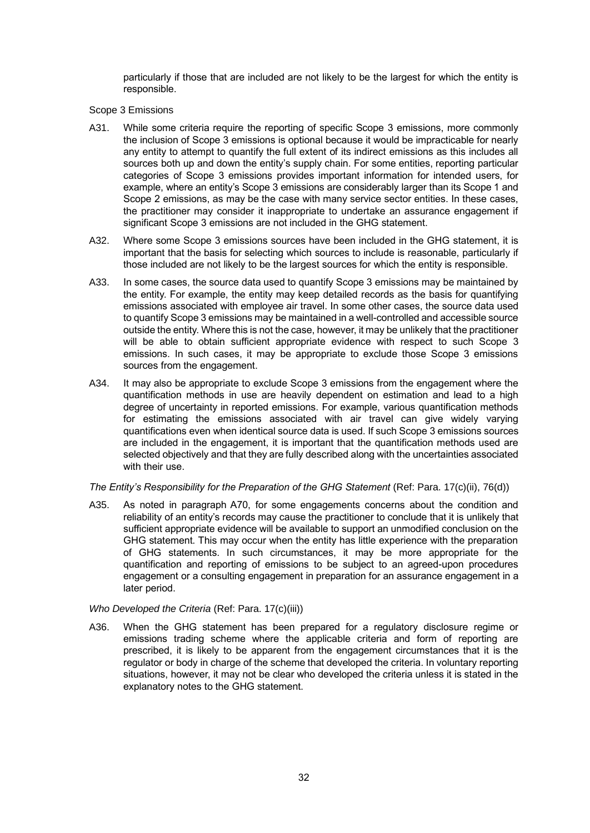particularly if those that are included are not likely to be the largest for which the entity is responsible.

Scope 3 Emissions

- A31. While some criteria require the reporting of specific Scope 3 emissions, more commonly the inclusion of Scope 3 emissions is optional because it would be impracticable for nearly any entity to attempt to quantify the full extent of its indirect emissions as this includes all sources both up and down the entity's supply chain. For some entities, reporting particular categories of Scope 3 emissions provides important information for intended users, for example, where an entity's Scope 3 emissions are considerably larger than its Scope 1 and Scope 2 emissions, as may be the case with many service sector entities. In these cases, the practitioner may consider it inappropriate to undertake an assurance engagement if significant Scope 3 emissions are not included in the GHG statement.
- A32. Where some Scope 3 emissions sources have been included in the GHG statement, it is important that the basis for selecting which sources to include is reasonable, particularly if those included are not likely to be the largest sources for which the entity is responsible.
- A33. In some cases, the source data used to quantify Scope 3 emissions may be maintained by the entity. For example, the entity may keep detailed records as the basis for quantifying emissions associated with employee air travel. In some other cases, the source data used to quantify Scope 3 emissions may be maintained in a well-controlled and accessible source outside the entity. Where this is not the case, however, it may be unlikely that the practitioner will be able to obtain sufficient appropriate evidence with respect to such Scope 3 emissions. In such cases, it may be appropriate to exclude those Scope 3 emissions sources from the engagement.
- A34. It may also be appropriate to exclude Scope 3 emissions from the engagement where the quantification methods in use are heavily dependent on estimation and lead to a high degree of uncertainty in reported emissions. For example, various quantification methods for estimating the emissions associated with air travel can give widely varying quantifications even when identical source data is used. If such Scope 3 emissions sources are included in the engagement, it is important that the quantification methods used are selected objectively and that they are fully described along with the uncertainties associated with their use.

## *The Entity's Responsibility for the Preparation of the GHG Statement* (Ref: Para. 17(c)(ii), 76(d))

A35. As noted in paragraph A70, for some engagements concerns about the condition and reliability of an entity's records may cause the practitioner to conclude that it is unlikely that sufficient appropriate evidence will be available to support an unmodified conclusion on the GHG statement. This may occur when the entity has little experience with the preparation of GHG statements. In such circumstances, it may be more appropriate for the quantification and reporting of emissions to be subject to an agreed-upon procedures engagement or a consulting engagement in preparation for an assurance engagement in a later period.

## *Who Developed the Criteria* (Ref: Para. 17(c)(iii))

A36. When the GHG statement has been prepared for a regulatory disclosure regime or emissions trading scheme where the applicable criteria and form of reporting are prescribed, it is likely to be apparent from the engagement circumstances that it is the regulator or body in charge of the scheme that developed the criteria. In voluntary reporting situations, however, it may not be clear who developed the criteria unless it is stated in the explanatory notes to the GHG statement.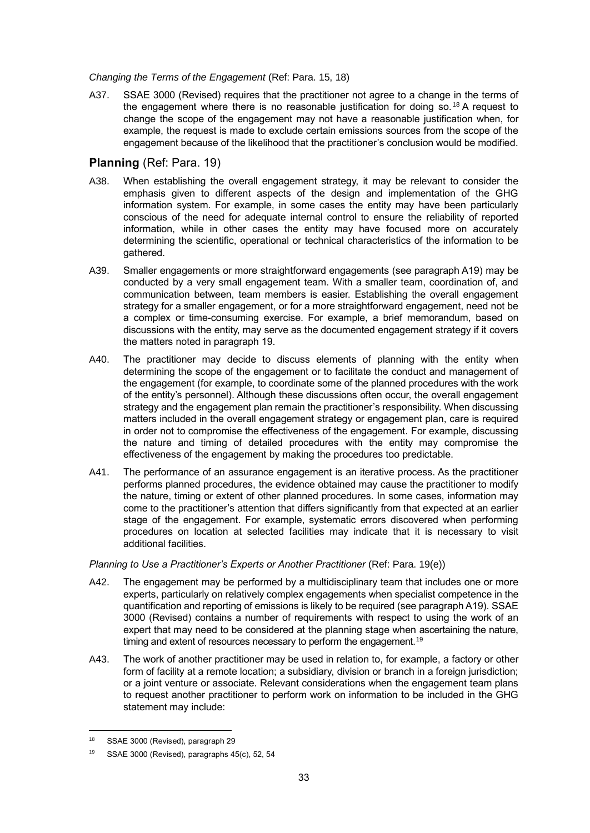*Changing the Terms of the Engagement* (Ref: Para. 15, 18)

A37. SSAE 3000 (Revised) requires that the practitioner not agree to a change in the terms of the engagement where there is no reasonable justification for doing so. <sup>18</sup> A request to change the scope of the engagement may not have a reasonable justification when, for example, the request is made to exclude certain emissions sources from the scope of the engagement because of the likelihood that the practitioner's conclusion would be modified.

# **Planning** (Ref: Para. 19)

- A38. When establishing the overall engagement strategy, it may be relevant to consider the emphasis given to different aspects of the design and implementation of the GHG information system. For example, in some cases the entity may have been particularly conscious of the need for adequate internal control to ensure the reliability of reported information, while in other cases the entity may have focused more on accurately determining the scientific, operational or technical characteristics of the information to be gathered.
- A39. Smaller engagements or more straightforward engagements (see paragraph A19) may be conducted by a very small engagement team. With a smaller team, coordination of, and communication between, team members is easier. Establishing the overall engagement strategy for a smaller engagement, or for a more straightforward engagement, need not be a complex or time-consuming exercise. For example, a brief memorandum, based on discussions with the entity, may serve as the documented engagement strategy if it covers the matters noted in paragraph 19.
- A40. The practitioner may decide to discuss elements of planning with the entity when determining the scope of the engagement or to facilitate the conduct and management of the engagement (for example, to coordinate some of the planned procedures with the work of the entity's personnel). Although these discussions often occur, the overall engagement strategy and the engagement plan remain the practitioner's responsibility. When discussing matters included in the overall engagement strategy or engagement plan, care is required in order not to compromise the effectiveness of the engagement. For example, discussing the nature and timing of detailed procedures with the entity may compromise the effectiveness of the engagement by making the procedures too predictable.
- A41. The performance of an assurance engagement is an iterative process. As the practitioner performs planned procedures, the evidence obtained may cause the practitioner to modify the nature, timing or extent of other planned procedures. In some cases, information may come to the practitioner's attention that differs significantly from that expected at an earlier stage of the engagement. For example, systematic errors discovered when performing procedures on location at selected facilities may indicate that it is necessary to visit additional facilities.

## *Planning to Use a Practitioner's Experts or Another Practitioner (Ref: Para. 19(e))*

- A42. The engagement may be performed by a multidisciplinary team that includes one or more experts, particularly on relatively complex engagements when specialist competence in the quantification and reporting of emissions is likely to be required (see paragraph A19). SSAE 3000 (Revised) contains a number of requirements with respect to using the work of an expert that may need to be considered at the planning stage when ascertaining the nature, timing and extent of resources necessary to perform the engagement.<sup>19</sup>
- A43. The work of another practitioner may be used in relation to, for example, a factory or other form of facility at a remote location; a subsidiary, division or branch in a foreign jurisdiction; or a joint venture or associate. Relevant considerations when the engagement team plans to request another practitioner to perform work on information to be included in the GHG statement may include:

<sup>18</sup> SSAE 3000 (Revised), paragraph 29

<sup>19</sup> SSAE 3000 (Revised), paragraphs 45(c), 52, 54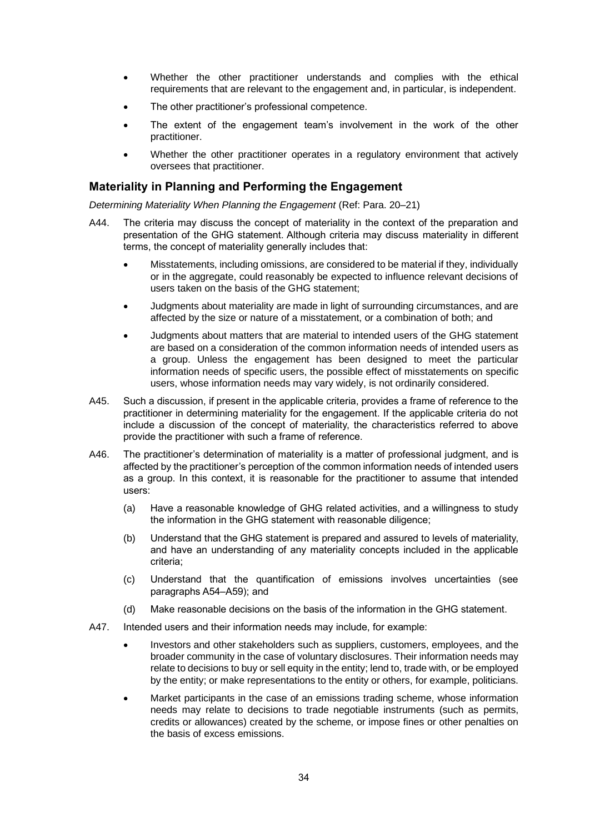- Whether the other practitioner understands and complies with the ethical requirements that are relevant to the engagement and, in particular, is independent.
- The other practitioner's professional competence.
- The extent of the engagement team's involvement in the work of the other practitioner.
- Whether the other practitioner operates in a regulatory environment that actively oversees that practitioner.

# **Materiality in Planning and Performing the Engagement**

*Determining Materiality When Planning the Engagement* (Ref: Para. 20–21)

- A44. The criteria may discuss the concept of materiality in the context of the preparation and presentation of the GHG statement. Although criteria may discuss materiality in different terms, the concept of materiality generally includes that:
	- Misstatements, including omissions, are considered to be material if they, individually or in the aggregate, could reasonably be expected to influence relevant decisions of users taken on the basis of the GHG statement;
	- Judgments about materiality are made in light of surrounding circumstances, and are affected by the size or nature of a misstatement, or a combination of both; and
	- Judgments about matters that are material to intended users of the GHG statement are based on a consideration of the common information needs of intended users as a group. Unless the engagement has been designed to meet the particular information needs of specific users, the possible effect of misstatements on specific users, whose information needs may vary widely, is not ordinarily considered.
- A45. Such a discussion, if present in the applicable criteria, provides a frame of reference to the practitioner in determining materiality for the engagement. If the applicable criteria do not include a discussion of the concept of materiality, the characteristics referred to above provide the practitioner with such a frame of reference.
- A46. The practitioner's determination of materiality is a matter of professional judgment, and is affected by the practitioner's perception of the common information needs of intended users as a group. In this context, it is reasonable for the practitioner to assume that intended users:
	- (a) Have a reasonable knowledge of GHG related activities, and a willingness to study the information in the GHG statement with reasonable diligence;
	- (b) Understand that the GHG statement is prepared and assured to levels of materiality, and have an understanding of any materiality concepts included in the applicable criteria;
	- (c) Understand that the quantification of emissions involves uncertainties (see paragraphs A54–A59); and
	- (d) Make reasonable decisions on the basis of the information in the GHG statement.
- A47. Intended users and their information needs may include, for example:
	- Investors and other stakeholders such as suppliers, customers, employees, and the broader community in the case of voluntary disclosures. Their information needs may relate to decisions to buy or sell equity in the entity; lend to, trade with, or be employed by the entity; or make representations to the entity or others, for example, politicians.
	- Market participants in the case of an emissions trading scheme, whose information needs may relate to decisions to trade negotiable instruments (such as permits, credits or allowances) created by the scheme, or impose fines or other penalties on the basis of excess emissions.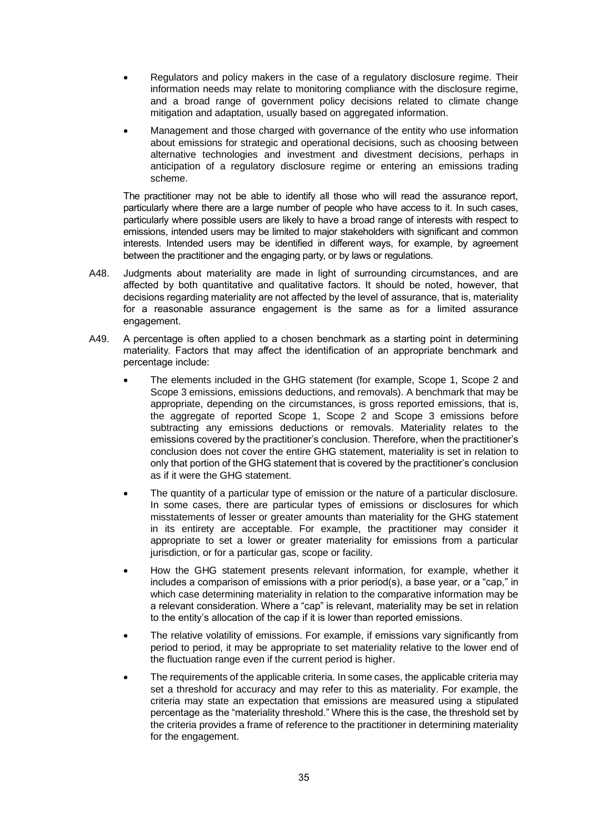- Regulators and policy makers in the case of a regulatory disclosure regime. Their information needs may relate to monitoring compliance with the disclosure regime, and a broad range of government policy decisions related to climate change mitigation and adaptation, usually based on aggregated information.
- Management and those charged with governance of the entity who use information about emissions for strategic and operational decisions, such as choosing between alternative technologies and investment and divestment decisions, perhaps in anticipation of a regulatory disclosure regime or entering an emissions trading scheme.

The practitioner may not be able to identify all those who will read the assurance report, particularly where there are a large number of people who have access to it. In such cases, particularly where possible users are likely to have a broad range of interests with respect to emissions, intended users may be limited to major stakeholders with significant and common interests. Intended users may be identified in different ways, for example, by agreement between the practitioner and the engaging party, or by laws or regulations.

- A48. Judgments about materiality are made in light of surrounding circumstances, and are affected by both quantitative and qualitative factors. It should be noted, however, that decisions regarding materiality are not affected by the level of assurance, that is, materiality for a reasonable assurance engagement is the same as for a limited assurance engagement.
- A49. A percentage is often applied to a chosen benchmark as a starting point in determining materiality. Factors that may affect the identification of an appropriate benchmark and percentage include:
	- The elements included in the GHG statement (for example, Scope 1, Scope 2 and Scope 3 emissions, emissions deductions, and removals). A benchmark that may be appropriate, depending on the circumstances, is gross reported emissions, that is, the aggregate of reported Scope 1, Scope 2 and Scope 3 emissions before subtracting any emissions deductions or removals. Materiality relates to the emissions covered by the practitioner's conclusion. Therefore, when the practitioner's conclusion does not cover the entire GHG statement, materiality is set in relation to only that portion of the GHG statement that is covered by the practitioner's conclusion as if it were the GHG statement.
	- The quantity of a particular type of emission or the nature of a particular disclosure. In some cases, there are particular types of emissions or disclosures for which misstatements of lesser or greater amounts than materiality for the GHG statement in its entirety are acceptable. For example, the practitioner may consider it appropriate to set a lower or greater materiality for emissions from a particular jurisdiction, or for a particular gas, scope or facility.
	- How the GHG statement presents relevant information, for example, whether it includes a comparison of emissions with a prior period(s), a base year, or a "cap," in which case determining materiality in relation to the comparative information may be a relevant consideration. Where a "cap" is relevant, materiality may be set in relation to the entity's allocation of the cap if it is lower than reported emissions.
	- The relative volatility of emissions. For example, if emissions vary significantly from period to period, it may be appropriate to set materiality relative to the lower end of the fluctuation range even if the current period is higher.
	- The requirements of the applicable criteria. In some cases, the applicable criteria may set a threshold for accuracy and may refer to this as materiality. For example, the criteria may state an expectation that emissions are measured using a stipulated percentage as the "materiality threshold." Where this is the case, the threshold set by the criteria provides a frame of reference to the practitioner in determining materiality for the engagement.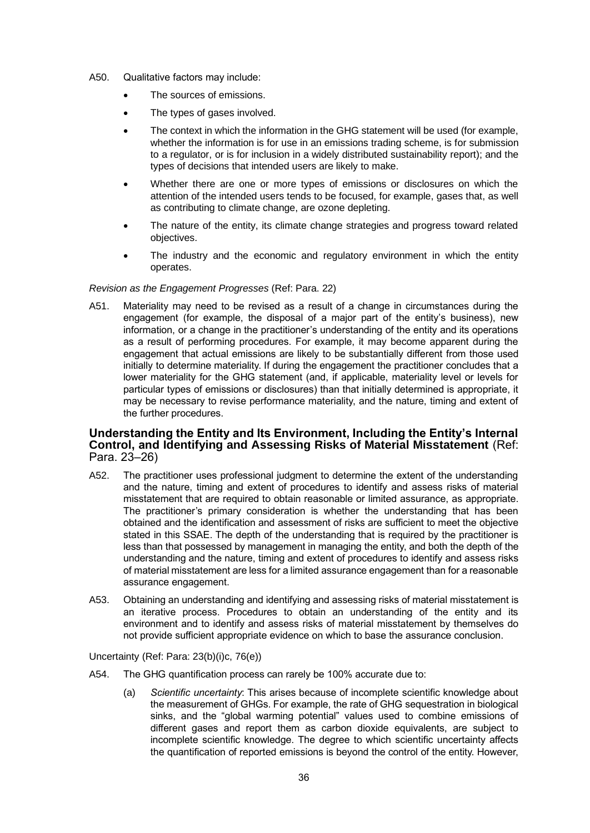- A50. Qualitative factors may include:
	- The sources of emissions.
	- The types of gases involved.
	- The context in which the information in the GHG statement will be used (for example, whether the information is for use in an emissions trading scheme, is for submission to a regulator, or is for inclusion in a widely distributed sustainability report); and the types of decisions that intended users are likely to make.
	- Whether there are one or more types of emissions or disclosures on which the attention of the intended users tends to be focused, for example, gases that, as well as contributing to climate change, are ozone depleting.
	- The nature of the entity, its climate change strategies and progress toward related objectives.
	- The industry and the economic and regulatory environment in which the entity operates.

## *Revision as the Engagement Progresses* (Ref: Para. 22)

A51. Materiality may need to be revised as a result of a change in circumstances during the engagement (for example, the disposal of a major part of the entity's business), new information, or a change in the practitioner's understanding of the entity and its operations as a result of performing procedures. For example, it may become apparent during the engagement that actual emissions are likely to be substantially different from those used initially to determine materiality. If during the engagement the practitioner concludes that a lower materiality for the GHG statement (and, if applicable, materiality level or levels for particular types of emissions or disclosures) than that initially determined is appropriate, it may be necessary to revise performance materiality, and the nature, timing and extent of the further procedures.

## **Understanding the Entity and Its Environment, Including the Entity's Internal Control, and Identifying and Assessing Risks of Material Misstatement** (Ref: Para. 23*–*26)

- A52. The practitioner uses professional judgment to determine the extent of the understanding and the nature, timing and extent of procedures to identify and assess risks of material misstatement that are required to obtain reasonable or limited assurance, as appropriate. The practitioner's primary consideration is whether the understanding that has been obtained and the identification and assessment of risks are sufficient to meet the objective stated in this SSAE. The depth of the understanding that is required by the practitioner is less than that possessed by management in managing the entity, and both the depth of the understanding and the nature, timing and extent of procedures to identify and assess risks of material misstatement are less for a limited assurance engagement than for a reasonable assurance engagement.
- A53. Obtaining an understanding and identifying and assessing risks of material misstatement is an iterative process. Procedures to obtain an understanding of the entity and its environment and to identify and assess risks of material misstatement by themselves do not provide sufficient appropriate evidence on which to base the assurance conclusion.

Uncertainty (Ref: Para: 23(b)(i)c, 76(e))

- A54. The GHG quantification process can rarely be 100% accurate due to:
	- (a) *Scientific uncertainty*: This arises because of incomplete scientific knowledge about the measurement of GHGs. For example, the rate of GHG sequestration in biological sinks, and the "global warming potential" values used to combine emissions of different gases and report them as carbon dioxide equivalents, are subject to incomplete scientific knowledge. The degree to which scientific uncertainty affects the quantification of reported emissions is beyond the control of the entity. However,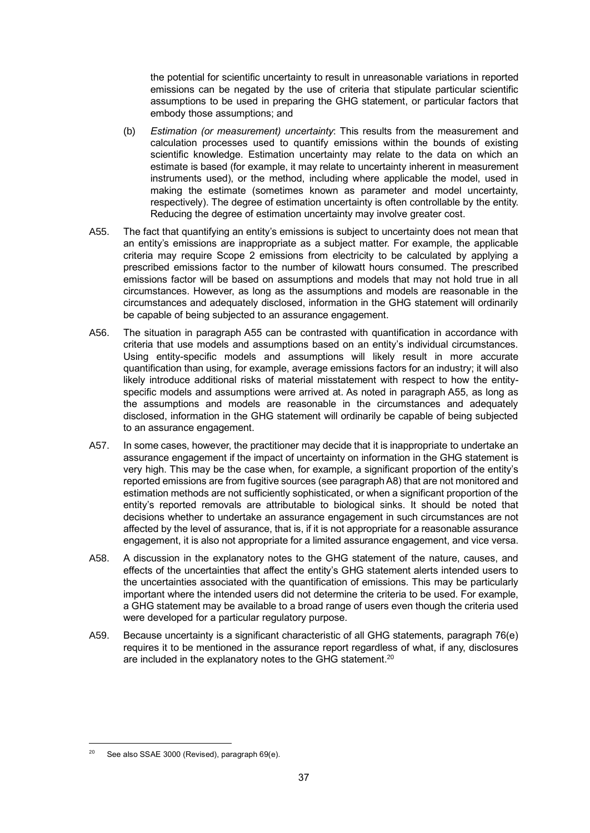the potential for scientific uncertainty to result in unreasonable variations in reported emissions can be negated by the use of criteria that stipulate particular scientific assumptions to be used in preparing the GHG statement, or particular factors that embody those assumptions; and

- (b) *Estimation (or measurement) uncertainty*: This results from the measurement and calculation processes used to quantify emissions within the bounds of existing scientific knowledge. Estimation uncertainty may relate to the data on which an estimate is based (for example, it may relate to uncertainty inherent in measurement instruments used), or the method, including where applicable the model, used in making the estimate (sometimes known as parameter and model uncertainty, respectively). The degree of estimation uncertainty is often controllable by the entity. Reducing the degree of estimation uncertainty may involve greater cost.
- A55. The fact that quantifying an entity's emissions is subject to uncertainty does not mean that an entity's emissions are inappropriate as a subject matter. For example, the applicable criteria may require Scope 2 emissions from electricity to be calculated by applying a prescribed emissions factor to the number of kilowatt hours consumed. The prescribed emissions factor will be based on assumptions and models that may not hold true in all circumstances. However, as long as the assumptions and models are reasonable in the circumstances and adequately disclosed, information in the GHG statement will ordinarily be capable of being subjected to an assurance engagement.
- A56. The situation in paragraph A55 can be contrasted with quantification in accordance with criteria that use models and assumptions based on an entity's individual circumstances. Using entity-specific models and assumptions will likely result in more accurate quantification than using, for example, average emissions factors for an industry; it will also likely introduce additional risks of material misstatement with respect to how the entityspecific models and assumptions were arrived at. As noted in paragraph A55, as long as the assumptions and models are reasonable in the circumstances and adequately disclosed, information in the GHG statement will ordinarily be capable of being subjected to an assurance engagement.
- A57. In some cases, however, the practitioner may decide that it is inappropriate to undertake an assurance engagement if the impact of uncertainty on information in the GHG statement is very high. This may be the case when, for example, a significant proportion of the entity's reported emissions are from fugitive sources (see paragraph A8) that are not monitored and estimation methods are not sufficiently sophisticated, or when a significant proportion of the entity's reported removals are attributable to biological sinks. It should be noted that decisions whether to undertake an assurance engagement in such circumstances are not affected by the level of assurance, that is, if it is not appropriate for a reasonable assurance engagement, it is also not appropriate for a limited assurance engagement, and vice versa.
- A58. A discussion in the explanatory notes to the GHG statement of the nature, causes, and effects of the uncertainties that affect the entity's GHG statement alerts intended users to the uncertainties associated with the quantification of emissions. This may be particularly important where the intended users did not determine the criteria to be used. For example, a GHG statement may be available to a broad range of users even though the criteria used were developed for a particular regulatory purpose.
- A59. Because uncertainty is a significant characteristic of all GHG statements, paragraph 76(e) requires it to be mentioned in the assurance report regardless of what, if any, disclosures are included in the explanatory notes to the GHG statement.<sup>20</sup>

<sup>&</sup>lt;sup>20</sup> See also SSAE 3000 (Revised), paragraph  $69(e)$ .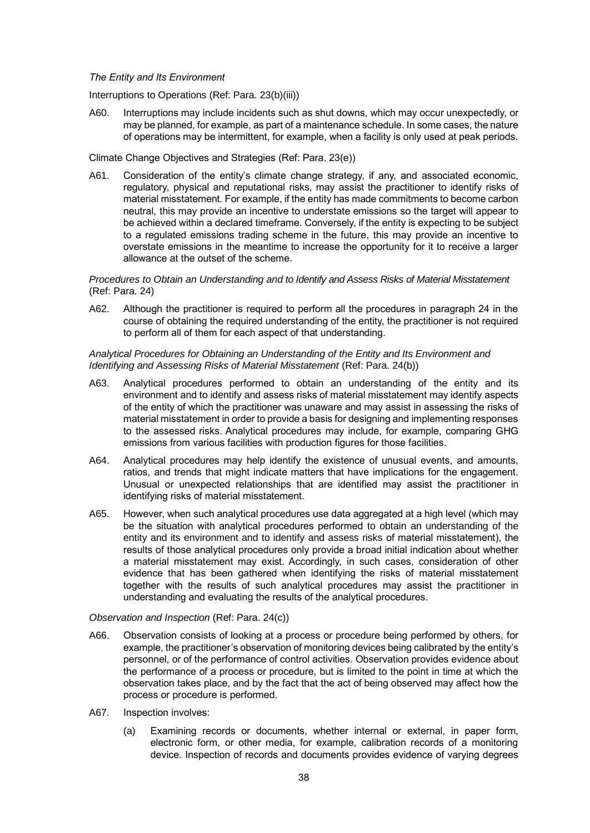#### *The Entity and Its Environment*

Interruptions to Operations (Ref: Para. 23(b)(iii))

A60. Interruptions may include incidents such as shut downs, which may occur unexpectedly, or may be planned, for example, as part of a maintenance schedule. In some cases, the nature of operations may be intermittent, for example, when a facility is only used at peak periods.

## Climate Change Objectives and Strategies (Ref: Para. 23(e))

A61. Consideration of the entity's climate change strategy, if any, and associated economic, regulatory, physical and reputational risks, may assist the practitioner to identify risks of material misstatement. For example, if the entity has made commitments to become carbon neutral, this may provide an incentive to understate emissions so the target will appear to be achieved within a declared timeframe. Conversely, if the entity is expecting to be subject to a regulated emissions trading scheme in the future, this may provide an incentive to overstate emissions in the meantime to increase the opportunity for it to receive a larger allowance at the outset of the scheme.

### *Procedures to Obtain an Understanding and to Identify and Assess Risks of Material Misstatement*  (Ref: Para. 24)

A62. Although the practitioner is required to perform all the procedures in paragraph 24 in the course of obtaining the required understanding of the entity, the practitioner is not required to perform all of them for each aspect of that understanding.

## *Analytical Procedures for Obtaining an Understanding of the Entity and Its Environment and Identifying and Assessing Risks of Material Misstatement* (Ref: Para. 24(b))

- A63. Analytical procedures performed to obtain an understanding of the entity and its environment and to identify and assess risks of material misstatement may identify aspects of the entity of which the practitioner was unaware and may assist in assessing the risks of material misstatement in order to provide a basis for designing and implementing responses to the assessed risks. Analytical procedures may include, for example, comparing GHG emissions from various facilities with production figures for those facilities.
- A64. Analytical procedures may help identify the existence of unusual events, and amounts, ratios, and trends that might indicate matters that have implications for the engagement. Unusual or unexpected relationships that are identified may assist the practitioner in identifying risks of material misstatement.
- A65. However, when such analytical procedures use data aggregated at a high level (which may be the situation with analytical procedures performed to obtain an understanding of the entity and its environment and to identify and assess risks of material misstatement), the results of those analytical procedures only provide a broad initial indication about whether a material misstatement may exist. Accordingly, in such cases, consideration of other evidence that has been gathered when identifying the risks of material misstatement together with the results of such analytical procedures may assist the practitioner in understanding and evaluating the results of the analytical procedures.

## *Observation and Inspection* (Ref: Para. 24(c))

- A66. Observation consists of looking at a process or procedure being performed by others, for example, the practitioner's observation of monitoring devices being calibrated by the entity's personnel, or of the performance of control activities. Observation provides evidence about the performance of a process or procedure, but is limited to the point in time at which the observation takes place, and by the fact that the act of being observed may affect how the process or procedure is performed.
- A67. Inspection involves:
	- (a) Examining records or documents, whether internal or external, in paper form, electronic form, or other media, for example, calibration records of a monitoring device. Inspection of records and documents provides evidence of varying degrees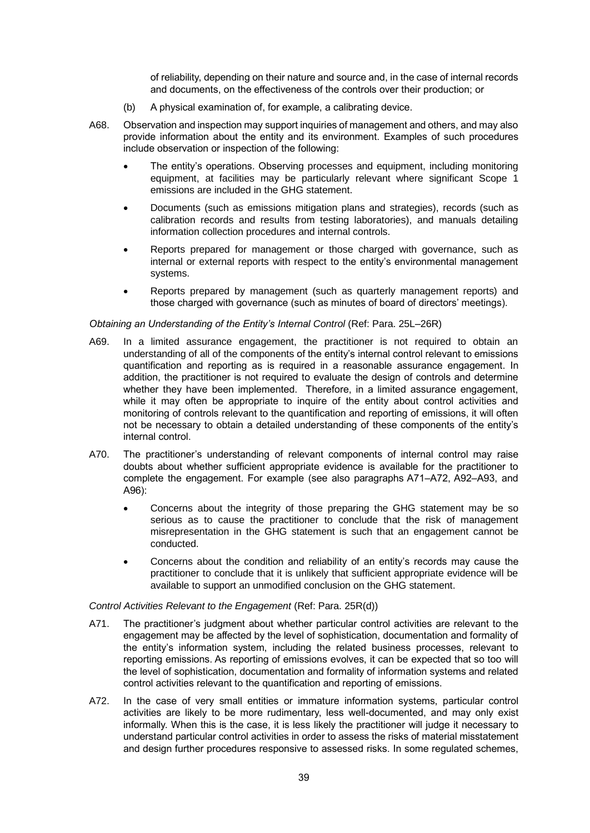of reliability, depending on their nature and source and, in the case of internal records and documents, on the effectiveness of the controls over their production; or

- (b) A physical examination of, for example, a calibrating device.
- A68. Observation and inspection may support inquiries of management and others, and may also provide information about the entity and its environment. Examples of such procedures include observation or inspection of the following:
	- The entity's operations. Observing processes and equipment, including monitoring equipment, at facilities may be particularly relevant where significant Scope 1 emissions are included in the GHG statement.
	- Documents (such as emissions mitigation plans and strategies), records (such as calibration records and results from testing laboratories), and manuals detailing information collection procedures and internal controls.
	- Reports prepared for management or those charged with governance, such as internal or external reports with respect to the entity's environmental management systems.
	- Reports prepared by management (such as quarterly management reports) and those charged with governance (such as minutes of board of directors' meetings).

### *Obtaining an Understanding of the Entity's Internal Control* (Ref: Para. 25L–26R)

- A69. In a limited assurance engagement, the practitioner is not required to obtain an understanding of all of the components of the entity's internal control relevant to emissions quantification and reporting as is required in a reasonable assurance engagement. In addition, the practitioner is not required to evaluate the design of controls and determine whether they have been implemented. Therefore, in a limited assurance engagement, while it may often be appropriate to inquire of the entity about control activities and monitoring of controls relevant to the quantification and reporting of emissions, it will often not be necessary to obtain a detailed understanding of these components of the entity's internal control.
- A70. The practitioner's understanding of relevant components of internal control may raise doubts about whether sufficient appropriate evidence is available for the practitioner to complete the engagement. For example (see also paragraphs A71–A72, A92–A93, and A96):
	- Concerns about the integrity of those preparing the GHG statement may be so serious as to cause the practitioner to conclude that the risk of management misrepresentation in the GHG statement is such that an engagement cannot be conducted.
	- Concerns about the condition and reliability of an entity's records may cause the practitioner to conclude that it is unlikely that sufficient appropriate evidence will be available to support an unmodified conclusion on the GHG statement.

#### *Control Activities Relevant to the Engagement* (Ref: Para. 25R(d))

- A71. The practitioner's judgment about whether particular control activities are relevant to the engagement may be affected by the level of sophistication, documentation and formality of the entity's information system, including the related business processes, relevant to reporting emissions. As reporting of emissions evolves, it can be expected that so too will the level of sophistication, documentation and formality of information systems and related control activities relevant to the quantification and reporting of emissions.
- A72. In the case of very small entities or immature information systems, particular control activities are likely to be more rudimentary, less well-documented, and may only exist informally. When this is the case, it is less likely the practitioner will judge it necessary to understand particular control activities in order to assess the risks of material misstatement and design further procedures responsive to assessed risks. In some regulated schemes,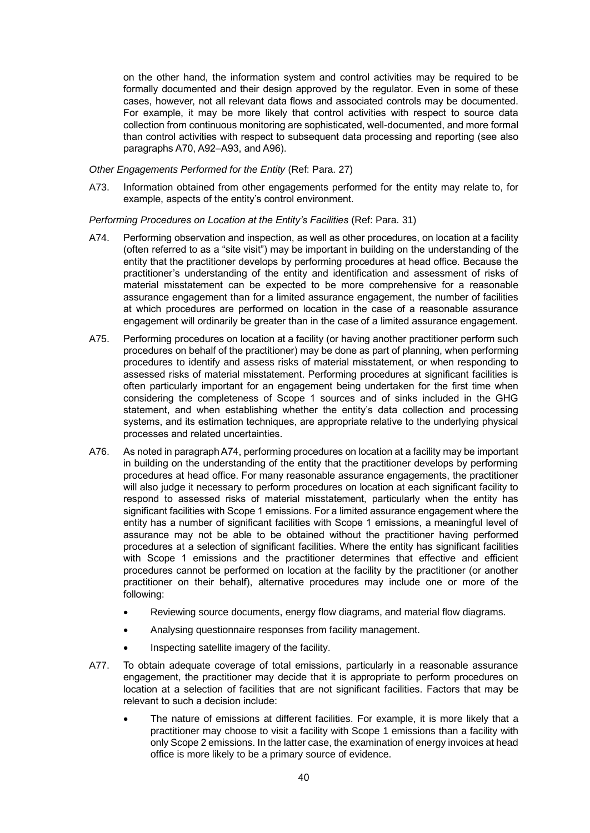on the other hand, the information system and control activities may be required to be formally documented and their design approved by the regulator. Even in some of these cases, however, not all relevant data flows and associated controls may be documented. For example, it may be more likely that control activities with respect to source data collection from continuous monitoring are sophisticated, well-documented, and more formal than control activities with respect to subsequent data processing and reporting (see also paragraphs A70, A92–A93, and A96).

### *Other Engagements Performed for the Entity* (Ref: Para. 27)

A73. Information obtained from other engagements performed for the entity may relate to, for example, aspects of the entity's control environment.

*Performing Procedures on Location at the Entity's Facilities* (Ref: Para. 31)

- A74. Performing observation and inspection, as well as other procedures, on location at a facility (often referred to as a "site visit") may be important in building on the understanding of the entity that the practitioner develops by performing procedures at head office. Because the practitioner's understanding of the entity and identification and assessment of risks of material misstatement can be expected to be more comprehensive for a reasonable assurance engagement than for a limited assurance engagement, the number of facilities at which procedures are performed on location in the case of a reasonable assurance engagement will ordinarily be greater than in the case of a limited assurance engagement.
- A75. Performing procedures on location at a facility (or having another practitioner perform such procedures on behalf of the practitioner) may be done as part of planning, when performing procedures to identify and assess risks of material misstatement, or when responding to assessed risks of material misstatement. Performing procedures at significant facilities is often particularly important for an engagement being undertaken for the first time when considering the completeness of Scope 1 sources and of sinks included in the GHG statement, and when establishing whether the entity's data collection and processing systems, and its estimation techniques, are appropriate relative to the underlying physical processes and related uncertainties.
- A76. As noted in paragraph A74, performing procedures on location at a facility may be important in building on the understanding of the entity that the practitioner develops by performing procedures at head office. For many reasonable assurance engagements, the practitioner will also judge it necessary to perform procedures on location at each significant facility to respond to assessed risks of material misstatement, particularly when the entity has significant facilities with Scope 1 emissions. For a limited assurance engagement where the entity has a number of significant facilities with Scope 1 emissions, a meaningful level of assurance may not be able to be obtained without the practitioner having performed procedures at a selection of significant facilities. Where the entity has significant facilities with Scope 1 emissions and the practitioner determines that effective and efficient procedures cannot be performed on location at the facility by the practitioner (or another practitioner on their behalf), alternative procedures may include one or more of the following:
	- Reviewing source documents, energy flow diagrams, and material flow diagrams.
	- Analysing questionnaire responses from facility management.
	- Inspecting satellite imagery of the facility.
- A77. To obtain adequate coverage of total emissions, particularly in a reasonable assurance engagement, the practitioner may decide that it is appropriate to perform procedures on location at a selection of facilities that are not significant facilities. Factors that may be relevant to such a decision include:
	- The nature of emissions at different facilities. For example, it is more likely that a practitioner may choose to visit a facility with Scope 1 emissions than a facility with only Scope 2 emissions. In the latter case, the examination of energy invoices at head office is more likely to be a primary source of evidence.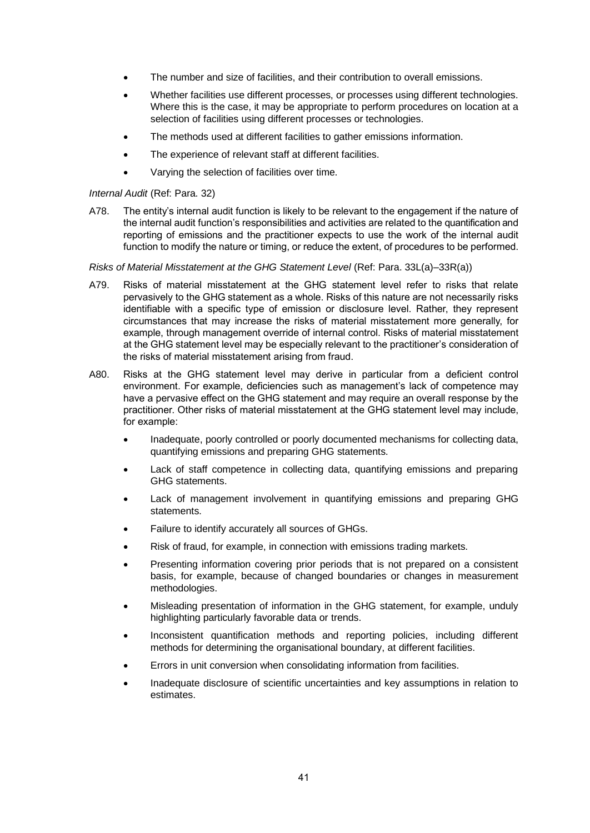- The number and size of facilities, and their contribution to overall emissions.
- Whether facilities use different processes, or processes using different technologies. Where this is the case, it may be appropriate to perform procedures on location at a selection of facilities using different processes or technologies.
- The methods used at different facilities to gather emissions information.
- The experience of relevant staff at different facilities.
- Varying the selection of facilities over time.

#### *Internal Audit* (Ref: Para. 32)

A78. The entity's internal audit function is likely to be relevant to the engagement if the nature of the internal audit function's responsibilities and activities are related to the quantification and reporting of emissions and the practitioner expects to use the work of the internal audit function to modify the nature or timing, or reduce the extent, of procedures to be performed.

## *Risks of Material Misstatement at the GHG Statement Level (Ref: Para. 33L(a)–33R(a))*

- A79. Risks of material misstatement at the GHG statement level refer to risks that relate pervasively to the GHG statement as a whole. Risks of this nature are not necessarily risks identifiable with a specific type of emission or disclosure level. Rather, they represent circumstances that may increase the risks of material misstatement more generally, for example, through management override of internal control. Risks of material misstatement at the GHG statement level may be especially relevant to the practitioner's consideration of the risks of material misstatement arising from fraud.
- A80. Risks at the GHG statement level may derive in particular from a deficient control environment. For example, deficiencies such as management's lack of competence may have a pervasive effect on the GHG statement and may require an overall response by the practitioner. Other risks of material misstatement at the GHG statement level may include, for example:
	- Inadequate, poorly controlled or poorly documented mechanisms for collecting data, quantifying emissions and preparing GHG statements.
	- Lack of staff competence in collecting data, quantifying emissions and preparing GHG statements.
	- Lack of management involvement in quantifying emissions and preparing GHG statements.
	- Failure to identify accurately all sources of GHGs.
	- Risk of fraud, for example, in connection with emissions trading markets.
	- Presenting information covering prior periods that is not prepared on a consistent basis, for example, because of changed boundaries or changes in measurement methodologies.
	- Misleading presentation of information in the GHG statement, for example, unduly highlighting particularly favorable data or trends.
	- Inconsistent quantification methods and reporting policies, including different methods for determining the organisational boundary, at different facilities.
	- Errors in unit conversion when consolidating information from facilities.
	- Inadequate disclosure of scientific uncertainties and key assumptions in relation to estimates.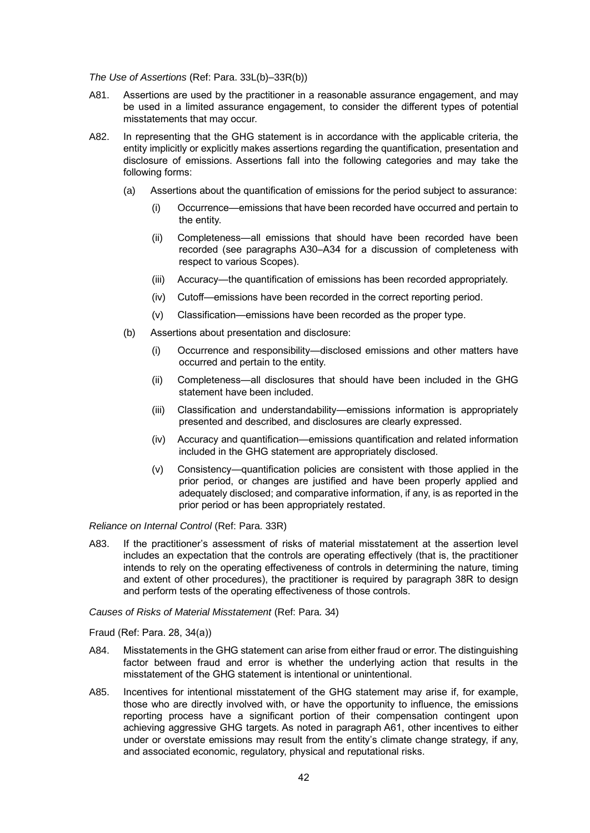*The Use of Assertions* (Ref: Para. 33L(b)–33R(b))

- A81. Assertions are used by the practitioner in a reasonable assurance engagement, and may be used in a limited assurance engagement, to consider the different types of potential misstatements that may occur.
- A82. In representing that the GHG statement is in accordance with the applicable criteria, the entity implicitly or explicitly makes assertions regarding the quantification, presentation and disclosure of emissions. Assertions fall into the following categories and may take the following forms:
	- (a) Assertions about the quantification of emissions for the period subject to assurance:
		- (i) Occurrence—emissions that have been recorded have occurred and pertain to the entity.
		- (ii) Completeness—all emissions that should have been recorded have been recorded (see paragraphs A30–A34 for a discussion of completeness with respect to various Scopes).
		- (iii) Accuracy—the quantification of emissions has been recorded appropriately.
		- (iv) Cutoff—emissions have been recorded in the correct reporting period.
		- (v) Classification—emissions have been recorded as the proper type.
	- (b) Assertions about presentation and disclosure:
		- (i) Occurrence and responsibility—disclosed emissions and other matters have occurred and pertain to the entity.
		- (ii) Completeness—all disclosures that should have been included in the GHG statement have been included.
		- (iii) Classification and understandability—emissions information is appropriately presented and described, and disclosures are clearly expressed.
		- (iv) Accuracy and quantification—emissions quantification and related information included in the GHG statement are appropriately disclosed.
		- (v) Consistency—quantification policies are consistent with those applied in the prior period, or changes are justified and have been properly applied and adequately disclosed; and comparative information, if any, is as reported in the prior period or has been appropriately restated.

*Reliance on Internal Control* (Ref: Para. 33R)

A83. If the practitioner's assessment of risks of material misstatement at the assertion level includes an expectation that the controls are operating effectively (that is, the practitioner intends to rely on the operating effectiveness of controls in determining the nature, timing and extent of other procedures), the practitioner is required by paragraph 38R to design and perform tests of the operating effectiveness of those controls.

*Causes of Risks of Material Misstatement* (Ref: Para. 34)

Fraud (Ref: Para. 28, 34(a))

- A84. Misstatements in the GHG statement can arise from either fraud or error. The distinguishing factor between fraud and error is whether the underlying action that results in the misstatement of the GHG statement is intentional or unintentional.
- A85. Incentives for intentional misstatement of the GHG statement may arise if, for example, those who are directly involved with, or have the opportunity to influence, the emissions reporting process have a significant portion of their compensation contingent upon achieving aggressive GHG targets. As noted in paragraph A61, other incentives to either under or overstate emissions may result from the entity's climate change strategy, if any, and associated economic, regulatory, physical and reputational risks.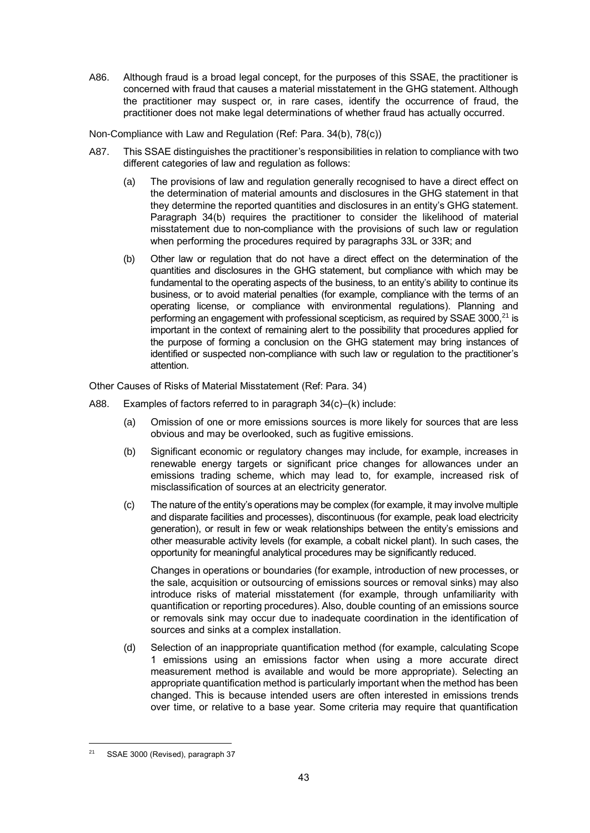A86. Although fraud is a broad legal concept, for the purposes of this SSAE, the practitioner is concerned with fraud that causes a material misstatement in the GHG statement. Although the practitioner may suspect or, in rare cases, identify the occurrence of fraud, the practitioner does not make legal determinations of whether fraud has actually occurred.

Non-Compliance with Law and Regulation (Ref: Para. 34(b), 78(c))

- A87. This SSAE distinguishes the practitioner's responsibilities in relation to compliance with two different categories of law and regulation as follows:
	- (a) The provisions of law and regulation generally recognised to have a direct effect on the determination of material amounts and disclosures in the GHG statement in that they determine the reported quantities and disclosures in an entity's GHG statement. Paragraph 34(b) requires the practitioner to consider the likelihood of material misstatement due to non-compliance with the provisions of such law or regulation when performing the procedures required by paragraphs 33L or 33R; and
	- (b) Other law or regulation that do not have a direct effect on the determination of the quantities and disclosures in the GHG statement, but compliance with which may be fundamental to the operating aspects of the business, to an entity's ability to continue its business, or to avoid material penalties (for example, compliance with the terms of an operating license, or compliance with environmental regulations). Planning and performing an engagement with professional scepticism, as required by SSAE 3000, $^{21}$  is important in the context of remaining alert to the possibility that procedures applied for the purpose of forming a conclusion on the GHG statement may bring instances of identified or suspected non-compliance with such law or regulation to the practitioner's attention.

Other Causes of Risks of Material Misstatement (Ref: Para. 34)

- A88. Examples of factors referred to in paragraph 34(c)–(k) include:
	- (a) Omission of one or more emissions sources is more likely for sources that are less obvious and may be overlooked, such as fugitive emissions.
	- (b) Significant economic or regulatory changes may include, for example, increases in renewable energy targets or significant price changes for allowances under an emissions trading scheme, which may lead to, for example, increased risk of misclassification of sources at an electricity generator.
	- (c) The nature of the entity's operations may be complex (for example, it may involve multiple and disparate facilities and processes), discontinuous (for example, peak load electricity generation), or result in few or weak relationships between the entity's emissions and other measurable activity levels (for example, a cobalt nickel plant). In such cases, the opportunity for meaningful analytical procedures may be significantly reduced.

Changes in operations or boundaries (for example, introduction of new processes, or the sale, acquisition or outsourcing of emissions sources or removal sinks) may also introduce risks of material misstatement (for example, through unfamiliarity with quantification or reporting procedures). Also, double counting of an emissions source or removals sink may occur due to inadequate coordination in the identification of sources and sinks at a complex installation.

(d) Selection of an inappropriate quantification method (for example, calculating Scope 1 emissions using an emissions factor when using a more accurate direct measurement method is available and would be more appropriate). Selecting an appropriate quantification method is particularly important when the method has been changed. This is because intended users are often interested in emissions trends over time, or relative to a base year. Some criteria may require that quantification

<sup>&</sup>lt;sup>21</sup> SSAE 3000 (Revised), paragraph 37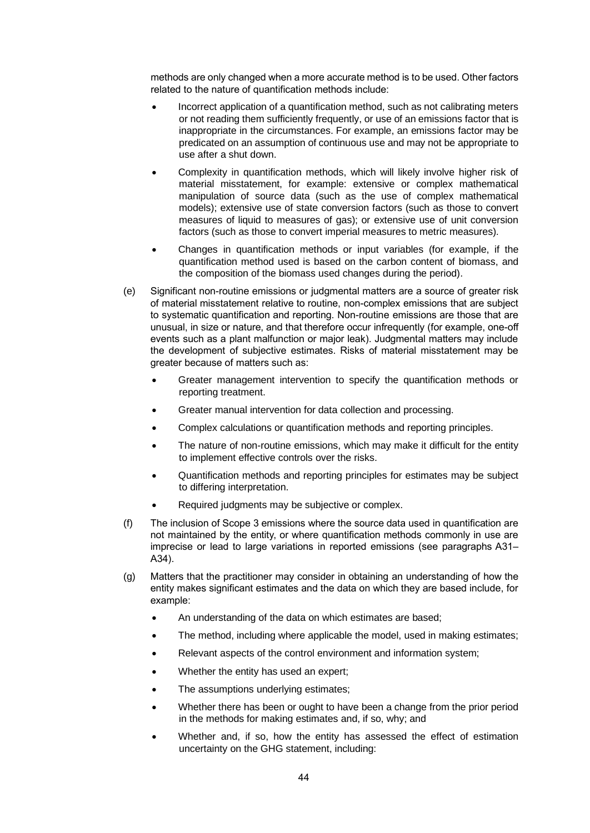methods are only changed when a more accurate method is to be used. Other factors related to the nature of quantification methods include:

- Incorrect application of a quantification method, such as not calibrating meters or not reading them sufficiently frequently, or use of an emissions factor that is inappropriate in the circumstances. For example, an emissions factor may be predicated on an assumption of continuous use and may not be appropriate to use after a shut down.
- Complexity in quantification methods, which will likely involve higher risk of material misstatement, for example: extensive or complex mathematical manipulation of source data (such as the use of complex mathematical models); extensive use of state conversion factors (such as those to convert measures of liquid to measures of gas); or extensive use of unit conversion factors (such as those to convert imperial measures to metric measures).
- Changes in quantification methods or input variables (for example, if the quantification method used is based on the carbon content of biomass, and the composition of the biomass used changes during the period).
- (e) Significant non-routine emissions or judgmental matters are a source of greater risk of material misstatement relative to routine, non-complex emissions that are subject to systematic quantification and reporting. Non-routine emissions are those that are unusual, in size or nature, and that therefore occur infrequently (for example, one-off events such as a plant malfunction or major leak). Judgmental matters may include the development of subjective estimates. Risks of material misstatement may be greater because of matters such as:
	- Greater management intervention to specify the quantification methods or reporting treatment.
	- Greater manual intervention for data collection and processing.
	- Complex calculations or quantification methods and reporting principles.
	- The nature of non-routine emissions, which may make it difficult for the entity to implement effective controls over the risks.
	- Quantification methods and reporting principles for estimates may be subject to differing interpretation.
	- Required judgments may be subjective or complex.
- (f) The inclusion of Scope 3 emissions where the source data used in quantification are not maintained by the entity, or where quantification methods commonly in use are imprecise or lead to large variations in reported emissions (see paragraphs A31– A34).
- (g) Matters that the practitioner may consider in obtaining an understanding of how the entity makes significant estimates and the data on which they are based include, for example:
	- An understanding of the data on which estimates are based;
	- The method, including where applicable the model, used in making estimates;
	- Relevant aspects of the control environment and information system;
	- Whether the entity has used an expert;
	- The assumptions underlying estimates;
	- Whether there has been or ought to have been a change from the prior period in the methods for making estimates and, if so, why; and
	- Whether and, if so, how the entity has assessed the effect of estimation uncertainty on the GHG statement, including: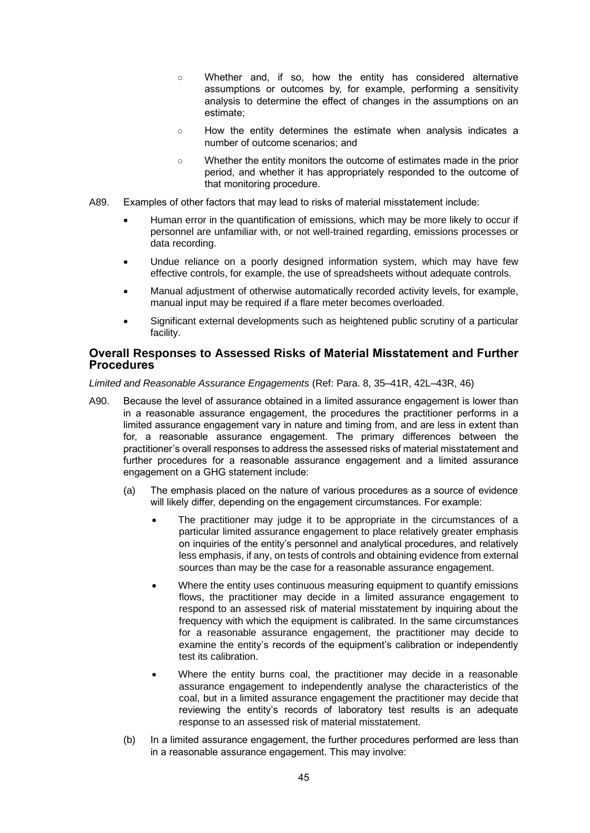- Whether and, if so, how the entity has considered alternative assumptions or outcomes by, for example, performing a sensitivity analysis to determine the effect of changes in the assumptions on an estimate;
- How the entity determines the estimate when analysis indicates a number of outcome scenarios; and
- Whether the entity monitors the outcome of estimates made in the prior period, and whether it has appropriately responded to the outcome of that monitoring procedure.
- A89. Examples of other factors that may lead to risks of material misstatement include:
	- Human error in the quantification of emissions, which may be more likely to occur if personnel are unfamiliar with, or not well-trained regarding, emissions processes or data recording.
	- Undue reliance on a poorly designed information system, which may have few effective controls, for example, the use of spreadsheets without adequate controls.
	- Manual adjustment of otherwise automatically recorded activity levels, for example, manual input may be required if a flare meter becomes overloaded.
	- Significant external developments such as heightened public scrutiny of a particular facility.

# **Overall Responses to Assessed Risks of Material Misstatement and Further Procedures**

*Limited and Reasonable Assurance Engagements* (Ref: Para. 8, 35–41R, 42L–43R, 46)

- A90. Because the level of assurance obtained in a limited assurance engagement is lower than in a reasonable assurance engagement, the procedures the practitioner performs in a limited assurance engagement vary in nature and timing from, and are less in extent than for, a reasonable assurance engagement. The primary differences between the practitioner's overall responses to address the assessed risks of material misstatement and further procedures for a reasonable assurance engagement and a limited assurance engagement on a GHG statement include:
	- (a) The emphasis placed on the nature of various procedures as a source of evidence will likely differ, depending on the engagement circumstances. For example:
		- The practitioner may judge it to be appropriate in the circumstances of a particular limited assurance engagement to place relatively greater emphasis on inquiries of the entity's personnel and analytical procedures, and relatively less emphasis, if any, on tests of controls and obtaining evidence from external sources than may be the case for a reasonable assurance engagement.
		- Where the entity uses continuous measuring equipment to quantify emissions flows, the practitioner may decide in a limited assurance engagement to respond to an assessed risk of material misstatement by inquiring about the frequency with which the equipment is calibrated. In the same circumstances for a reasonable assurance engagement, the practitioner may decide to examine the entity's records of the equipment's calibration or independently test its calibration.
		- Where the entity burns coal, the practitioner may decide in a reasonable assurance engagement to independently analyse the characteristics of the coal, but in a limited assurance engagement the practitioner may decide that reviewing the entity's records of laboratory test results is an adequate response to an assessed risk of material misstatement.
	- (b) In a limited assurance engagement, the further procedures performed are less than in a reasonable assurance engagement. This may involve: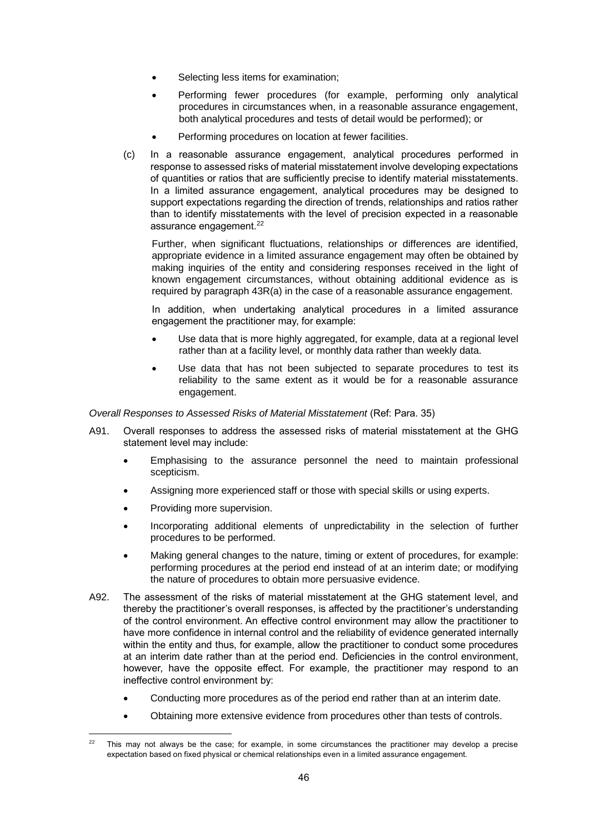- Selecting less items for examination;
- Performing fewer procedures (for example, performing only analytical procedures in circumstances when, in a reasonable assurance engagement, both analytical procedures and tests of detail would be performed); or
- Performing procedures on location at fewer facilities.
- (c) In a reasonable assurance engagement, analytical procedures performed in response to assessed risks of material misstatement involve developing expectations of quantities or ratios that are sufficiently precise to identify material misstatements. In a limited assurance engagement, analytical procedures may be designed to support expectations regarding the direction of trends, relationships and ratios rather than to identify misstatements with the level of precision expected in a reasonable assurance engagement.<sup>22</sup>

Further, when significant fluctuations, relationships or differences are identified, appropriate evidence in a limited assurance engagement may often be obtained by making inquiries of the entity and considering responses received in the light of known engagement circumstances, without obtaining additional evidence as is required by paragraph 43R(a) in the case of a reasonable assurance engagement.

In addition, when undertaking analytical procedures in a limited assurance engagement the practitioner may, for example:

- Use data that is more highly aggregated, for example, data at a regional level rather than at a facility level, or monthly data rather than weekly data.
- Use data that has not been subjected to separate procedures to test its reliability to the same extent as it would be for a reasonable assurance engagement.

*Overall Responses to Assessed Risks of Material Misstatement* (Ref: Para. 35)

- A91. Overall responses to address the assessed risks of material misstatement at the GHG statement level may include:
	- Emphasising to the assurance personnel the need to maintain professional scepticism.
	- Assigning more experienced staff or those with special skills or using experts.
	- Providing more supervision.
	- Incorporating additional elements of unpredictability in the selection of further procedures to be performed.
	- Making general changes to the nature, timing or extent of procedures, for example: performing procedures at the period end instead of at an interim date; or modifying the nature of procedures to obtain more persuasive evidence.
- A92. The assessment of the risks of material misstatement at the GHG statement level, and thereby the practitioner's overall responses, is affected by the practitioner's understanding of the control environment. An effective control environment may allow the practitioner to have more confidence in internal control and the reliability of evidence generated internally within the entity and thus, for example, allow the practitioner to conduct some procedures at an interim date rather than at the period end. Deficiencies in the control environment, however, have the opposite effect. For example, the practitioner may respond to an ineffective control environment by:
	- Conducting more procedures as of the period end rather than at an interim date.
	- Obtaining more extensive evidence from procedures other than tests of controls.

<sup>&</sup>lt;sup>22</sup> This may not always be the case; for example, in some circumstances the practitioner may develop a precise expectation based on fixed physical or chemical relationships even in a limited assurance engagement.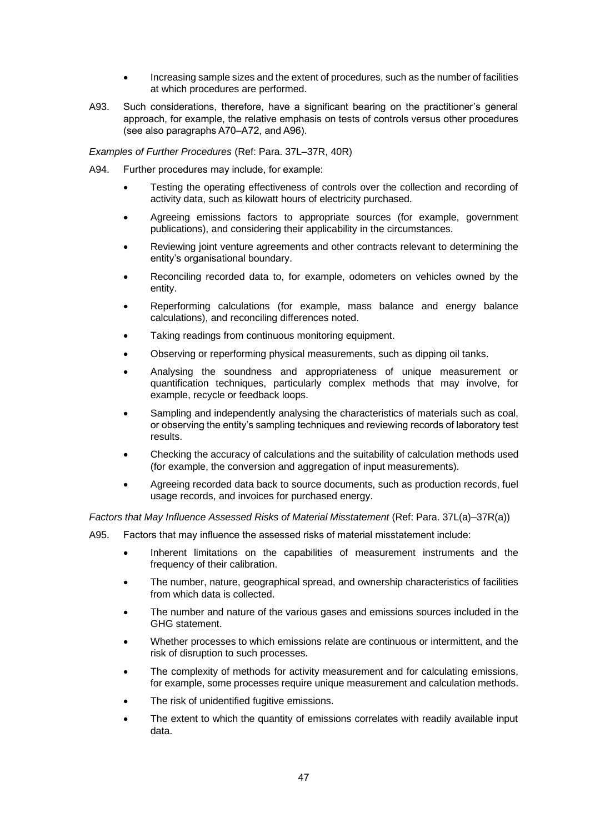- Increasing sample sizes and the extent of procedures, such as the number of facilities at which procedures are performed.
- A93. Such considerations, therefore, have a significant bearing on the practitioner's general approach, for example, the relative emphasis on tests of controls versus other procedures (see also paragraphs A70–A72, and A96).

*Examples of Further Procedures* (Ref: Para. 37L–37R, 40R)

- A94. Further procedures may include, for example:
	- Testing the operating effectiveness of controls over the collection and recording of activity data, such as kilowatt hours of electricity purchased.
	- Agreeing emissions factors to appropriate sources (for example, government publications), and considering their applicability in the circumstances.
	- Reviewing joint venture agreements and other contracts relevant to determining the entity's organisational boundary.
	- Reconciling recorded data to, for example, odometers on vehicles owned by the entity.
	- Reperforming calculations (for example, mass balance and energy balance calculations), and reconciling differences noted.
	- Taking readings from continuous monitoring equipment.
	- Observing or reperforming physical measurements, such as dipping oil tanks.
	- Analysing the soundness and appropriateness of unique measurement or quantification techniques, particularly complex methods that may involve, for example, recycle or feedback loops.
	- Sampling and independently analysing the characteristics of materials such as coal, or observing the entity's sampling techniques and reviewing records of laboratory test results.
	- Checking the accuracy of calculations and the suitability of calculation methods used (for example, the conversion and aggregation of input measurements).
	- Agreeing recorded data back to source documents, such as production records, fuel usage records, and invoices for purchased energy.

*Factors that May Influence Assessed Risks of Material Misstatement (Ref: Para. 37L(a)–37R(a))* 

- A95. Factors that may influence the assessed risks of material misstatement include:
	- Inherent limitations on the capabilities of measurement instruments and the frequency of their calibration.
	- The number, nature, geographical spread, and ownership characteristics of facilities from which data is collected.
	- The number and nature of the various gases and emissions sources included in the GHG statement.
	- Whether processes to which emissions relate are continuous or intermittent, and the risk of disruption to such processes.
	- The complexity of methods for activity measurement and for calculating emissions, for example, some processes require unique measurement and calculation methods.
	- The risk of unidentified fugitive emissions.
	- The extent to which the quantity of emissions correlates with readily available input data.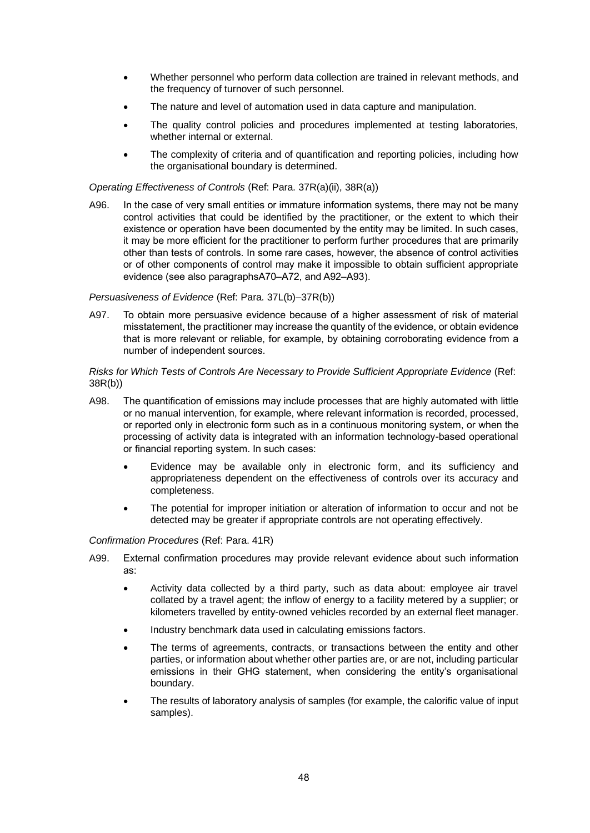- Whether personnel who perform data collection are trained in relevant methods, and the frequency of turnover of such personnel.
- The nature and level of automation used in data capture and manipulation.
- The quality control policies and procedures implemented at testing laboratories, whether internal or external.
- The complexity of criteria and of quantification and reporting policies, including how the organisational boundary is determined.

### *Operating Effectiveness of Controls* (Ref: Para. 37R(a)(ii), 38R(a))

A96. In the case of very small entities or immature information systems, there may not be many control activities that could be identified by the practitioner, or the extent to which their existence or operation have been documented by the entity may be limited. In such cases, it may be more efficient for the practitioner to perform further procedures that are primarily other than tests of controls. In some rare cases, however, the absence of control activities or of other components of control may make it impossible to obtain sufficient appropriate evidence (see also paragraphsA70–A72, and A92–A93).

### *Persuasiveness of Evidence* (Ref: Para. 37L(b)–37R(b))

A97. To obtain more persuasive evidence because of a higher assessment of risk of material misstatement, the practitioner may increase the quantity of the evidence, or obtain evidence that is more relevant or reliable, for example, by obtaining corroborating evidence from a number of independent sources.

#### *Risks for Which Tests of Controls Are Necessary to Provide Sufficient Appropriate Evidence* (Ref: 38R(b))

- A98. The quantification of emissions may include processes that are highly automated with little or no manual intervention, for example, where relevant information is recorded, processed, or reported only in electronic form such as in a continuous monitoring system, or when the processing of activity data is integrated with an information technology-based operational or financial reporting system. In such cases:
	- Evidence may be available only in electronic form, and its sufficiency and appropriateness dependent on the effectiveness of controls over its accuracy and completeness.
	- The potential for improper initiation or alteration of information to occur and not be detected may be greater if appropriate controls are not operating effectively.

#### *Confirmation Procedures* (Ref: Para. 41R)

- A99. External confirmation procedures may provide relevant evidence about such information as:
	- Activity data collected by a third party, such as data about: employee air travel collated by a travel agent; the inflow of energy to a facility metered by a supplier; or kilometers travelled by entity-owned vehicles recorded by an external fleet manager.
	- Industry benchmark data used in calculating emissions factors.
	- The terms of agreements, contracts, or transactions between the entity and other parties, or information about whether other parties are, or are not, including particular emissions in their GHG statement, when considering the entity's organisational boundary.
	- The results of laboratory analysis of samples (for example, the calorific value of input samples).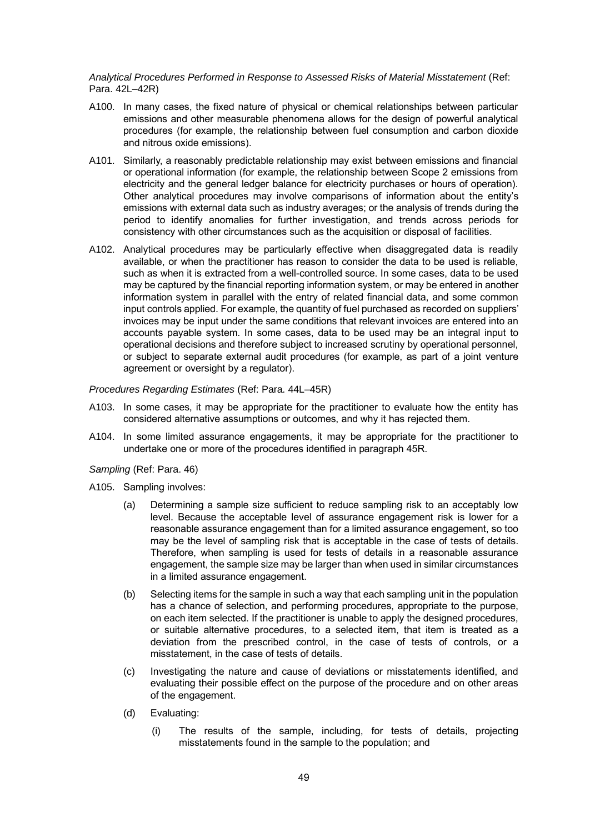*Analytical Procedures Performed in Response to Assessed Risks of Material Misstatement* (Ref: Para. 42L–42R)

- A100. In many cases, the fixed nature of physical or chemical relationships between particular emissions and other measurable phenomena allows for the design of powerful analytical procedures (for example, the relationship between fuel consumption and carbon dioxide and nitrous oxide emissions).
- A101. Similarly, a reasonably predictable relationship may exist between emissions and financial or operational information (for example, the relationship between Scope 2 emissions from electricity and the general ledger balance for electricity purchases or hours of operation). Other analytical procedures may involve comparisons of information about the entity's emissions with external data such as industry averages; or the analysis of trends during the period to identify anomalies for further investigation, and trends across periods for consistency with other circumstances such as the acquisition or disposal of facilities.
- A102. Analytical procedures may be particularly effective when disaggregated data is readily available, or when the practitioner has reason to consider the data to be used is reliable, such as when it is extracted from a well-controlled source. In some cases, data to be used may be captured by the financial reporting information system, or may be entered in another information system in parallel with the entry of related financial data, and some common input controls applied. For example, the quantity of fuel purchased as recorded on suppliers' invoices may be input under the same conditions that relevant invoices are entered into an accounts payable system. In some cases, data to be used may be an integral input to operational decisions and therefore subject to increased scrutiny by operational personnel, or subject to separate external audit procedures (for example, as part of a joint venture agreement or oversight by a regulator).

#### *Procedures Regarding Estimates* (Ref: Para. 44L–45R)

- A103. In some cases, it may be appropriate for the practitioner to evaluate how the entity has considered alternative assumptions or outcomes, and why it has rejected them.
- A104. In some limited assurance engagements, it may be appropriate for the practitioner to undertake one or more of the procedures identified in paragraph 45R.

#### *Sampling* (Ref: Para. 46)

- A105. Sampling involves:
	- (a) Determining a sample size sufficient to reduce sampling risk to an acceptably low level. Because the acceptable level of assurance engagement risk is lower for a reasonable assurance engagement than for a limited assurance engagement, so too may be the level of sampling risk that is acceptable in the case of tests of details. Therefore, when sampling is used for tests of details in a reasonable assurance engagement, the sample size may be larger than when used in similar circumstances in a limited assurance engagement.
	- (b) Selecting items for the sample in such a way that each sampling unit in the population has a chance of selection, and performing procedures, appropriate to the purpose, on each item selected. If the practitioner is unable to apply the designed procedures, or suitable alternative procedures, to a selected item, that item is treated as a deviation from the prescribed control, in the case of tests of controls, or a misstatement, in the case of tests of details.
	- (c) Investigating the nature and cause of deviations or misstatements identified, and evaluating their possible effect on the purpose of the procedure and on other areas of the engagement.
	- (d) Evaluating:
		- (i) The results of the sample, including, for tests of details, projecting misstatements found in the sample to the population; and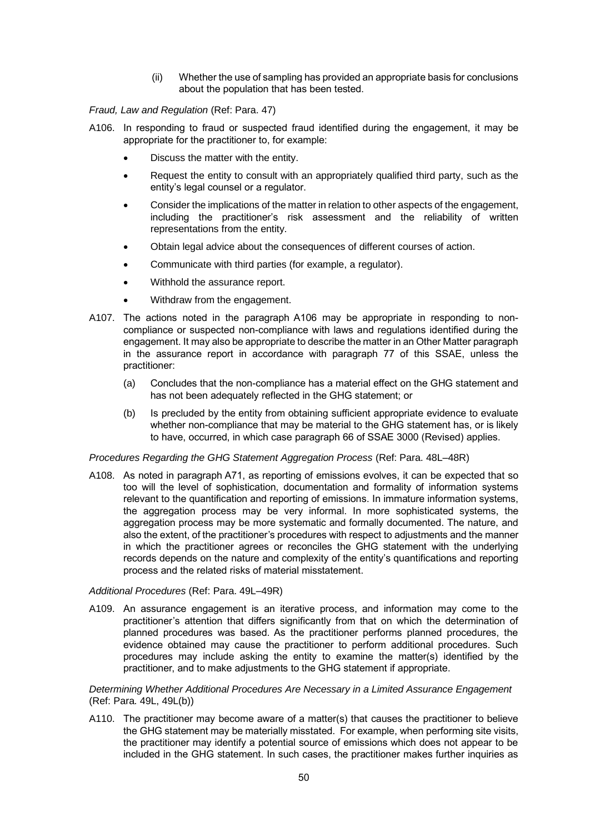(ii) Whether the use of sampling has provided an appropriate basis for conclusions about the population that has been tested.

*Fraud, Law and Regulation* (Ref: Para. 47)

- A106. In responding to fraud or suspected fraud identified during the engagement, it may be appropriate for the practitioner to, for example:
	- Discuss the matter with the entity.
	- Request the entity to consult with an appropriately qualified third party, such as the entity's legal counsel or a regulator.
	- Consider the implications of the matter in relation to other aspects of the engagement, including the practitioner's risk assessment and the reliability of written representations from the entity.
	- Obtain legal advice about the consequences of different courses of action.
	- Communicate with third parties (for example, a regulator).
	- Withhold the assurance report.
	- Withdraw from the engagement.
- A107. The actions noted in the paragraph A106 may be appropriate in responding to noncompliance or suspected non-compliance with laws and regulations identified during the engagement. It may also be appropriate to describe the matter in an Other Matter paragraph in the assurance report in accordance with paragraph 77 of this SSAE, unless the practitioner:
	- (a) Concludes that the non-compliance has a material effect on the GHG statement and has not been adequately reflected in the GHG statement; or
	- (b) Is precluded by the entity from obtaining sufficient appropriate evidence to evaluate whether non-compliance that may be material to the GHG statement has, or is likely to have, occurred, in which case paragraph 66 of SSAE 3000 (Revised) applies.

#### *Procedures Regarding the GHG Statement Aggregation Process* (Ref: Para. 48L–48R)

A108. As noted in paragraph A71, as reporting of emissions evolves, it can be expected that so too will the level of sophistication, documentation and formality of information systems relevant to the quantification and reporting of emissions. In immature information systems, the aggregation process may be very informal. In more sophisticated systems, the aggregation process may be more systematic and formally documented. The nature, and also the extent, of the practitioner's procedures with respect to adjustments and the manner in which the practitioner agrees or reconciles the GHG statement with the underlying records depends on the nature and complexity of the entity's quantifications and reporting process and the related risks of material misstatement.

#### *Additional Procedures* (Ref: Para. 49L–49R)

A109. An assurance engagement is an iterative process, and information may come to the practitioner's attention that differs significantly from that on which the determination of planned procedures was based. As the practitioner performs planned procedures, the evidence obtained may cause the practitioner to perform additional procedures. Such procedures may include asking the entity to examine the matter(s) identified by the practitioner, and to make adjustments to the GHG statement if appropriate.

*Determining Whether Additional Procedures Are Necessary in a Limited Assurance Engagement*  (Ref: Para. 49L, 49L(b))

A110. The practitioner may become aware of a matter(s) that causes the practitioner to believe the GHG statement may be materially misstated. For example, when performing site visits, the practitioner may identify a potential source of emissions which does not appear to be included in the GHG statement. In such cases, the practitioner makes further inquiries as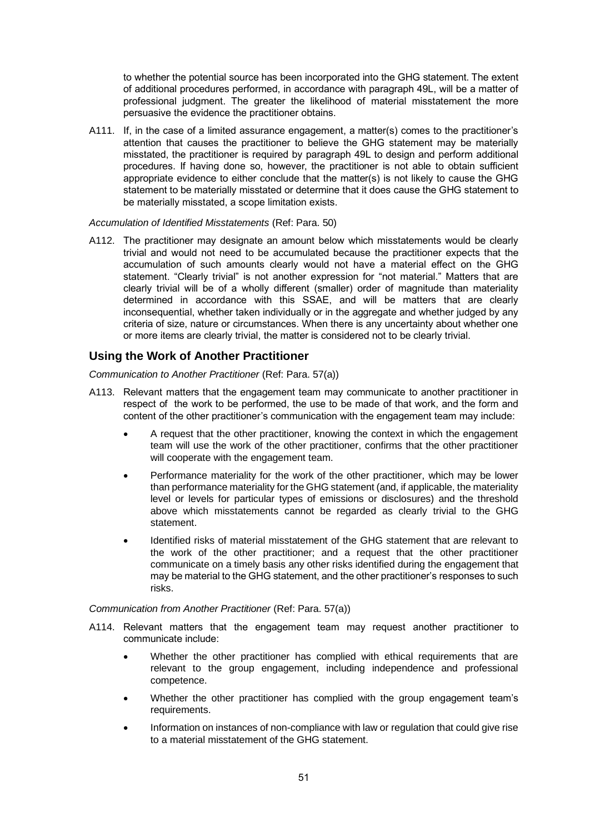to whether the potential source has been incorporated into the GHG statement. The extent of additional procedures performed, in accordance with paragraph 49L, will be a matter of professional judgment. The greater the likelihood of material misstatement the more persuasive the evidence the practitioner obtains.

A111. If, in the case of a limited assurance engagement, a matter(s) comes to the practitioner's attention that causes the practitioner to believe the GHG statement may be materially misstated, the practitioner is required by paragraph 49L to design and perform additional procedures. If having done so, however, the practitioner is not able to obtain sufficient appropriate evidence to either conclude that the matter(s) is not likely to cause the GHG statement to be materially misstated or determine that it does cause the GHG statement to be materially misstated, a scope limitation exists.

### *Accumulation of Identified Misstatements* (Ref: Para. 50)

A112. The practitioner may designate an amount below which misstatements would be clearly trivial and would not need to be accumulated because the practitioner expects that the accumulation of such amounts clearly would not have a material effect on the GHG statement. "Clearly trivial" is not another expression for "not material." Matters that are clearly trivial will be of a wholly different (smaller) order of magnitude than materiality determined in accordance with this SSAE, and will be matters that are clearly inconsequential, whether taken individually or in the aggregate and whether judged by any criteria of size, nature or circumstances. When there is any uncertainty about whether one or more items are clearly trivial, the matter is considered not to be clearly trivial.

# **Using the Work of Another Practitioner**

*Communication to Another Practitioner* (Ref: Para. 57(a))

- A113. Relevant matters that the engagement team may communicate to another practitioner in respect of the work to be performed, the use to be made of that work, and the form and content of the other practitioner's communication with the engagement team may include:
	- A request that the other practitioner, knowing the context in which the engagement team will use the work of the other practitioner, confirms that the other practitioner will cooperate with the engagement team.
	- Performance materiality for the work of the other practitioner, which may be lower than performance materiality for the GHG statement (and, if applicable, the materiality level or levels for particular types of emissions or disclosures) and the threshold above which misstatements cannot be regarded as clearly trivial to the GHG statement.
	- Identified risks of material misstatement of the GHG statement that are relevant to the work of the other practitioner; and a request that the other practitioner communicate on a timely basis any other risks identified during the engagement that may be material to the GHG statement, and the other practitioner's responses to such risks.

## *Communication from Another Practitioner* (Ref: Para. 57(a))

- A114. Relevant matters that the engagement team may request another practitioner to communicate include:
	- Whether the other practitioner has complied with ethical requirements that are relevant to the group engagement, including independence and professional competence.
	- Whether the other practitioner has complied with the group engagement team's requirements.
	- Information on instances of non-compliance with law or regulation that could give rise to a material misstatement of the GHG statement.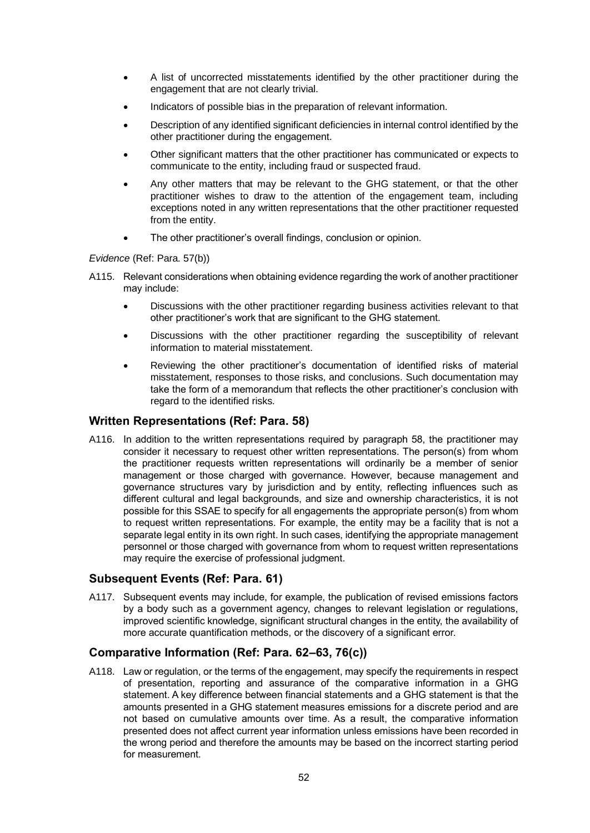- A list of uncorrected misstatements identified by the other practitioner during the engagement that are not clearly trivial.
- Indicators of possible bias in the preparation of relevant information.
- Description of any identified significant deficiencies in internal control identified by the other practitioner during the engagement.
- Other significant matters that the other practitioner has communicated or expects to communicate to the entity, including fraud or suspected fraud.
- Any other matters that may be relevant to the GHG statement, or that the other practitioner wishes to draw to the attention of the engagement team, including exceptions noted in any written representations that the other practitioner requested from the entity.
- The other practitioner's overall findings, conclusion or opinion.

*Evidence* (Ref: Para. 57(b))

- A115. Relevant considerations when obtaining evidence regarding the work of another practitioner may include:
	- Discussions with the other practitioner regarding business activities relevant to that other practitioner's work that are significant to the GHG statement.
	- Discussions with the other practitioner regarding the susceptibility of relevant information to material misstatement.
	- Reviewing the other practitioner's documentation of identified risks of material misstatement, responses to those risks, and conclusions. Such documentation may take the form of a memorandum that reflects the other practitioner's conclusion with regard to the identified risks.

# **Written Representations (Ref: Para. 58)**

A116. In addition to the written representations required by paragraph 58, the practitioner may consider it necessary to request other written representations. The person(s) from whom the practitioner requests written representations will ordinarily be a member of senior management or those charged with governance. However, because management and governance structures vary by jurisdiction and by entity, reflecting influences such as different cultural and legal backgrounds, and size and ownership characteristics, it is not possible for this SSAE to specify for all engagements the appropriate person(s) from whom to request written representations. For example, the entity may be a facility that is not a separate legal entity in its own right. In such cases, identifying the appropriate management personnel or those charged with governance from whom to request written representations may require the exercise of professional judgment.

# **Subsequent Events (Ref: Para. 61)**

A117. Subsequent events may include, for example, the publication of revised emissions factors by a body such as a government agency, changes to relevant legislation or regulations, improved scientific knowledge, significant structural changes in the entity, the availability of more accurate quantification methods, or the discovery of a significant error.

# **Comparative Information (Ref: Para. 62***–***63, 76(c))**

A118. Law or regulation, or the terms of the engagement, may specify the requirements in respect of presentation, reporting and assurance of the comparative information in a GHG statement. A key difference between financial statements and a GHG statement is that the amounts presented in a GHG statement measures emissions for a discrete period and are not based on cumulative amounts over time. As a result, the comparative information presented does not affect current year information unless emissions have been recorded in the wrong period and therefore the amounts may be based on the incorrect starting period for measurement.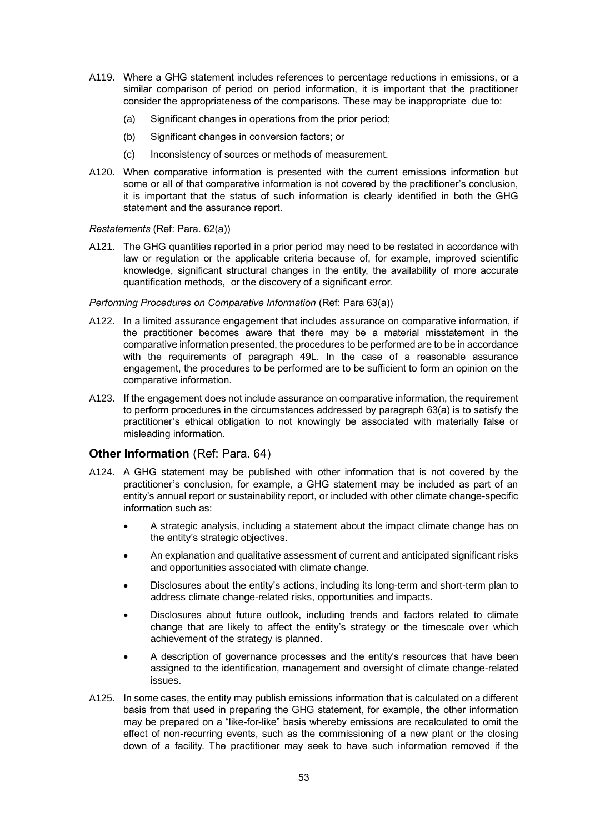- A119. Where a GHG statement includes references to percentage reductions in emissions, or a similar comparison of period on period information, it is important that the practitioner consider the appropriateness of the comparisons. These may be inappropriate due to:
	- (a) Significant changes in operations from the prior period;
	- (b) Significant changes in conversion factors; or
	- (c) Inconsistency of sources or methods of measurement.
- A120. When comparative information is presented with the current emissions information but some or all of that comparative information is not covered by the practitioner's conclusion, it is important that the status of such information is clearly identified in both the GHG statement and the assurance report.

### *Restatements* (Ref: Para. 62(a))

A121. The GHG quantities reported in a prior period may need to be restated in accordance with law or regulation or the applicable criteria because of, for example, improved scientific knowledge, significant structural changes in the entity, the availability of more accurate quantification methods, or the discovery of a significant error.

### *Performing Procedures on Comparative Information (Ref: Para 63(a))*

- A122. In a limited assurance engagement that includes assurance on comparative information, if the practitioner becomes aware that there may be a material misstatement in the comparative information presented, the procedures to be performed are to be in accordance with the requirements of paragraph 49L. In the case of a reasonable assurance engagement, the procedures to be performed are to be sufficient to form an opinion on the comparative information.
- A123. If the engagement does not include assurance on comparative information, the requirement to perform procedures in the circumstances addressed by paragraph 63(a) is to satisfy the practitioner's ethical obligation to not knowingly be associated with materially false or misleading information.

# **Other Information** (Ref: Para. 64)

- A124. A GHG statement may be published with other information that is not covered by the practitioner's conclusion, for example, a GHG statement may be included as part of an entity's annual report or sustainability report, or included with other climate change-specific information such as:
	- A strategic analysis, including a statement about the impact climate change has on the entity's strategic objectives.
	- An explanation and qualitative assessment of current and anticipated significant risks and opportunities associated with climate change.
	- Disclosures about the entity's actions, including its long-term and short-term plan to address climate change-related risks, opportunities and impacts.
	- Disclosures about future outlook, including trends and factors related to climate change that are likely to affect the entity's strategy or the timescale over which achievement of the strategy is planned.
	- A description of governance processes and the entity's resources that have been assigned to the identification, management and oversight of climate change-related issues.
- A125. In some cases, the entity may publish emissions information that is calculated on a different basis from that used in preparing the GHG statement, for example, the other information may be prepared on a "like-for-like" basis whereby emissions are recalculated to omit the effect of non-recurring events, such as the commissioning of a new plant or the closing down of a facility. The practitioner may seek to have such information removed if the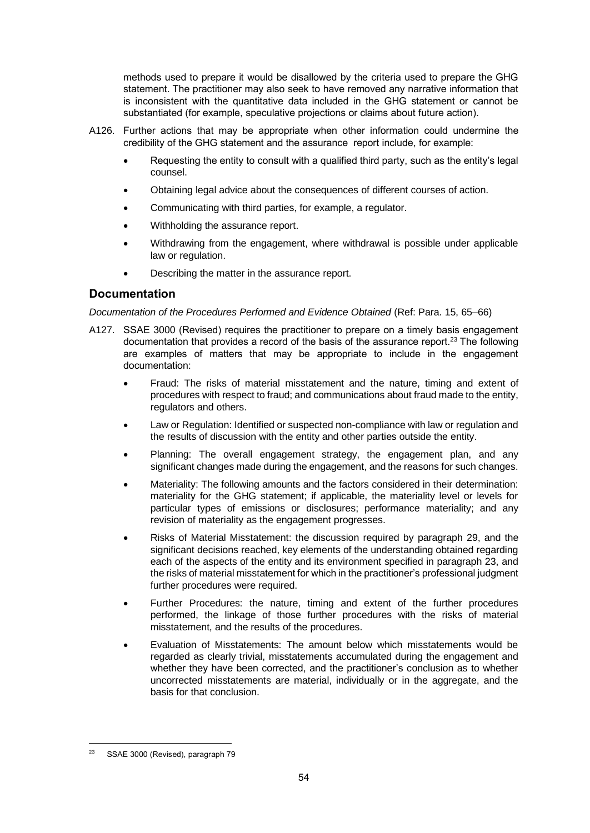methods used to prepare it would be disallowed by the criteria used to prepare the GHG statement. The practitioner may also seek to have removed any narrative information that is inconsistent with the quantitative data included in the GHG statement or cannot be substantiated (for example, speculative projections or claims about future action).

- A126. Further actions that may be appropriate when other information could undermine the credibility of the GHG statement and the assurance report include, for example:
	- Requesting the entity to consult with a qualified third party, such as the entity's legal counsel.
	- Obtaining legal advice about the consequences of different courses of action.
	- Communicating with third parties, for example, a regulator.
	- Withholding the assurance report.
	- Withdrawing from the engagement, where withdrawal is possible under applicable law or regulation.
	- Describing the matter in the assurance report.

# **Documentation**

*Documentation of the Procedures Performed and Evidence Obtained* (Ref: Para. 15, 65–66)

- A127. SSAE 3000 (Revised) requires the practitioner to prepare on a timely basis engagement documentation that provides a record of the basis of the assurance report.<sup>23</sup> The following are examples of matters that may be appropriate to include in the engagement documentation:
	- Fraud: The risks of material misstatement and the nature, timing and extent of procedures with respect to fraud; and communications about fraud made to the entity, regulators and others.
	- Law or Regulation: Identified or suspected non-compliance with law or regulation and the results of discussion with the entity and other parties outside the entity.
	- Planning: The overall engagement strategy, the engagement plan, and any significant changes made during the engagement, and the reasons for such changes.
	- Materiality: The following amounts and the factors considered in their determination: materiality for the GHG statement; if applicable, the materiality level or levels for particular types of emissions or disclosures; performance materiality; and any revision of materiality as the engagement progresses.
	- Risks of Material Misstatement: the discussion required by paragraph 29, and the significant decisions reached, key elements of the understanding obtained regarding each of the aspects of the entity and its environment specified in paragraph 23, and the risks of material misstatement for which in the practitioner's professional judgment further procedures were required.
	- Further Procedures: the nature, timing and extent of the further procedures performed, the linkage of those further procedures with the risks of material misstatement, and the results of the procedures.
	- Evaluation of Misstatements: The amount below which misstatements would be regarded as clearly trivial, misstatements accumulated during the engagement and whether they have been corrected, and the practitioner's conclusion as to whether uncorrected misstatements are material, individually or in the aggregate, and the basis for that conclusion.

<sup>23</sup> SSAE 3000 (Revised), paragraph 79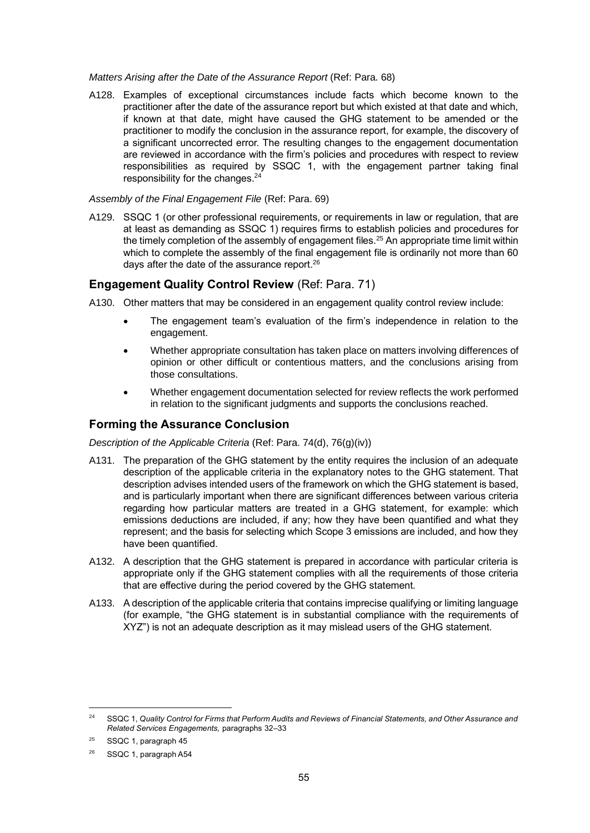#### *Matters Arising after the Date of the Assurance Report (Ref: Para. 68)*

A128. Examples of exceptional circumstances include facts which become known to the practitioner after the date of the assurance report but which existed at that date and which, if known at that date, might have caused the GHG statement to be amended or the practitioner to modify the conclusion in the assurance report, for example, the discovery of a significant uncorrected error. The resulting changes to the engagement documentation are reviewed in accordance with the firm's policies and procedures with respect to review responsibilities as required by SSQC 1, with the engagement partner taking final responsibility for the changes.<sup>24</sup>

## *Assembly of the Final Engagement File* (Ref: Para. 69)

A129. SSQC 1 (or other professional requirements, or requirements in law or regulation, that are at least as demanding as SSQC 1) requires firms to establish policies and procedures for the timely completion of the assembly of engagement files.<sup>25</sup> An appropriate time limit within which to complete the assembly of the final engagement file is ordinarily not more than 60 days after the date of the assurance report.<sup>26</sup>

# **Engagement Quality Control Review** (Ref: Para. 71)

- A130. Other matters that may be considered in an engagement quality control review include:
	- The engagement team's evaluation of the firm's independence in relation to the engagement.
	- Whether appropriate consultation has taken place on matters involving differences of opinion or other difficult or contentious matters, and the conclusions arising from those consultations.
	- Whether engagement documentation selected for review reflects the work performed in relation to the significant judgments and supports the conclusions reached.

# **Forming the Assurance Conclusion**

*Description of the Applicable Criteria* (Ref: Para. 74(d), 76(g)(iv))

- A131. The preparation of the GHG statement by the entity requires the inclusion of an adequate description of the applicable criteria in the explanatory notes to the GHG statement. That description advises intended users of the framework on which the GHG statement is based, and is particularly important when there are significant differences between various criteria regarding how particular matters are treated in a GHG statement, for example: which emissions deductions are included, if any; how they have been quantified and what they represent; and the basis for selecting which Scope 3 emissions are included, and how they have been quantified.
- A132. A description that the GHG statement is prepared in accordance with particular criteria is appropriate only if the GHG statement complies with all the requirements of those criteria that are effective during the period covered by the GHG statement.
- A133. A description of the applicable criteria that contains imprecise qualifying or limiting language (for example, "the GHG statement is in substantial compliance with the requirements of XYZ") is not an adequate description as it may mislead users of the GHG statement.

<sup>24</sup> SSQC 1, *Quality Control for Firms that Perform Audits and Reviews of Financial Statements, and Other Assurance and Related Services Engagements,* paragraphs 32–33

<sup>25</sup> SSQC 1, paragraph 45

<sup>26</sup> SSQC 1, paragraph A54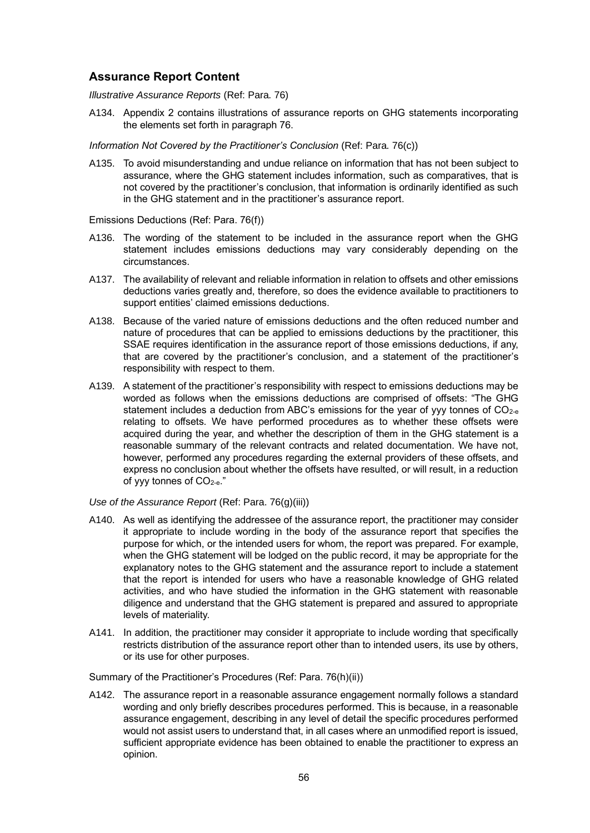# **Assurance Report Content**

*Illustrative Assurance Reports* (Ref: Para. 76)

A134. Appendix 2 contains illustrations of assurance reports on GHG statements incorporating the elements set forth in paragraph 76.

*Information Not Covered by the Practitioner's Conclusion (Ref: Para. 76(c))* 

A135. To avoid misunderstanding and undue reliance on information that has not been subject to assurance, where the GHG statement includes information, such as comparatives, that is not covered by the practitioner's conclusion, that information is ordinarily identified as such in the GHG statement and in the practitioner's assurance report.

Emissions Deductions (Ref: Para. 76(f))

- A136. The wording of the statement to be included in the assurance report when the GHG statement includes emissions deductions may vary considerably depending on the circumstances.
- A137. The availability of relevant and reliable information in relation to offsets and other emissions deductions varies greatly and, therefore, so does the evidence available to practitioners to support entities' claimed emissions deductions.
- A138. Because of the varied nature of emissions deductions and the often reduced number and nature of procedures that can be applied to emissions deductions by the practitioner, this SSAE requires identification in the assurance report of those emissions deductions, if any, that are covered by the practitioner's conclusion, and a statement of the practitioner's responsibility with respect to them.
- A139. A statement of the practitioner's responsibility with respect to emissions deductions may be worded as follows when the emissions deductions are comprised of offsets: "The GHG statement includes a deduction from ABC's emissions for the year of yyy tonnes of  $CO_{2-e}$ relating to offsets. We have performed procedures as to whether these offsets were acquired during the year, and whether the description of them in the GHG statement is a reasonable summary of the relevant contracts and related documentation. We have not, however, performed any procedures regarding the external providers of these offsets, and express no conclusion about whether the offsets have resulted, or will result, in a reduction of yyy tonnes of  $CO<sub>2-e</sub>$ ."

## *Use of the Assurance Report* (Ref: Para. 76(g)(iii))

- A140. As well as identifying the addressee of the assurance report, the practitioner may consider it appropriate to include wording in the body of the assurance report that specifies the purpose for which, or the intended users for whom, the report was prepared. For example, when the GHG statement will be lodged on the public record, it may be appropriate for the explanatory notes to the GHG statement and the assurance report to include a statement that the report is intended for users who have a reasonable knowledge of GHG related activities, and who have studied the information in the GHG statement with reasonable diligence and understand that the GHG statement is prepared and assured to appropriate levels of materiality.
- A141. In addition, the practitioner may consider it appropriate to include wording that specifically restricts distribution of the assurance report other than to intended users, its use by others, or its use for other purposes.

#### Summary of the Practitioner's Procedures (Ref: Para. 76(h)(ii))

A142. The assurance report in a reasonable assurance engagement normally follows a standard wording and only briefly describes procedures performed. This is because, in a reasonable assurance engagement, describing in any level of detail the specific procedures performed would not assist users to understand that, in all cases where an unmodified report is issued, sufficient appropriate evidence has been obtained to enable the practitioner to express an opinion.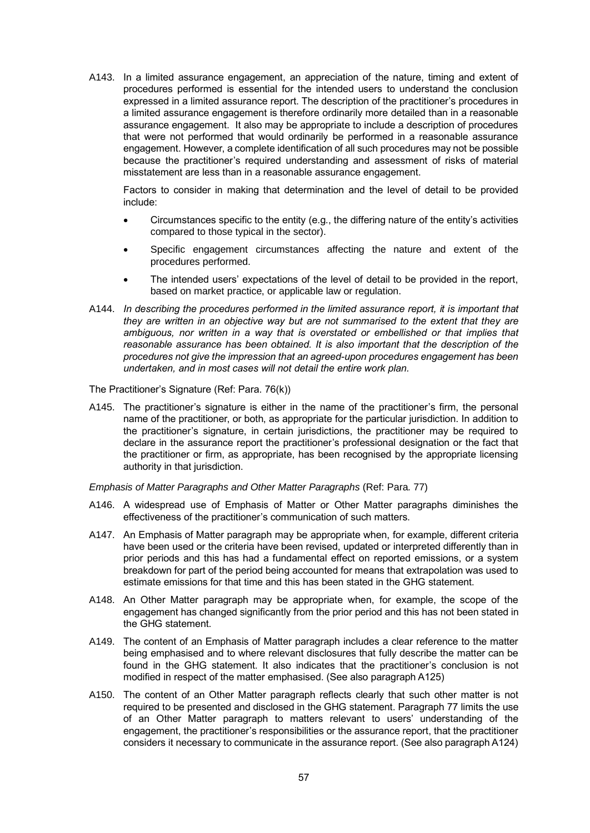A143. In a limited assurance engagement, an appreciation of the nature, timing and extent of procedures performed is essential for the intended users to understand the conclusion expressed in a limited assurance report. The description of the practitioner's procedures in a limited assurance engagement is therefore ordinarily more detailed than in a reasonable assurance engagement. It also may be appropriate to include a description of procedures that were not performed that would ordinarily be performed in a reasonable assurance engagement. However, a complete identification of all such procedures may not be possible because the practitioner's required understanding and assessment of risks of material misstatement are less than in a reasonable assurance engagement.

Factors to consider in making that determination and the level of detail to be provided include:

- Circumstances specific to the entity (e.g., the differing nature of the entity's activities compared to those typical in the sector).
- Specific engagement circumstances affecting the nature and extent of the procedures performed.
- The intended users' expectations of the level of detail to be provided in the report, based on market practice, or applicable law or regulation.
- A144. *In describing the procedures performed in the limited assurance report, it is important that they are written in an objective way but are not summarised to the extent that they are ambiguous, nor written in a way that is overstated or embellished or that implies that reasonable assurance has been obtained. It is also important that the description of the procedures not give the impression that an agreed-upon procedures engagement has been undertaken, and in most cases will not detail the entire work plan.*

The Practitioner's Signature (Ref: Para. 76(k))

A145. The practitioner's signature is either in the name of the practitioner's firm, the personal name of the practitioner, or both, as appropriate for the particular jurisdiction. In addition to the practitioner's signature, in certain jurisdictions, the practitioner may be required to declare in the assurance report the practitioner's professional designation or the fact that the practitioner or firm, as appropriate, has been recognised by the appropriate licensing authority in that jurisdiction.

*Emphasis of Matter Paragraphs and Other Matter Paragraphs* (Ref: Para. 77)

- A146. A widespread use of Emphasis of Matter or Other Matter paragraphs diminishes the effectiveness of the practitioner's communication of such matters.
- A147. An Emphasis of Matter paragraph may be appropriate when, for example, different criteria have been used or the criteria have been revised, updated or interpreted differently than in prior periods and this has had a fundamental effect on reported emissions, or a system breakdown for part of the period being accounted for means that extrapolation was used to estimate emissions for that time and this has been stated in the GHG statement.
- A148. An Other Matter paragraph may be appropriate when, for example, the scope of the engagement has changed significantly from the prior period and this has not been stated in the GHG statement.
- A149. The content of an Emphasis of Matter paragraph includes a clear reference to the matter being emphasised and to where relevant disclosures that fully describe the matter can be found in the GHG statement. It also indicates that the practitioner's conclusion is not modified in respect of the matter emphasised. (See also paragraph A125)
- A150. The content of an Other Matter paragraph reflects clearly that such other matter is not required to be presented and disclosed in the GHG statement. Paragraph 77 limits the use of an Other Matter paragraph to matters relevant to users' understanding of the engagement, the practitioner's responsibilities or the assurance report, that the practitioner considers it necessary to communicate in the assurance report. (See also paragraph A124)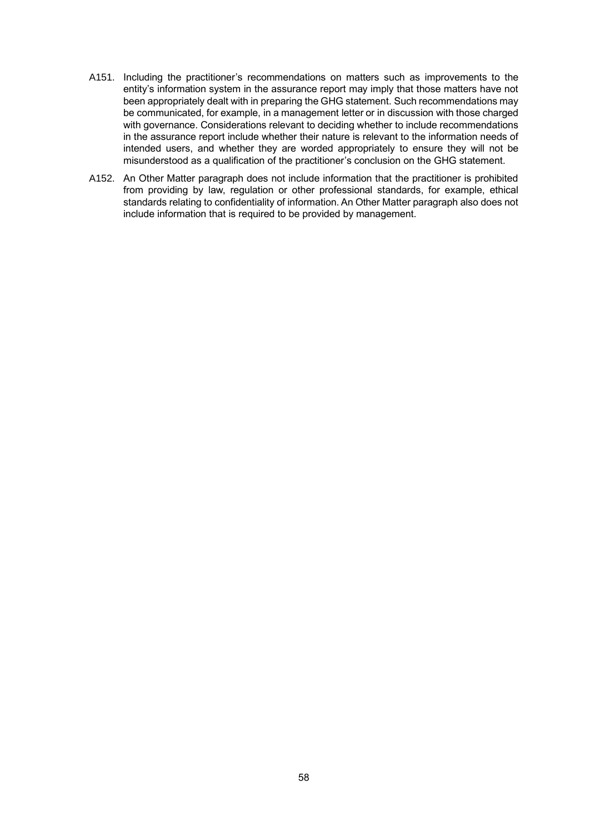- A151. Including the practitioner's recommendations on matters such as improvements to the entity's information system in the assurance report may imply that those matters have not been appropriately dealt with in preparing the GHG statement. Such recommendations may be communicated, for example, in a management letter or in discussion with those charged with governance. Considerations relevant to deciding whether to include recommendations in the assurance report include whether their nature is relevant to the information needs of intended users, and whether they are worded appropriately to ensure they will not be misunderstood as a qualification of the practitioner's conclusion on the GHG statement.
- A152. An Other Matter paragraph does not include information that the practitioner is prohibited from providing by law, regulation or other professional standards, for example, ethical standards relating to confidentiality of information. An Other Matter paragraph also does not include information that is required to be provided by management.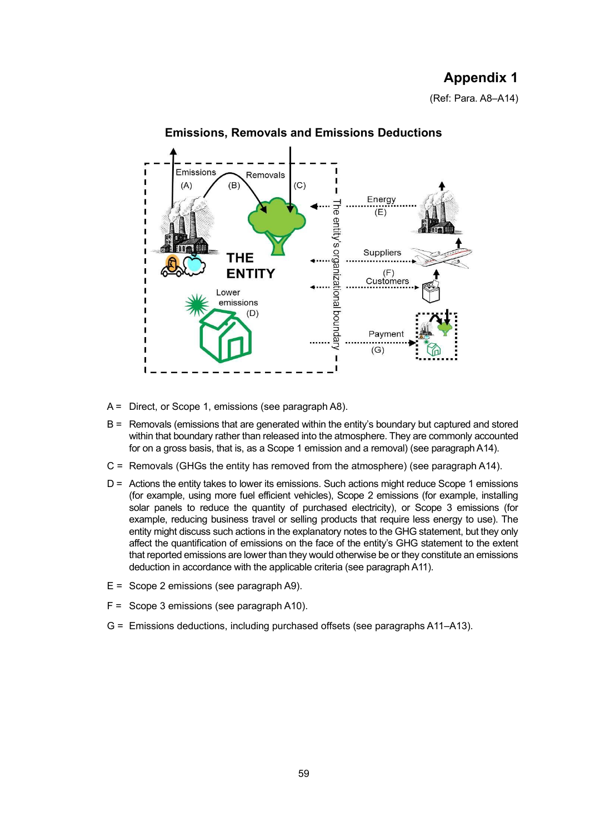# **Appendix 1**

(Ref: Para. A8–A14)



# **Emissions, Removals and Emissions Deductions**

- A = Direct, or Scope 1, emissions (see paragraph A8).
- B = Removals (emissions that are generated within the entity's boundary but captured and stored within that boundary rather than released into the atmosphere. They are commonly accounted for on a gross basis, that is, as a Scope 1 emission and a removal) (see paragraph A14).
- C = Removals (GHGs the entity has removed from the atmosphere) (see paragraph A14).
- D = Actions the entity takes to lower its emissions. Such actions might reduce Scope 1 emissions (for example, using more fuel efficient vehicles), Scope 2 emissions (for example, installing solar panels to reduce the quantity of purchased electricity), or Scope 3 emissions (for example, reducing business travel or selling products that require less energy to use). The entity might discuss such actions in the explanatory notes to the GHG statement, but they only affect the quantification of emissions on the face of the entity's GHG statement to the extent that reported emissions are lower than they would otherwise be or they constitute an emissions deduction in accordance with the applicable criteria (see paragraph A11).
- E = Scope 2 emissions (see paragraph A9).
- F = Scope 3 emissions (see paragraph A10).
- G = Emissions deductions, including purchased offsets (see paragraphs A11–A13).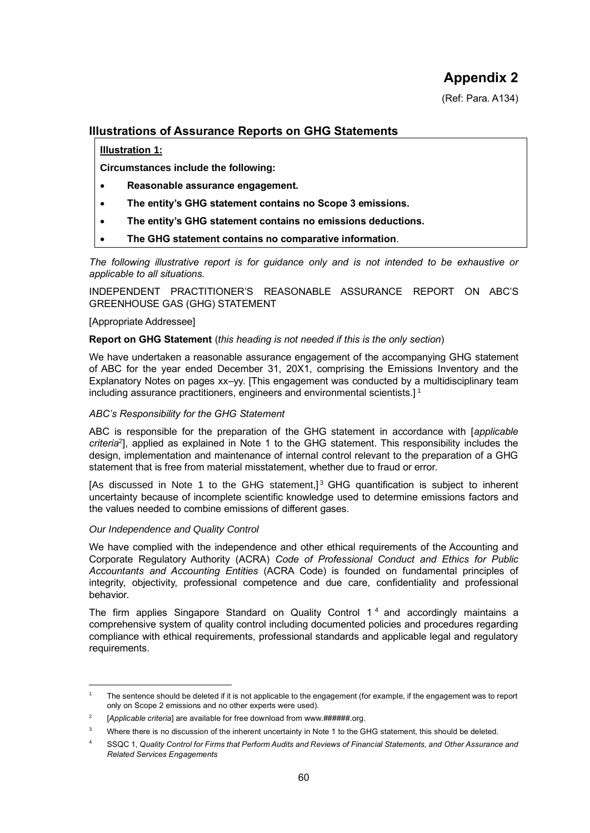(Ref: Para. A134)

# **Illustrations of Assurance Reports on GHG Statements**

## **Illustration 1:**

**Circumstances include the following:**

- **Reasonable assurance engagement.**
- **The entity's GHG statement contains no Scope 3 emissions.**
- **The entity's GHG statement contains no emissions deductions.**
- **The GHG statement contains no comparative information**.

*The following illustrative report is for guidance only and is not intended to be exhaustive or applicable to all situations.*

INDEPENDENT PRACTITIONER'S REASONABLE ASSURANCE REPORT ON ABC'S GREENHOUSE GAS (GHG) STATEMENT

### [Appropriate Addressee]

### **Report on GHG Statement** (*this heading is not needed if this is the only section*)

We have undertaken a reasonable assurance engagement of the accompanying GHG statement of ABC for the year ended December 31, 20X1, comprising the Emissions Inventory and the Explanatory Notes on pages xx–yy. [This engagement was conducted by a multidisciplinary team including assurance practitioners, engineers and environmental scientists.]<sup>1</sup>

### *ABC's Responsibility for the GHG Statement*

ABC is responsible for the preparation of the GHG statement in accordance with [*applicable criteria*<sup>2</sup> ], applied as explained in Note 1 to the GHG statement. This responsibility includes the design, implementation and maintenance of internal control relevant to the preparation of a GHG statement that is free from material misstatement, whether due to fraud or error.

[As discussed in Note 1 to the GHG statement,]<sup>3</sup> GHG quantification is subject to inherent uncertainty because of incomplete scientific knowledge used to determine emissions factors and the values needed to combine emissions of different gases.

#### *Our Independence and Quality Control*

We have complied with the independence and other ethical requirements of the Accounting and Corporate Regulatory Authority (ACRA) *Code of Professional Conduct and Ethics for Public Accountants and Accounting Entities* (ACRA Code) is founded on fundamental principles of integrity, objectivity, professional competence and due care, confidentiality and professional behavior.

The firm applies Singapore Standard on Quality Control  $1<sup>4</sup>$  and accordingly maintains a comprehensive system of quality control including documented policies and procedures regarding compliance with ethical requirements, professional standards and applicable legal and regulatory requirements.

The sentence should be deleted if it is not applicable to the engagement (for example, if the engagement was to report only on Scope 2 emissions and no other experts were used).

<sup>2</sup> [Applicable criteria] are available for free download fro[m www.######.org.](http://www./)

<sup>&</sup>lt;sup>3</sup> Where there is no discussion of the inherent uncertainty in Note 1 to the GHG statement, this should be deleted.

<sup>4</sup> SSQC 1, *Quality Control for Firms that Perform Audits and Reviews of Financial Statements, and Other Assurance and Related Services Engagements*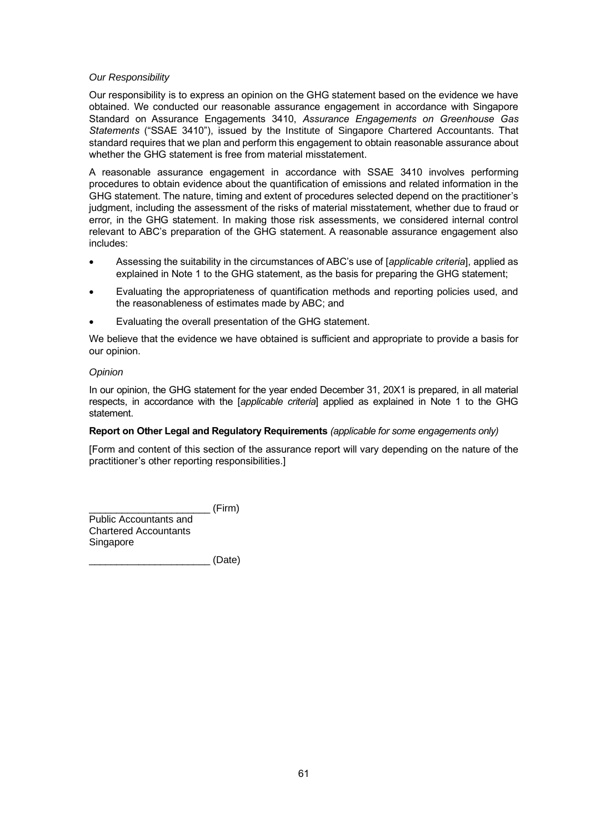#### *Our Responsibility*

Our responsibility is to express an opinion on the GHG statement based on the evidence we have obtained. We conducted our reasonable assurance engagement in accordance with Singapore Standard on Assurance Engagements 3410, *Assurance Engagements on Greenhouse Gas Statements* ("SSAE 3410"), issued by the Institute of Singapore Chartered Accountants. That standard requires that we plan and perform this engagement to obtain reasonable assurance about whether the GHG statement is free from material misstatement.

A reasonable assurance engagement in accordance with SSAE 3410 involves performing procedures to obtain evidence about the quantification of emissions and related information in the GHG statement. The nature, timing and extent of procedures selected depend on the practitioner's judgment, including the assessment of the risks of material misstatement, whether due to fraud or error, in the GHG statement. In making those risk assessments, we considered internal control relevant to ABC's preparation of the GHG statement. A reasonable assurance engagement also includes:

- Assessing the suitability in the circumstances of ABC's use of [*applicable criteria*], applied as explained in Note 1 to the GHG statement, as the basis for preparing the GHG statement;
- Evaluating the appropriateness of quantification methods and reporting policies used, and the reasonableness of estimates made by ABC; and
- Evaluating the overall presentation of the GHG statement.

We believe that the evidence we have obtained is sufficient and appropriate to provide a basis for our opinion.

### *Opinion*

In our opinion, the GHG statement for the year ended December 31, 20X1 is prepared, in all material respects, in accordance with the [*applicable criteria*] applied as explained in Note 1 to the GHG statement.

## **Report on Other Legal and Regulatory Requirements** *(applicable for some engagements only)*

[Form and content of this section of the assurance report will vary depending on the nature of the practitioner's other reporting responsibilities.]

|                               | (Firm) |
|-------------------------------|--------|
| <b>Public Accountants and</b> |        |
| <b>Chartered Accountants</b>  |        |
| Singapore                     |        |

\_\_\_\_\_\_\_\_\_\_\_\_\_\_\_\_\_\_\_\_\_\_ (Date)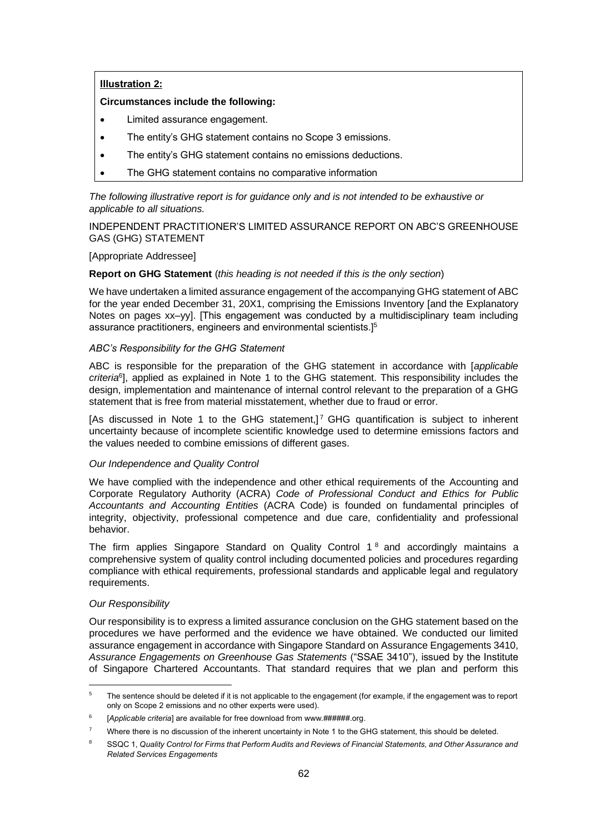# **Illustration 2:**

### **Circumstances include the following:**

- Limited assurance engagement.
- The entity's GHG statement contains no Scope 3 emissions.
- The entity's GHG statement contains no emissions deductions.
- The GHG statement contains no comparative information

*The following illustrative report is for guidance only and is not intended to be exhaustive or applicable to all situations.*

## INDEPENDENT PRACTITIONER'S LIMITED ASSURANCE REPORT ON ABC'S GREENHOUSE GAS (GHG) STATEMENT

### [Appropriate Addressee]

### **Report on GHG Statement** (*this heading is not needed if this is the only section*)

We have undertaken a limited assurance engagement of the accompanying GHG statement of ABC for the year ended December 31, 20X1, comprising the Emissions Inventory [and the Explanatory Notes on pages xx–yy]. [This engagement was conducted by a multidisciplinary team including assurance practitioners, engineers and environmental scientists.]<sup>5</sup>

#### *ABC's Responsibility for the GHG Statement*

ABC is responsible for the preparation of the GHG statement in accordance with [*applicable*  criteria<sup>6</sup>], applied as explained in Note 1 to the GHG statement. This responsibility includes the design, implementation and maintenance of internal control relevant to the preparation of a GHG statement that is free from material misstatement, whether due to fraud or error.

[As discussed in Note 1 to the GHG statement,]<sup>7</sup> GHG quantification is subject to inherent uncertainty because of incomplete scientific knowledge used to determine emissions factors and the values needed to combine emissions of different gases.

#### *Our Independence and Quality Control*

We have complied with the independence and other ethical requirements of the Accounting and Corporate Regulatory Authority (ACRA) *Code of Professional Conduct and Ethics for Public Accountants and Accounting Entities* (ACRA Code) is founded on fundamental principles of integrity, objectivity, professional competence and due care, confidentiality and professional behavior.

The firm applies Singapore Standard on Quality Control  $1<sup>8</sup>$  and accordingly maintains a comprehensive system of quality control including documented policies and procedures regarding compliance with ethical requirements, professional standards and applicable legal and regulatory requirements.

#### *Our Responsibility*

Our responsibility is to express a limited assurance conclusion on the GHG statement based on the procedures we have performed and the evidence we have obtained. We conducted our limited assurance engagement in accordance with Singapore Standard on Assurance Engagements 3410, *Assurance Engagements on Greenhouse Gas Statements* ("SSAE 3410"), issued by the Institute of Singapore Chartered Accountants. That standard requires that we plan and perform this

<sup>&</sup>lt;sup>5</sup> The sentence should be deleted if it is not applicable to the engagement (for example, if the engagement was to report only on Scope 2 emissions and no other experts were used).

<sup>6</sup> [Applicable criteria] are available for free download fro[m www.######.org.](http://www./)

 $7$  Where there is no discussion of the inherent uncertainty in Note 1 to the GHG statement, this should be deleted.

<sup>8</sup> SSQC 1, *Quality Control for Firms that Perform Audits and Reviews of Financial Statements, and Other Assurance and Related Services Engagements*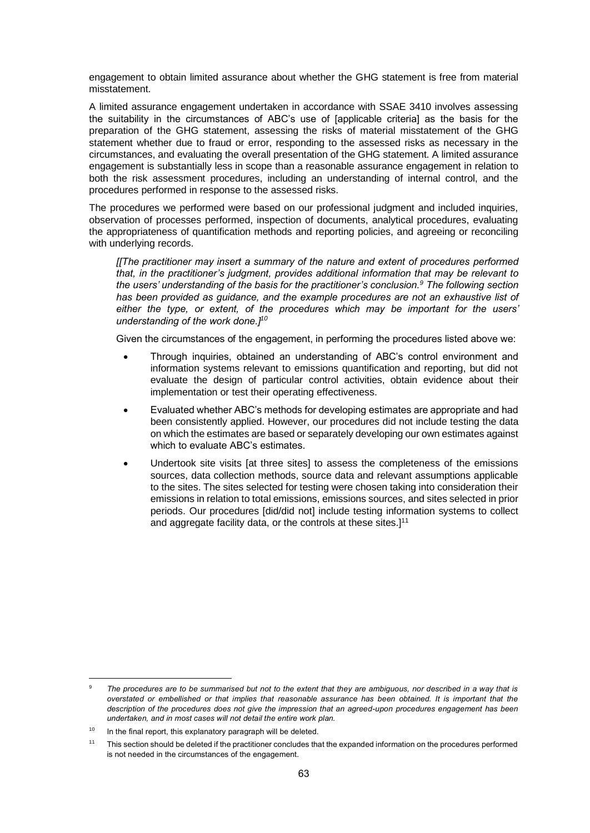engagement to obtain limited assurance about whether the GHG statement is free from material misstatement.

A limited assurance engagement undertaken in accordance with SSAE 3410 involves assessing the suitability in the circumstances of ABC's use of [applicable criteria] as the basis for the preparation of the GHG statement, assessing the risks of material misstatement of the GHG statement whether due to fraud or error, responding to the assessed risks as necessary in the circumstances, and evaluating the overall presentation of the GHG statement. A limited assurance engagement is substantially less in scope than a reasonable assurance engagement in relation to both the risk assessment procedures, including an understanding of internal control, and the procedures performed in response to the assessed risks.

The procedures we performed were based on our professional judgment and included inquiries, observation of processes performed, inspection of documents, analytical procedures, evaluating the appropriateness of quantification methods and reporting policies, and agreeing or reconciling with underlying records.

*[[The practitioner may insert a summary of the nature and extent of procedures performed that, in the practitioner's judgment, provides additional information that may be relevant to the users' understanding of the basis for the practitioner's conclusion.<sup>9</sup> The following section has been provided as guidance, and the example procedures are not an exhaustive list of either the type, or extent, of the procedures which may be important for the users' understanding of the work done.]<sup>10</sup>*

Given the circumstances of the engagement, in performing the procedures listed above we:

- Through inquiries, obtained an understanding of ABC's control environment and information systems relevant to emissions quantification and reporting, but did not evaluate the design of particular control activities, obtain evidence about their implementation or test their operating effectiveness.
- Evaluated whether ABC's methods for developing estimates are appropriate and had been consistently applied. However, our procedures did not include testing the data on which the estimates are based or separately developing our own estimates against which to evaluate ABC's estimates.
- Undertook site visits [at three sites] to assess the completeness of the emissions sources, data collection methods, source data and relevant assumptions applicable to the sites. The sites selected for testing were chosen taking into consideration their emissions in relation to total emissions, emissions sources, and sites selected in prior periods. Our procedures [did/did not] include testing information systems to collect and aggregate facility data, or the controls at these sites. $]$ <sup>11</sup>

<sup>9</sup> *The procedures are to be summarised but not to the extent that they are ambiguous, nor described in a way that is overstated or embellished or that implies that reasonable assurance has been obtained. It is important that the description of the procedures does not give the impression that an agreed-upon procedures engagement has been undertaken, and in most cases will not detail the entire work plan.*

 $10$  In the final report, this explanatory paragraph will be deleted.

<sup>11</sup> This section should be deleted if the practitioner concludes that the expanded information on the procedures performed is not needed in the circumstances of the engagement.